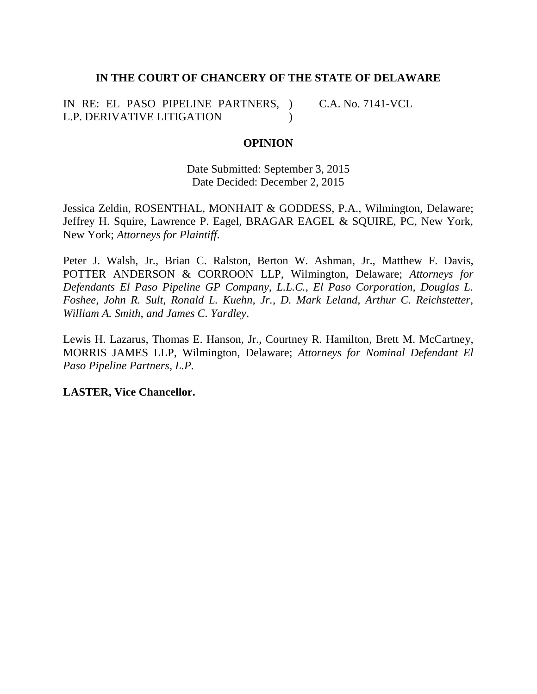# **IN THE COURT OF CHANCERY OF THE STATE OF DELAWARE**

IN RE: EL PASO PIPELINE PARTNERS, ) L.P. DERIVATIVE LITIGATION  $\lambda$ C.A. No. 7141-VCL

### **OPINION**

Date Submitted: September 3, 2015 Date Decided: December 2, 2015

Jessica Zeldin, ROSENTHAL, MONHAIT & GODDESS, P.A., Wilmington, Delaware; Jeffrey H. Squire, Lawrence P. Eagel, BRAGAR EAGEL & SQUIRE, PC, New York, New York; *Attorneys for Plaintiff*.

Peter J. Walsh, Jr., Brian C. Ralston, Berton W. Ashman, Jr., Matthew F. Davis, POTTER ANDERSON & CORROON LLP, Wilmington, Delaware; *Attorneys for Defendants El Paso Pipeline GP Company, L.L.C., El Paso Corporation, Douglas L. Foshee, John R. Sult, Ronald L. Kuehn, Jr., D. Mark Leland, Arthur C. Reichstetter, William A. Smith, and James C. Yardley*.

Lewis H. Lazarus, Thomas E. Hanson, Jr., Courtney R. Hamilton, Brett M. McCartney, MORRIS JAMES LLP, Wilmington, Delaware; *Attorneys for Nominal Defendant El Paso Pipeline Partners, L.P.*

**LASTER, Vice Chancellor.**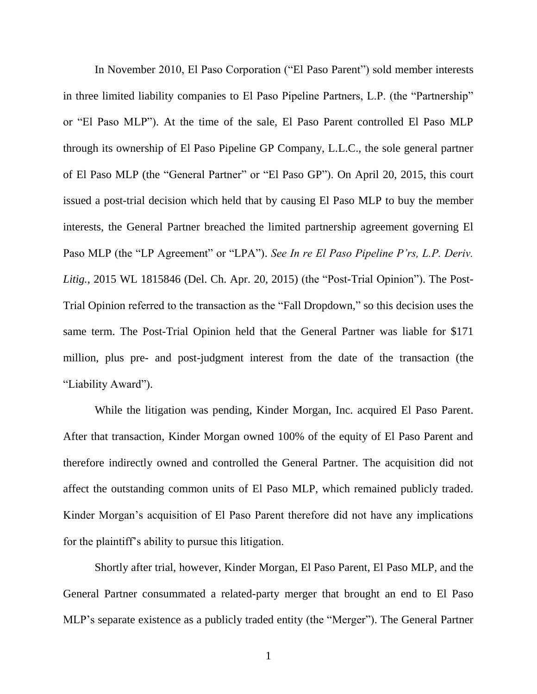In November 2010, El Paso Corporation ("El Paso Parent") sold member interests in three limited liability companies to El Paso Pipeline Partners, L.P. (the "Partnership" or "El Paso MLP"). At the time of the sale, El Paso Parent controlled El Paso MLP through its ownership of El Paso Pipeline GP Company, L.L.C., the sole general partner of El Paso MLP (the "General Partner" or "El Paso GP"). On April 20, 2015, this court issued a post-trial decision which held that by causing El Paso MLP to buy the member interests, the General Partner breached the limited partnership agreement governing El Paso MLP (the "LP Agreement" or "LPA"). *See In re El Paso Pipeline P'rs, L.P. Deriv. Litig.*, 2015 WL 1815846 (Del. Ch. Apr. 20, 2015) (the "Post-Trial Opinion"). The Post-Trial Opinion referred to the transaction as the "Fall Dropdown," so this decision uses the same term. The Post-Trial Opinion held that the General Partner was liable for \$171 million, plus pre- and post-judgment interest from the date of the transaction (the "Liability Award").

While the litigation was pending, Kinder Morgan, Inc. acquired El Paso Parent. After that transaction, Kinder Morgan owned 100% of the equity of El Paso Parent and therefore indirectly owned and controlled the General Partner. The acquisition did not affect the outstanding common units of El Paso MLP, which remained publicly traded. Kinder Morgan's acquisition of El Paso Parent therefore did not have any implications for the plaintiff's ability to pursue this litigation.

Shortly after trial, however, Kinder Morgan, El Paso Parent, El Paso MLP, and the General Partner consummated a related-party merger that brought an end to El Paso MLP's separate existence as a publicly traded entity (the "Merger"). The General Partner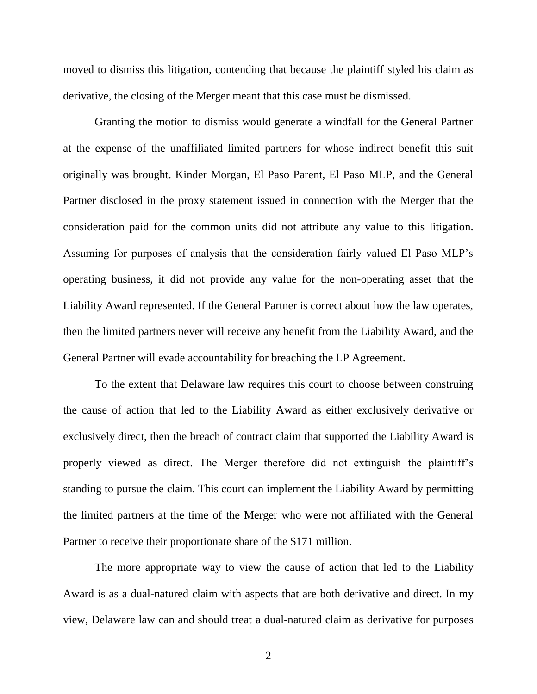moved to dismiss this litigation, contending that because the plaintiff styled his claim as derivative, the closing of the Merger meant that this case must be dismissed.

Granting the motion to dismiss would generate a windfall for the General Partner at the expense of the unaffiliated limited partners for whose indirect benefit this suit originally was brought. Kinder Morgan, El Paso Parent, El Paso MLP, and the General Partner disclosed in the proxy statement issued in connection with the Merger that the consideration paid for the common units did not attribute any value to this litigation. Assuming for purposes of analysis that the consideration fairly valued El Paso MLP's operating business, it did not provide any value for the non-operating asset that the Liability Award represented. If the General Partner is correct about how the law operates, then the limited partners never will receive any benefit from the Liability Award, and the General Partner will evade accountability for breaching the LP Agreement.

To the extent that Delaware law requires this court to choose between construing the cause of action that led to the Liability Award as either exclusively derivative or exclusively direct, then the breach of contract claim that supported the Liability Award is properly viewed as direct. The Merger therefore did not extinguish the plaintiff's standing to pursue the claim. This court can implement the Liability Award by permitting the limited partners at the time of the Merger who were not affiliated with the General Partner to receive their proportionate share of the \$171 million.

The more appropriate way to view the cause of action that led to the Liability Award is as a dual-natured claim with aspects that are both derivative and direct. In my view, Delaware law can and should treat a dual-natured claim as derivative for purposes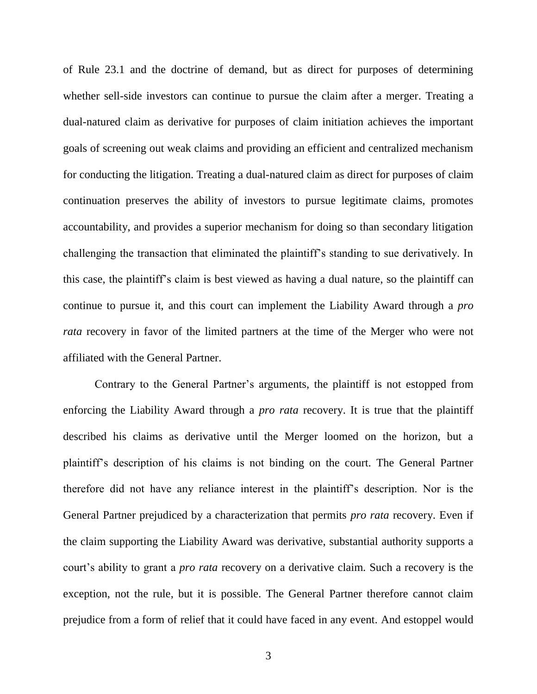of Rule 23.1 and the doctrine of demand, but as direct for purposes of determining whether sell-side investors can continue to pursue the claim after a merger. Treating a dual-natured claim as derivative for purposes of claim initiation achieves the important goals of screening out weak claims and providing an efficient and centralized mechanism for conducting the litigation. Treating a dual-natured claim as direct for purposes of claim continuation preserves the ability of investors to pursue legitimate claims, promotes accountability, and provides a superior mechanism for doing so than secondary litigation challenging the transaction that eliminated the plaintiff's standing to sue derivatively. In this case, the plaintiff's claim is best viewed as having a dual nature, so the plaintiff can continue to pursue it, and this court can implement the Liability Award through a *pro rata* recovery in favor of the limited partners at the time of the Merger who were not affiliated with the General Partner.

Contrary to the General Partner's arguments, the plaintiff is not estopped from enforcing the Liability Award through a *pro rata* recovery. It is true that the plaintiff described his claims as derivative until the Merger loomed on the horizon, but a plaintiff's description of his claims is not binding on the court. The General Partner therefore did not have any reliance interest in the plaintiff's description. Nor is the General Partner prejudiced by a characterization that permits *pro rata* recovery. Even if the claim supporting the Liability Award was derivative, substantial authority supports a court's ability to grant a *pro rata* recovery on a derivative claim. Such a recovery is the exception, not the rule, but it is possible. The General Partner therefore cannot claim prejudice from a form of relief that it could have faced in any event. And estoppel would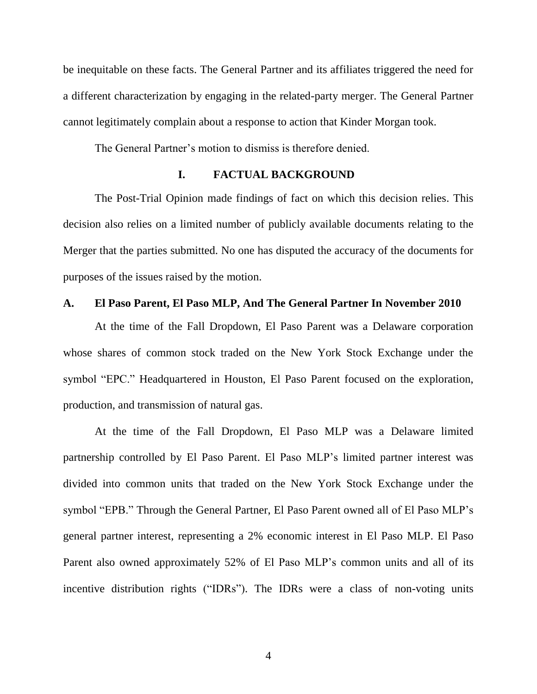be inequitable on these facts. The General Partner and its affiliates triggered the need for a different characterization by engaging in the related-party merger. The General Partner cannot legitimately complain about a response to action that Kinder Morgan took.

The General Partner's motion to dismiss is therefore denied.

# **I. FACTUAL BACKGROUND**

The Post-Trial Opinion made findings of fact on which this decision relies. This decision also relies on a limited number of publicly available documents relating to the Merger that the parties submitted. No one has disputed the accuracy of the documents for purposes of the issues raised by the motion.

### **A. El Paso Parent, El Paso MLP, And The General Partner In November 2010**

At the time of the Fall Dropdown, El Paso Parent was a Delaware corporation whose shares of common stock traded on the New York Stock Exchange under the symbol "EPC." Headquartered in Houston, El Paso Parent focused on the exploration, production, and transmission of natural gas.

At the time of the Fall Dropdown, El Paso MLP was a Delaware limited partnership controlled by El Paso Parent. El Paso MLP's limited partner interest was divided into common units that traded on the New York Stock Exchange under the symbol "EPB." Through the General Partner, El Paso Parent owned all of El Paso MLP's general partner interest, representing a 2% economic interest in El Paso MLP. El Paso Parent also owned approximately 52% of El Paso MLP's common units and all of its incentive distribution rights ("IDRs"). The IDRs were a class of non-voting units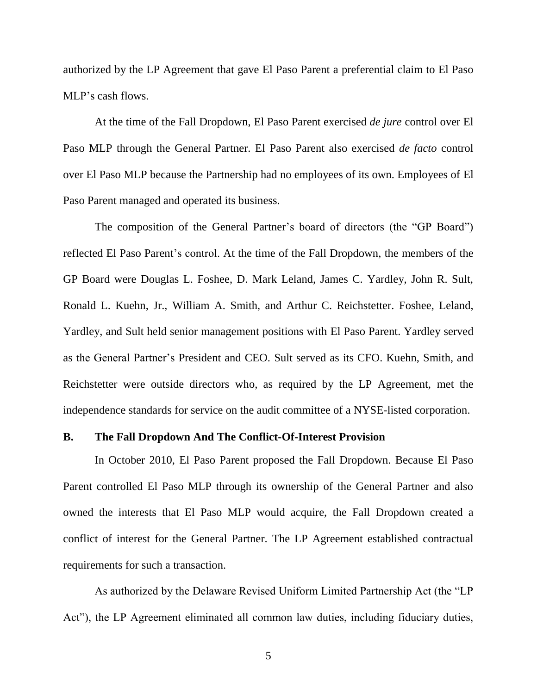authorized by the LP Agreement that gave El Paso Parent a preferential claim to El Paso MLP's cash flows.

At the time of the Fall Dropdown, El Paso Parent exercised *de jure* control over El Paso MLP through the General Partner. El Paso Parent also exercised *de facto* control over El Paso MLP because the Partnership had no employees of its own. Employees of El Paso Parent managed and operated its business.

The composition of the General Partner's board of directors (the "GP Board") reflected El Paso Parent's control. At the time of the Fall Dropdown, the members of the GP Board were Douglas L. Foshee, D. Mark Leland, James C. Yardley, John R. Sult, Ronald L. Kuehn, Jr., William A. Smith, and Arthur C. Reichstetter. Foshee, Leland, Yardley, and Sult held senior management positions with El Paso Parent. Yardley served as the General Partner's President and CEO. Sult served as its CFO. Kuehn, Smith, and Reichstetter were outside directors who, as required by the LP Agreement, met the independence standards for service on the audit committee of a NYSE-listed corporation.

#### **B. The Fall Dropdown And The Conflict-Of-Interest Provision**

In October 2010, El Paso Parent proposed the Fall Dropdown. Because El Paso Parent controlled El Paso MLP through its ownership of the General Partner and also owned the interests that El Paso MLP would acquire, the Fall Dropdown created a conflict of interest for the General Partner. The LP Agreement established contractual requirements for such a transaction.

As authorized by the Delaware Revised Uniform Limited Partnership Act (the "LP Act"), the LP Agreement eliminated all common law duties, including fiduciary duties,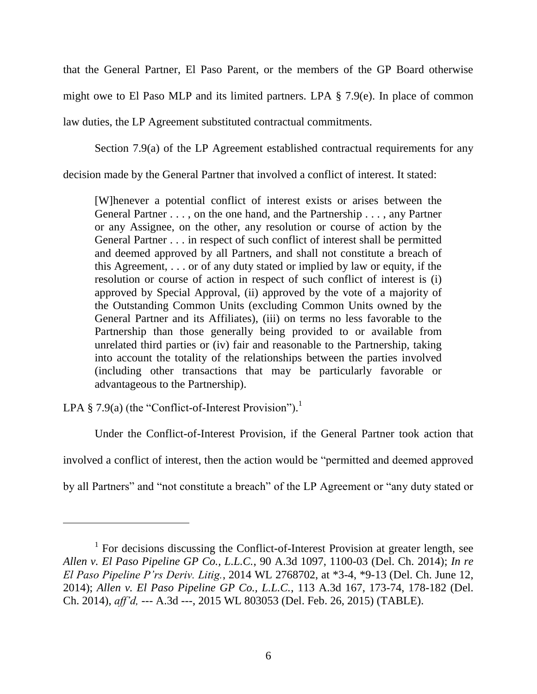that the General Partner, El Paso Parent, or the members of the GP Board otherwise might owe to El Paso MLP and its limited partners. LPA § 7.9(e). In place of common law duties, the LP Agreement substituted contractual commitments.

Section 7.9(a) of the LP Agreement established contractual requirements for any

decision made by the General Partner that involved a conflict of interest. It stated:

[W]henever a potential conflict of interest exists or arises between the General Partner . . . , on the one hand, and the Partnership . . . , any Partner or any Assignee, on the other, any resolution or course of action by the General Partner . . . in respect of such conflict of interest shall be permitted and deemed approved by all Partners, and shall not constitute a breach of this Agreement, . . . or of any duty stated or implied by law or equity, if the resolution or course of action in respect of such conflict of interest is (i) approved by Special Approval, (ii) approved by the vote of a majority of the Outstanding Common Units (excluding Common Units owned by the General Partner and its Affiliates), (iii) on terms no less favorable to the Partnership than those generally being provided to or available from unrelated third parties or (iv) fair and reasonable to the Partnership, taking into account the totality of the relationships between the parties involved (including other transactions that may be particularly favorable or advantageous to the Partnership).

LPA § 7.9(a) (the "Conflict-of-Interest Provision").<sup>1</sup>

Under the Conflict-of-Interest Provision, if the General Partner took action that

involved a conflict of interest, then the action would be "permitted and deemed approved

by all Partners" and "not constitute a breach" of the LP Agreement or "any duty stated or

<sup>&</sup>lt;sup>1</sup> For decisions discussing the Conflict-of-Interest Provision at greater length, see *Allen v. El Paso Pipeline GP Co., L.L.C.*, 90 A.3d 1097, 1100-03 (Del. Ch. 2014); *In re El Paso Pipeline P'rs Deriv. Litig.*, 2014 WL 2768702, at \*3-4, \*9-13 (Del. Ch. June 12, 2014); *Allen v. El Paso Pipeline GP Co., L.L.C.*, 113 A.3d 167, 173-74, 178-182 (Del. Ch. 2014), *aff'd,* --- A.3d ---, 2015 WL 803053 (Del. Feb. 26, 2015) (TABLE).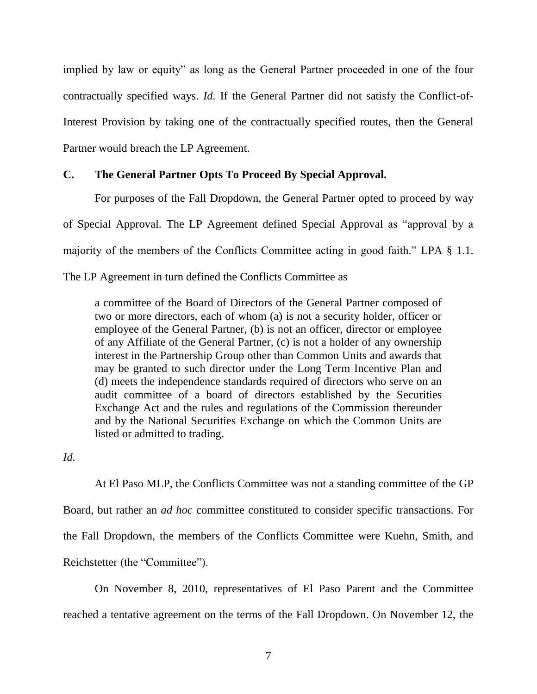implied by law or equity" as long as the General Partner proceeded in one of the four contractually specified ways. *Id.* If the General Partner did not satisfy the Conflict-of-Interest Provision by taking one of the contractually specified routes, then the General Partner would breach the LP Agreement.

# **C. The General Partner Opts To Proceed By Special Approval.**

For purposes of the Fall Dropdown, the General Partner opted to proceed by way

of Special Approval. The LP Agreement defined Special Approval as "approval by a

majority of the members of the Conflicts Committee acting in good faith." LPA  $\S$  1.1.

The LP Agreement in turn defined the Conflicts Committee as

a committee of the Board of Directors of the General Partner composed of two or more directors, each of whom (a) is not a security holder, officer or employee of the General Partner, (b) is not an officer, director or employee of any Affiliate of the General Partner, (c) is not a holder of any ownership interest in the Partnership Group other than Common Units and awards that may be granted to such director under the Long Term Incentive Plan and (d) meets the independence standards required of directors who serve on an audit committee of a board of directors established by the Securities Exchange Act and the rules and regulations of the Commission thereunder and by the National Securities Exchange on which the Common Units are listed or admitted to trading.

*Id.*

At El Paso MLP, the Conflicts Committee was not a standing committee of the GP Board, but rather an *ad hoc* committee constituted to consider specific transactions. For the Fall Dropdown, the members of the Conflicts Committee were Kuehn, Smith, and Reichstetter (the "Committee").

On November 8, 2010, representatives of El Paso Parent and the Committee reached a tentative agreement on the terms of the Fall Dropdown. On November 12, the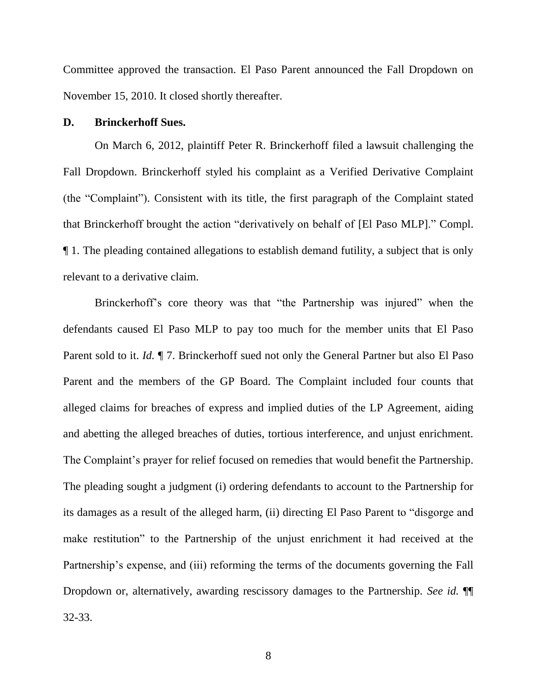Committee approved the transaction. El Paso Parent announced the Fall Dropdown on November 15, 2010. It closed shortly thereafter.

## **D. Brinckerhoff Sues.**

On March 6, 2012, plaintiff Peter R. Brinckerhoff filed a lawsuit challenging the Fall Dropdown. Brinckerhoff styled his complaint as a Verified Derivative Complaint (the "Complaint"). Consistent with its title, the first paragraph of the Complaint stated that Brinckerhoff brought the action "derivatively on behalf of [El Paso MLP]." Compl. ¶ 1. The pleading contained allegations to establish demand futility, a subject that is only relevant to a derivative claim.

Brinckerhoff's core theory was that "the Partnership was injured" when the defendants caused El Paso MLP to pay too much for the member units that El Paso Parent sold to it. *Id.* ¶ 7. Brinckerhoff sued not only the General Partner but also El Paso Parent and the members of the GP Board. The Complaint included four counts that alleged claims for breaches of express and implied duties of the LP Agreement, aiding and abetting the alleged breaches of duties, tortious interference, and unjust enrichment. The Complaint's prayer for relief focused on remedies that would benefit the Partnership. The pleading sought a judgment (i) ordering defendants to account to the Partnership for its damages as a result of the alleged harm, (ii) directing El Paso Parent to "disgorge and make restitution" to the Partnership of the unjust enrichment it had received at the Partnership's expense, and (iii) reforming the terms of the documents governing the Fall Dropdown or, alternatively, awarding rescissory damages to the Partnership. *See id.* ¶¶ 32-33.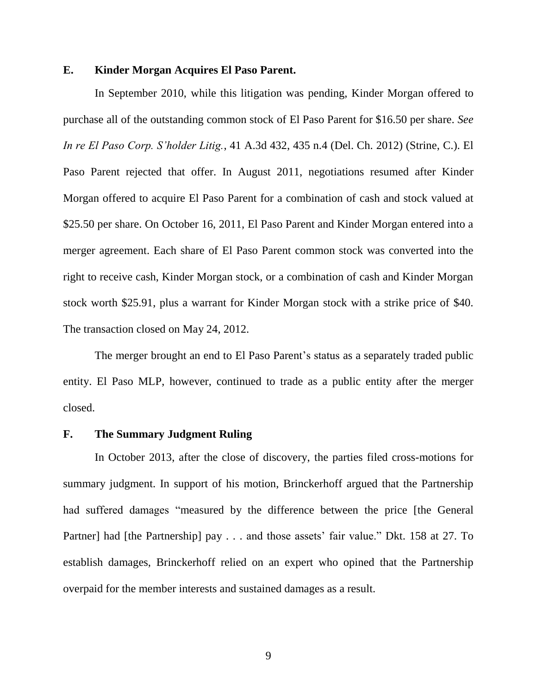## **E. Kinder Morgan Acquires El Paso Parent.**

In September 2010, while this litigation was pending, Kinder Morgan offered to purchase all of the outstanding common stock of El Paso Parent for \$16.50 per share. *See In re El Paso Corp. S'holder Litig.*, 41 A.3d 432, 435 n.4 (Del. Ch. 2012) (Strine, C.). El Paso Parent rejected that offer. In August 2011, negotiations resumed after Kinder Morgan offered to acquire El Paso Parent for a combination of cash and stock valued at \$25.50 per share. On October 16, 2011, El Paso Parent and Kinder Morgan entered into a merger agreement. Each share of El Paso Parent common stock was converted into the right to receive cash, Kinder Morgan stock, or a combination of cash and Kinder Morgan stock worth \$25.91, plus a warrant for Kinder Morgan stock with a strike price of \$40. The transaction closed on May 24, 2012.

The merger brought an end to El Paso Parent's status as a separately traded public entity. El Paso MLP, however, continued to trade as a public entity after the merger closed.

# **F. The Summary Judgment Ruling**

In October 2013, after the close of discovery, the parties filed cross-motions for summary judgment. In support of his motion, Brinckerhoff argued that the Partnership had suffered damages "measured by the difference between the price [the General Partner] had [the Partnership] pay  $\ldots$  and those assets' fair value." Dkt. 158 at 27. To establish damages, Brinckerhoff relied on an expert who opined that the Partnership overpaid for the member interests and sustained damages as a result.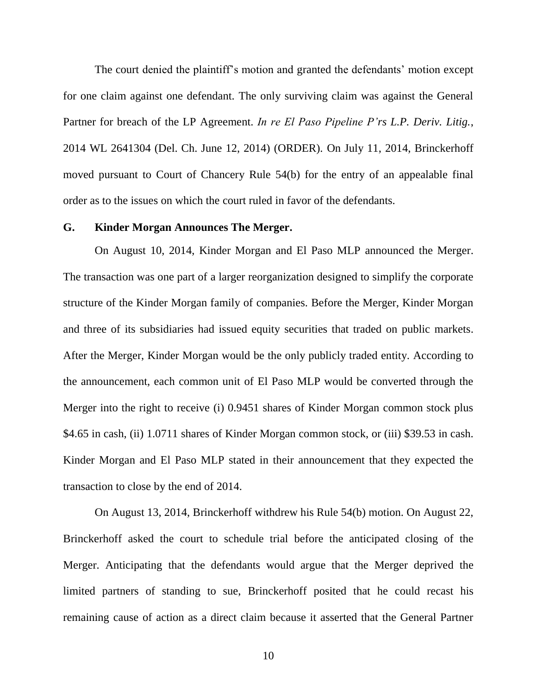The court denied the plaintiff's motion and granted the defendants' motion except for one claim against one defendant. The only surviving claim was against the General Partner for breach of the LP Agreement. *In re El Paso Pipeline P'rs L.P. Deriv. Litig.*, 2014 WL 2641304 (Del. Ch. June 12, 2014) (ORDER). On July 11, 2014, Brinckerhoff moved pursuant to Court of Chancery Rule 54(b) for the entry of an appealable final order as to the issues on which the court ruled in favor of the defendants.

# **G. Kinder Morgan Announces The Merger.**

On August 10, 2014, Kinder Morgan and El Paso MLP announced the Merger. The transaction was one part of a larger reorganization designed to simplify the corporate structure of the Kinder Morgan family of companies. Before the Merger, Kinder Morgan and three of its subsidiaries had issued equity securities that traded on public markets. After the Merger, Kinder Morgan would be the only publicly traded entity. According to the announcement, each common unit of El Paso MLP would be converted through the Merger into the right to receive (i) 0.9451 shares of Kinder Morgan common stock plus \$4.65 in cash, (ii) 1.0711 shares of Kinder Morgan common stock, or (iii) \$39.53 in cash. Kinder Morgan and El Paso MLP stated in their announcement that they expected the transaction to close by the end of 2014.

On August 13, 2014, Brinckerhoff withdrew his Rule 54(b) motion. On August 22, Brinckerhoff asked the court to schedule trial before the anticipated closing of the Merger. Anticipating that the defendants would argue that the Merger deprived the limited partners of standing to sue, Brinckerhoff posited that he could recast his remaining cause of action as a direct claim because it asserted that the General Partner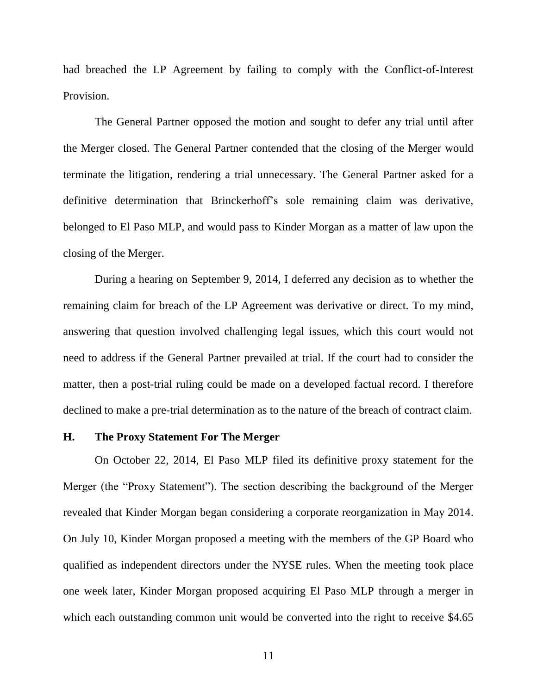had breached the LP Agreement by failing to comply with the Conflict-of-Interest Provision.

The General Partner opposed the motion and sought to defer any trial until after the Merger closed. The General Partner contended that the closing of the Merger would terminate the litigation, rendering a trial unnecessary. The General Partner asked for a definitive determination that Brinckerhoff's sole remaining claim was derivative, belonged to El Paso MLP, and would pass to Kinder Morgan as a matter of law upon the closing of the Merger.

During a hearing on September 9, 2014, I deferred any decision as to whether the remaining claim for breach of the LP Agreement was derivative or direct. To my mind, answering that question involved challenging legal issues, which this court would not need to address if the General Partner prevailed at trial. If the court had to consider the matter, then a post-trial ruling could be made on a developed factual record. I therefore declined to make a pre-trial determination as to the nature of the breach of contract claim.

#### **H. The Proxy Statement For The Merger**

On October 22, 2014, El Paso MLP filed its definitive proxy statement for the Merger (the "Proxy Statement"). The section describing the background of the Merger revealed that Kinder Morgan began considering a corporate reorganization in May 2014. On July 10, Kinder Morgan proposed a meeting with the members of the GP Board who qualified as independent directors under the NYSE rules. When the meeting took place one week later, Kinder Morgan proposed acquiring El Paso MLP through a merger in which each outstanding common unit would be converted into the right to receive \$4.65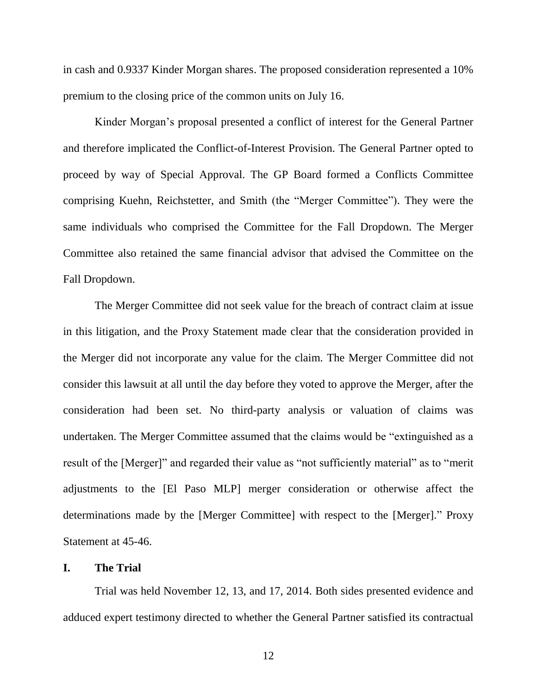in cash and 0.9337 Kinder Morgan shares. The proposed consideration represented a 10% premium to the closing price of the common units on July 16.

Kinder Morgan's proposal presented a conflict of interest for the General Partner and therefore implicated the Conflict-of-Interest Provision. The General Partner opted to proceed by way of Special Approval. The GP Board formed a Conflicts Committee comprising Kuehn, Reichstetter, and Smith (the "Merger Committee"). They were the same individuals who comprised the Committee for the Fall Dropdown. The Merger Committee also retained the same financial advisor that advised the Committee on the Fall Dropdown.

The Merger Committee did not seek value for the breach of contract claim at issue in this litigation, and the Proxy Statement made clear that the consideration provided in the Merger did not incorporate any value for the claim. The Merger Committee did not consider this lawsuit at all until the day before they voted to approve the Merger, after the consideration had been set. No third-party analysis or valuation of claims was undertaken. The Merger Committee assumed that the claims would be "extinguished as a result of the [Merger]" and regarded their value as "not sufficiently material" as to "merit adjustments to the [El Paso MLP] merger consideration or otherwise affect the determinations made by the [Merger Committee] with respect to the [Merger]." Proxy Statement at 45-46.

# **I. The Trial**

Trial was held November 12, 13, and 17, 2014. Both sides presented evidence and adduced expert testimony directed to whether the General Partner satisfied its contractual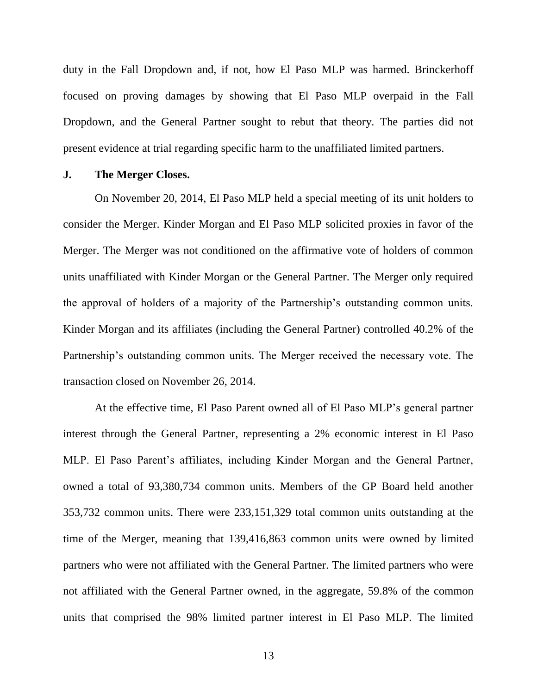duty in the Fall Dropdown and, if not, how El Paso MLP was harmed. Brinckerhoff focused on proving damages by showing that El Paso MLP overpaid in the Fall Dropdown, and the General Partner sought to rebut that theory. The parties did not present evidence at trial regarding specific harm to the unaffiliated limited partners.

# **J. The Merger Closes.**

On November 20, 2014, El Paso MLP held a special meeting of its unit holders to consider the Merger. Kinder Morgan and El Paso MLP solicited proxies in favor of the Merger. The Merger was not conditioned on the affirmative vote of holders of common units unaffiliated with Kinder Morgan or the General Partner. The Merger only required the approval of holders of a majority of the Partnership's outstanding common units. Kinder Morgan and its affiliates (including the General Partner) controlled 40.2% of the Partnership's outstanding common units. The Merger received the necessary vote. The transaction closed on November 26, 2014.

At the effective time, El Paso Parent owned all of El Paso MLP's general partner interest through the General Partner, representing a 2% economic interest in El Paso MLP. El Paso Parent's affiliates, including Kinder Morgan and the General Partner, owned a total of 93,380,734 common units. Members of the GP Board held another 353,732 common units. There were 233,151,329 total common units outstanding at the time of the Merger, meaning that 139,416,863 common units were owned by limited partners who were not affiliated with the General Partner. The limited partners who were not affiliated with the General Partner owned, in the aggregate, 59.8% of the common units that comprised the 98% limited partner interest in El Paso MLP. The limited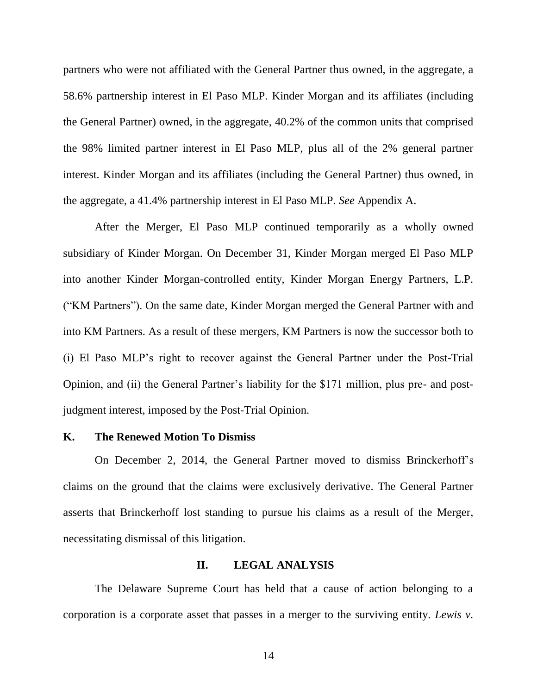partners who were not affiliated with the General Partner thus owned, in the aggregate, a 58.6% partnership interest in El Paso MLP. Kinder Morgan and its affiliates (including the General Partner) owned, in the aggregate, 40.2% of the common units that comprised the 98% limited partner interest in El Paso MLP, plus all of the 2% general partner interest. Kinder Morgan and its affiliates (including the General Partner) thus owned, in the aggregate, a 41.4% partnership interest in El Paso MLP. *See* Appendix A.

After the Merger, El Paso MLP continued temporarily as a wholly owned subsidiary of Kinder Morgan. On December 31, Kinder Morgan merged El Paso MLP into another Kinder Morgan-controlled entity, Kinder Morgan Energy Partners, L.P. (―KM Partners‖). On the same date, Kinder Morgan merged the General Partner with and into KM Partners. As a result of these mergers, KM Partners is now the successor both to (i) El Paso MLP's right to recover against the General Partner under the Post-Trial Opinion, and (ii) the General Partner's liability for the \$171 million, plus pre- and postjudgment interest, imposed by the Post-Trial Opinion.

#### **K. The Renewed Motion To Dismiss**

On December 2, 2014, the General Partner moved to dismiss Brinckerhoff's claims on the ground that the claims were exclusively derivative. The General Partner asserts that Brinckerhoff lost standing to pursue his claims as a result of the Merger, necessitating dismissal of this litigation.

### **II. LEGAL ANALYSIS**

The Delaware Supreme Court has held that a cause of action belonging to a corporation is a corporate asset that passes in a merger to the surviving entity. *Lewis v.*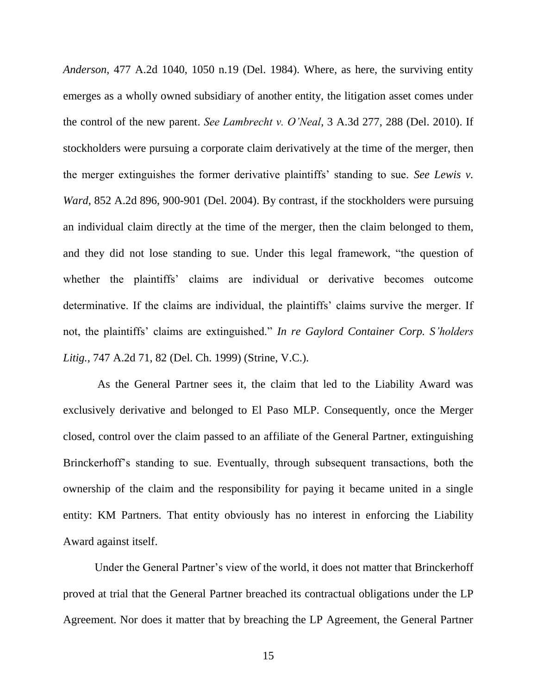*Anderson*, 477 A.2d 1040, 1050 n.19 (Del. 1984). Where, as here, the surviving entity emerges as a wholly owned subsidiary of another entity, the litigation asset comes under the control of the new parent. *See Lambrecht v. O'Neal*, 3 A.3d 277, 288 (Del. 2010). If stockholders were pursuing a corporate claim derivatively at the time of the merger, then the merger extinguishes the former derivative plaintiffs' standing to sue. *See Lewis v. Ward*, 852 A.2d 896, 900-901 (Del. 2004). By contrast, if the stockholders were pursuing an individual claim directly at the time of the merger, then the claim belonged to them, and they did not lose standing to sue. Under this legal framework, "the question of whether the plaintiffs' claims are individual or derivative becomes outcome determinative. If the claims are individual, the plaintiffs' claims survive the merger. If not, the plaintiffs' claims are extinguished.‖ *In re Gaylord Container Corp. S'holders Litig.*, 747 A.2d 71, 82 (Del. Ch. 1999) (Strine, V.C.).

As the General Partner sees it, the claim that led to the Liability Award was exclusively derivative and belonged to El Paso MLP. Consequently, once the Merger closed, control over the claim passed to an affiliate of the General Partner, extinguishing Brinckerhoff's standing to sue. Eventually, through subsequent transactions, both the ownership of the claim and the responsibility for paying it became united in a single entity: KM Partners. That entity obviously has no interest in enforcing the Liability Award against itself.

Under the General Partner's view of the world, it does not matter that Brinckerhoff proved at trial that the General Partner breached its contractual obligations under the LP Agreement. Nor does it matter that by breaching the LP Agreement, the General Partner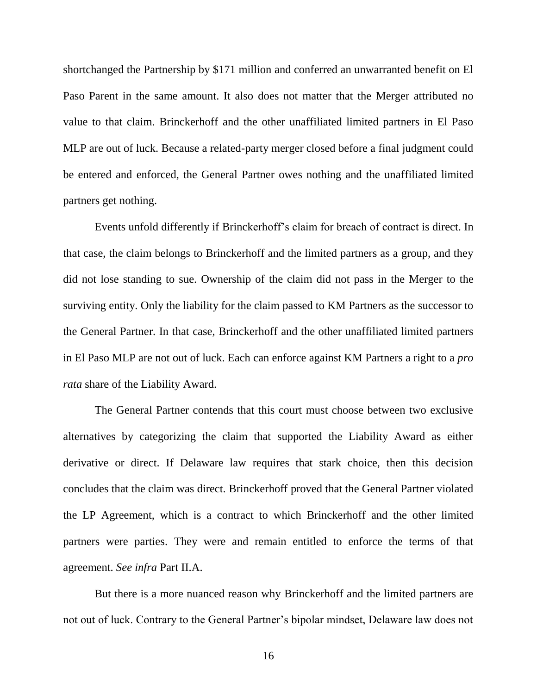shortchanged the Partnership by \$171 million and conferred an unwarranted benefit on El Paso Parent in the same amount. It also does not matter that the Merger attributed no value to that claim. Brinckerhoff and the other unaffiliated limited partners in El Paso MLP are out of luck. Because a related-party merger closed before a final judgment could be entered and enforced, the General Partner owes nothing and the unaffiliated limited partners get nothing.

Events unfold differently if Brinckerhoff's claim for breach of contract is direct. In that case, the claim belongs to Brinckerhoff and the limited partners as a group, and they did not lose standing to sue. Ownership of the claim did not pass in the Merger to the surviving entity. Only the liability for the claim passed to KM Partners as the successor to the General Partner. In that case, Brinckerhoff and the other unaffiliated limited partners in El Paso MLP are not out of luck. Each can enforce against KM Partners a right to a *pro rata* share of the Liability Award.

The General Partner contends that this court must choose between two exclusive alternatives by categorizing the claim that supported the Liability Award as either derivative or direct. If Delaware law requires that stark choice, then this decision concludes that the claim was direct. Brinckerhoff proved that the General Partner violated the LP Agreement, which is a contract to which Brinckerhoff and the other limited partners were parties. They were and remain entitled to enforce the terms of that agreement. *See infra* Part II.A.

But there is a more nuanced reason why Brinckerhoff and the limited partners are not out of luck. Contrary to the General Partner's bipolar mindset, Delaware law does not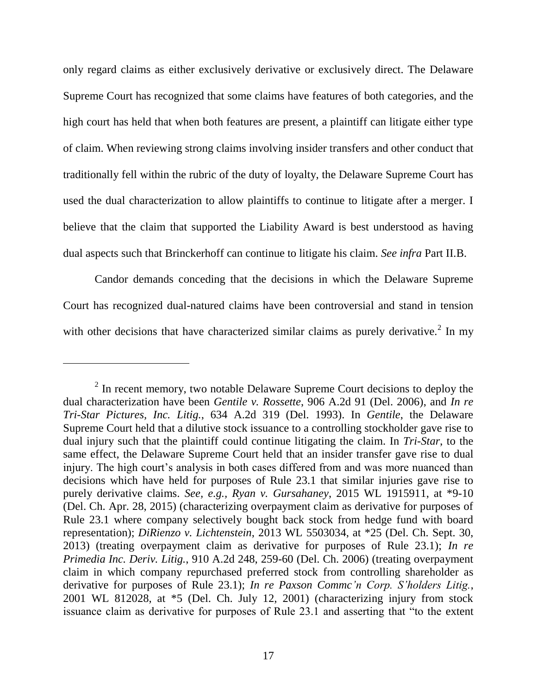only regard claims as either exclusively derivative or exclusively direct. The Delaware Supreme Court has recognized that some claims have features of both categories, and the high court has held that when both features are present, a plaintiff can litigate either type of claim. When reviewing strong claims involving insider transfers and other conduct that traditionally fell within the rubric of the duty of loyalty, the Delaware Supreme Court has used the dual characterization to allow plaintiffs to continue to litigate after a merger. I believe that the claim that supported the Liability Award is best understood as having dual aspects such that Brinckerhoff can continue to litigate his claim. *See infra* Part II.B.

Candor demands conceding that the decisions in which the Delaware Supreme Court has recognized dual-natured claims have been controversial and stand in tension with other decisions that have characterized similar claims as purely derivative.<sup>2</sup> In my

 $2<sup>2</sup>$  In recent memory, two notable Delaware Supreme Court decisions to deploy the dual characterization have been *Gentile v. Rossette*, 906 A.2d 91 (Del. 2006), and *In re Tri-Star Pictures, Inc. Litig.*, 634 A.2d 319 (Del. 1993). In *Gentile*, the Delaware Supreme Court held that a dilutive stock issuance to a controlling stockholder gave rise to dual injury such that the plaintiff could continue litigating the claim. In *Tri-Star*, to the same effect, the Delaware Supreme Court held that an insider transfer gave rise to dual injury. The high court's analysis in both cases differed from and was more nuanced than decisions which have held for purposes of Rule 23.1 that similar injuries gave rise to purely derivative claims. *See, e.g., Ryan v. Gursahaney*, 2015 WL 1915911, at \*9-10 (Del. Ch. Apr. 28, 2015) (characterizing overpayment claim as derivative for purposes of Rule 23.1 where company selectively bought back stock from hedge fund with board representation); *DiRienzo v. Lichtenstein*, 2013 WL 5503034, at \*25 (Del. Ch. Sept. 30, 2013) (treating overpayment claim as derivative for purposes of Rule 23.1); *In re Primedia Inc. Deriv. Litig.*, 910 A.2d 248, 259-60 (Del. Ch. 2006) (treating overpayment claim in which company repurchased preferred stock from controlling shareholder as derivative for purposes of Rule 23.1); *In re Paxson Commc'n Corp. S'holders Litig.*, 2001 WL 812028, at \*5 (Del. Ch. July 12, 2001) (characterizing injury from stock issuance claim as derivative for purposes of Rule 23.1 and asserting that "to the extent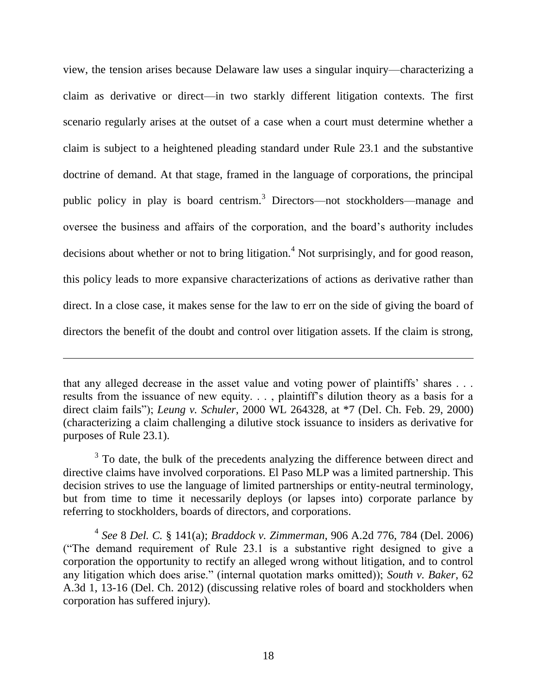view, the tension arises because Delaware law uses a singular inquiry—characterizing a claim as derivative or direct—in two starkly different litigation contexts. The first scenario regularly arises at the outset of a case when a court must determine whether a claim is subject to a heightened pleading standard under Rule 23.1 and the substantive doctrine of demand. At that stage, framed in the language of corporations, the principal public policy in play is board centrism.<sup>3</sup> Directors—not stockholders—manage and oversee the business and affairs of the corporation, and the board's authority includes decisions about whether or not to bring litigation.<sup>4</sup> Not surprisingly, and for good reason, this policy leads to more expansive characterizations of actions as derivative rather than direct. In a close case, it makes sense for the law to err on the side of giving the board of directors the benefit of the doubt and control over litigation assets. If the claim is strong,

 $\overline{a}$ 

that any alleged decrease in the asset value and voting power of plaintiffs' shares . . . results from the issuance of new equity. . . , plaintiff's dilution theory as a basis for a direct claim fails"); *Leung v. Schuler*, 2000 WL 264328, at \*7 (Del. Ch. Feb. 29, 2000) (characterizing a claim challenging a dilutive stock issuance to insiders as derivative for purposes of Rule 23.1).

 $3$  To date, the bulk of the precedents analyzing the difference between direct and directive claims have involved corporations. El Paso MLP was a limited partnership. This decision strives to use the language of limited partnerships or entity-neutral terminology, but from time to time it necessarily deploys (or lapses into) corporate parlance by referring to stockholders, boards of directors, and corporations.

<sup>4</sup> *See* 8 *Del. C.* § 141(a); *Braddock v. Zimmerman*, 906 A.2d 776, 784 (Del. 2006) ("The demand requirement of Rule  $23.1$  is a substantive right designed to give a corporation the opportunity to rectify an alleged wrong without litigation, and to control any litigation which does arise." (internal quotation marks omitted)); *South v. Baker*, 62 A.3d 1, 13-16 (Del. Ch. 2012) (discussing relative roles of board and stockholders when corporation has suffered injury).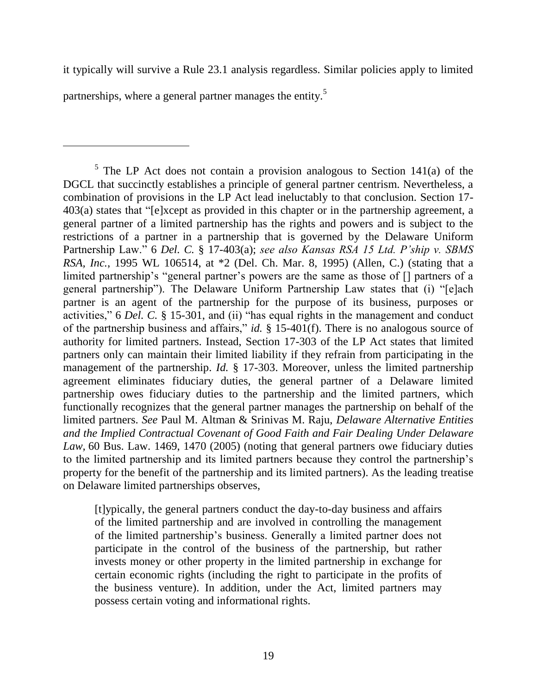it typically will survive a Rule 23.1 analysis regardless. Similar policies apply to limited partnerships, where a general partner manages the entity.<sup>5</sup>

 $\overline{a}$ 

<sup>5</sup> The LP Act does not contain a provision analogous to Section  $141(a)$  of the DGCL that succinctly establishes a principle of general partner centrism. Nevertheless, a combination of provisions in the LP Act lead ineluctably to that conclusion. Section 17-  $403(a)$  states that "[e]xcept as provided in this chapter or in the partnership agreement, a general partner of a limited partnership has the rights and powers and is subject to the restrictions of a partner in a partnership that is governed by the Delaware Uniform Partnership Law.‖ 6 *Del. C.* § 17-403(a); *see also Kansas RSA 15 Ltd. P'ship v. SBMS RSA, Inc.*, 1995 WL 106514, at \*2 (Del. Ch. Mar. 8, 1995) (Allen, C.) (stating that a limited partnership's "general partner's powers are the same as those of  $\lceil \rceil$  partners of a general partnership"). The Delaware Uniform Partnership Law states that (i) "[e]ach partner is an agent of the partnership for the purpose of its business, purposes or activities," 6 *Del. C.* § 15-301, and (ii) "has equal rights in the management and conduct of the partnership business and affairs," *id.*  $\S$  15-401(f). There is no analogous source of authority for limited partners. Instead, Section 17-303 of the LP Act states that limited partners only can maintain their limited liability if they refrain from participating in the management of the partnership. *Id.* § 17-303. Moreover, unless the limited partnership agreement eliminates fiduciary duties, the general partner of a Delaware limited partnership owes fiduciary duties to the partnership and the limited partners, which functionally recognizes that the general partner manages the partnership on behalf of the limited partners. *See* Paul M. Altman & Srinivas M. Raju, *Delaware Alternative Entities and the Implied Contractual Covenant of Good Faith and Fair Dealing Under Delaware Law,* 60 Bus. Law. 1469, 1470 (2005) (noting that general partners owe fiduciary duties to the limited partnership and its limited partners because they control the partnership's property for the benefit of the partnership and its limited partners). As the leading treatise on Delaware limited partnerships observes,

[t]ypically, the general partners conduct the day-to-day business and affairs of the limited partnership and are involved in controlling the management of the limited partnership's business. Generally a limited partner does not participate in the control of the business of the partnership, but rather invests money or other property in the limited partnership in exchange for certain economic rights (including the right to participate in the profits of the business venture). In addition, under the Act, limited partners may possess certain voting and informational rights.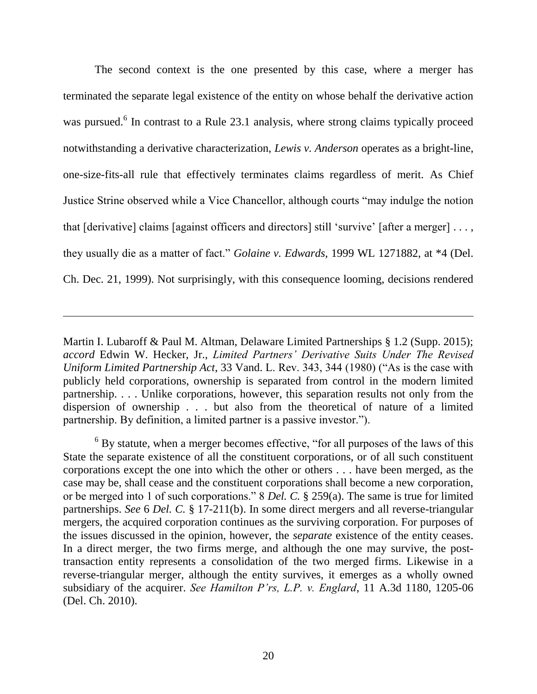The second context is the one presented by this case, where a merger has terminated the separate legal existence of the entity on whose behalf the derivative action was pursued.<sup>6</sup> In contrast to a Rule 23.1 analysis, where strong claims typically proceed notwithstanding a derivative characterization, *Lewis v. Anderson* operates as a bright-line, one-size-fits-all rule that effectively terminates claims regardless of merit. As Chief Justice Strine observed while a Vice Chancellor, although courts "may indulge the notion that  $\lceil$  derivative $\lceil$  claims  $\lceil$  against officers and directors $\lceil$  still 'survive'  $\lceil$  after a merger $\lceil$  ... they usually die as a matter of fact." *Golaine v. Edwards*, 1999 WL 1271882, at \*4 (Del. Ch. Dec. 21, 1999). Not surprisingly, with this consequence looming, decisions rendered

 $\overline{a}$ 

Martin I. Lubaroff & Paul M. Altman, Delaware Limited Partnerships § 1.2 (Supp. 2015); *accord* Edwin W. Hecker, Jr., *Limited Partners' Derivative Suits Under The Revised Uniform Limited Partnership Act*, 33 Vand. L. Rev. 343, 344 (1980) ("As is the case with publicly held corporations, ownership is separated from control in the modern limited partnership. . . . Unlike corporations, however, this separation results not only from the dispersion of ownership . . . but also from the theoretical of nature of a limited partnership. By definition, a limited partner is a passive investor.").

 $6$  By statute, when a merger becomes effective, "for all purposes of the laws of this State the separate existence of all the constituent corporations, or of all such constituent corporations except the one into which the other or others . . . have been merged, as the case may be, shall cease and the constituent corporations shall become a new corporation, or be merged into 1 of such corporations." 8 *Del. C.* § 259(a). The same is true for limited partnerships. *See* 6 *Del. C.* § 17-211(b). In some direct mergers and all reverse-triangular mergers, the acquired corporation continues as the surviving corporation. For purposes of the issues discussed in the opinion, however, the *separate* existence of the entity ceases. In a direct merger, the two firms merge, and although the one may survive, the posttransaction entity represents a consolidation of the two merged firms. Likewise in a reverse-triangular merger, although the entity survives, it emerges as a wholly owned subsidiary of the acquirer. *See Hamilton P'rs, L.P. v. Englard*, 11 A.3d 1180, 1205-06 (Del. Ch. 2010).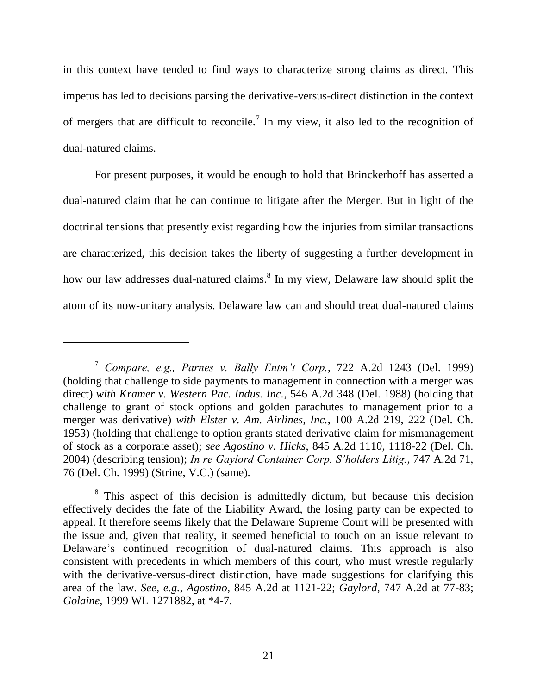in this context have tended to find ways to characterize strong claims as direct. This impetus has led to decisions parsing the derivative-versus-direct distinction in the context of mergers that are difficult to reconcile.<sup>7</sup> In my view, it also led to the recognition of dual-natured claims.

For present purposes, it would be enough to hold that Brinckerhoff has asserted a dual-natured claim that he can continue to litigate after the Merger. But in light of the doctrinal tensions that presently exist regarding how the injuries from similar transactions are characterized, this decision takes the liberty of suggesting a further development in how our law addresses dual-natured claims.<sup>8</sup> In my view, Delaware law should split the atom of its now-unitary analysis. Delaware law can and should treat dual-natured claims

<sup>7</sup> *Compare, e.g., Parnes v. Bally Entm't Corp.*, 722 A.2d 1243 (Del. 1999) (holding that challenge to side payments to management in connection with a merger was direct) *with Kramer v. Western Pac. Indus. Inc.*, 546 A.2d 348 (Del. 1988) (holding that challenge to grant of stock options and golden parachutes to management prior to a merger was derivative) *with Elster v. Am. Airlines, Inc.*, 100 A.2d 219, 222 (Del. Ch. 1953) (holding that challenge to option grants stated derivative claim for mismanagement of stock as a corporate asset); *see Agostino v. Hicks*, 845 A.2d 1110, 1118-22 (Del. Ch. 2004) (describing tension); *In re Gaylord Container Corp. S'holders Litig.*, 747 A.2d 71, 76 (Del. Ch. 1999) (Strine, V.C.) (same).

<sup>&</sup>lt;sup>8</sup> This aspect of this decision is admittedly dictum, but because this decision effectively decides the fate of the Liability Award, the losing party can be expected to appeal. It therefore seems likely that the Delaware Supreme Court will be presented with the issue and, given that reality, it seemed beneficial to touch on an issue relevant to Delaware's continued recognition of dual-natured claims. This approach is also consistent with precedents in which members of this court, who must wrestle regularly with the derivative-versus-direct distinction, have made suggestions for clarifying this area of the law. *See, e.g.*, *Agostino*, 845 A.2d at 1121-22; *Gaylord*, 747 A.2d at 77-83; *Golaine*, 1999 WL 1271882, at \*4-7.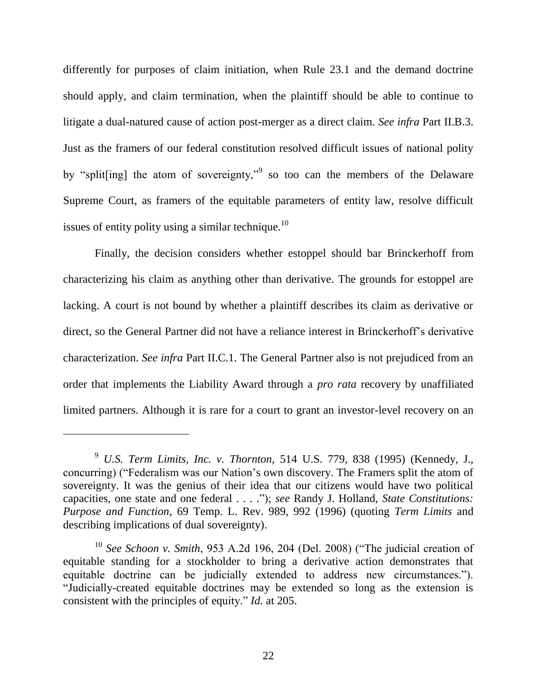differently for purposes of claim initiation, when Rule 23.1 and the demand doctrine should apply, and claim termination, when the plaintiff should be able to continue to litigate a dual-natured cause of action post-merger as a direct claim. *See infra* Part II.B.3. Just as the framers of our federal constitution resolved difficult issues of national polity by "split[ing] the atom of sovereignty,"<sup>9</sup> so too can the members of the Delaware Supreme Court, as framers of the equitable parameters of entity law, resolve difficult issues of entity polity using a similar technique.<sup>10</sup>

Finally, the decision considers whether estoppel should bar Brinckerhoff from characterizing his claim as anything other than derivative. The grounds for estoppel are lacking. A court is not bound by whether a plaintiff describes its claim as derivative or direct, so the General Partner did not have a reliance interest in Brinckerhoff's derivative characterization. *See infra* Part II.C.1. The General Partner also is not prejudiced from an order that implements the Liability Award through a *pro rata* recovery by unaffiliated limited partners. Although it is rare for a court to grant an investor-level recovery on an

<sup>9</sup> *U.S. Term Limits, Inc. v. Thornton,* 514 U.S. 779, 838 (1995) (Kennedy, J., concurring) ("Federalism was our Nation's own discovery. The Framers split the atom of sovereignty. It was the genius of their idea that our citizens would have two political capacities, one state and one federal . . . ."); *see* Randy J. Holland, *State Constitutions: Purpose and Function*, 69 Temp. L. Rev. 989, 992 (1996) (quoting *Term Limits* and describing implications of dual sovereignty).

<sup>&</sup>lt;sup>10</sup> See Schoon v. Smith, 953 A.2d 196, 204 (Del. 2008) ("The judicial creation of equitable standing for a stockholder to bring a derivative action demonstrates that equitable doctrine can be judicially extended to address new circumstances."). ―Judicially-created equitable doctrines may be extended so long as the extension is consistent with the principles of equity." *Id.* at 205.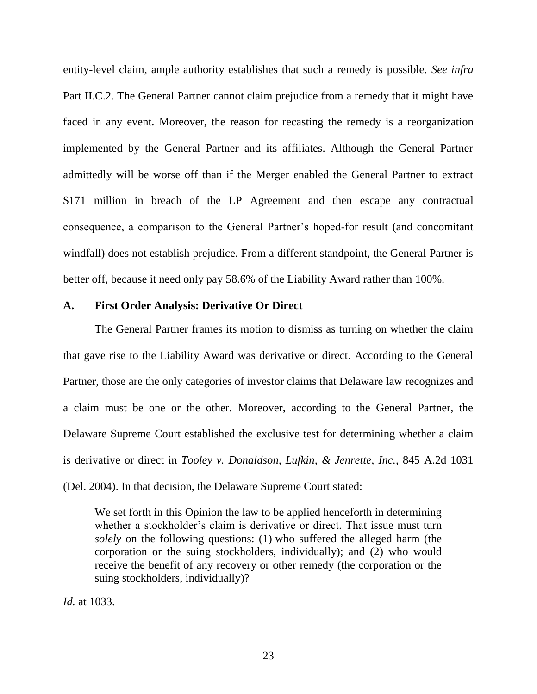entity-level claim, ample authority establishes that such a remedy is possible. *See infra* Part II.C.2. The General Partner cannot claim prejudice from a remedy that it might have faced in any event. Moreover, the reason for recasting the remedy is a reorganization implemented by the General Partner and its affiliates. Although the General Partner admittedly will be worse off than if the Merger enabled the General Partner to extract \$171 million in breach of the LP Agreement and then escape any contractual consequence, a comparison to the General Partner's hoped-for result (and concomitant windfall) does not establish prejudice. From a different standpoint, the General Partner is better off, because it need only pay 58.6% of the Liability Award rather than 100%.

#### **A. First Order Analysis: Derivative Or Direct**

The General Partner frames its motion to dismiss as turning on whether the claim that gave rise to the Liability Award was derivative or direct. According to the General Partner, those are the only categories of investor claims that Delaware law recognizes and a claim must be one or the other. Moreover, according to the General Partner, the Delaware Supreme Court established the exclusive test for determining whether a claim is derivative or direct in *Tooley v. Donaldson, Lufkin, & Jenrette, Inc.*, 845 A.2d 1031 (Del. 2004). In that decision, the Delaware Supreme Court stated:

We set forth in this Opinion the law to be applied henceforth in determining whether a stockholder's claim is derivative or direct. That issue must turn *solely* on the following questions: (1) who suffered the alleged harm (the corporation or the suing stockholders, individually); and (2) who would receive the benefit of any recovery or other remedy (the corporation or the suing stockholders, individually)?

*Id.* at 1033.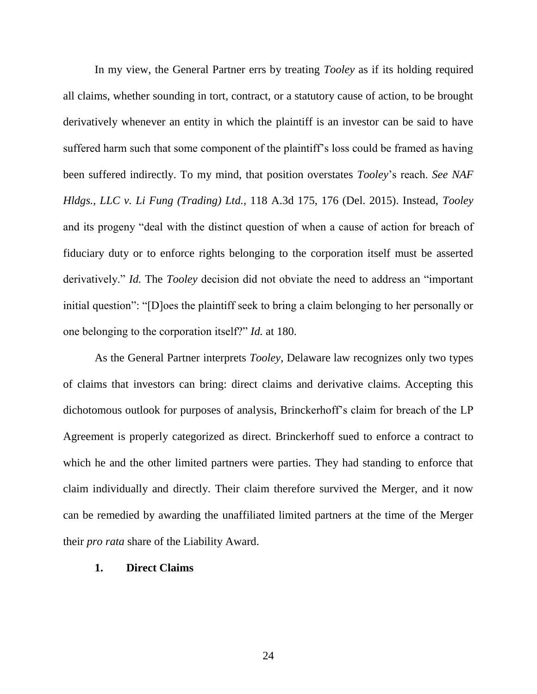In my view, the General Partner errs by treating *Tooley* as if its holding required all claims, whether sounding in tort, contract, or a statutory cause of action, to be brought derivatively whenever an entity in which the plaintiff is an investor can be said to have suffered harm such that some component of the plaintiff's loss could be framed as having been suffered indirectly. To my mind, that position overstates *Tooley*'s reach. *See NAF Hldgs., LLC v. Li Fung (Trading) Ltd.*, 118 A.3d 175, 176 (Del. 2015). Instead, *Tooley*  and its progeny "deal with the distinct question of when a cause of action for breach of fiduciary duty or to enforce rights belonging to the corporation itself must be asserted derivatively." *Id.* The *Tooley* decision did not obviate the need to address an "important" initial question": "[D]oes the plaintiff seek to bring a claim belonging to her personally or one belonging to the corporation itself?" *Id.* at 180.

As the General Partner interprets *Tooley*, Delaware law recognizes only two types of claims that investors can bring: direct claims and derivative claims. Accepting this dichotomous outlook for purposes of analysis, Brinckerhoff's claim for breach of the LP Agreement is properly categorized as direct. Brinckerhoff sued to enforce a contract to which he and the other limited partners were parties. They had standing to enforce that claim individually and directly. Their claim therefore survived the Merger, and it now can be remedied by awarding the unaffiliated limited partners at the time of the Merger their *pro rata* share of the Liability Award.

### **1. Direct Claims**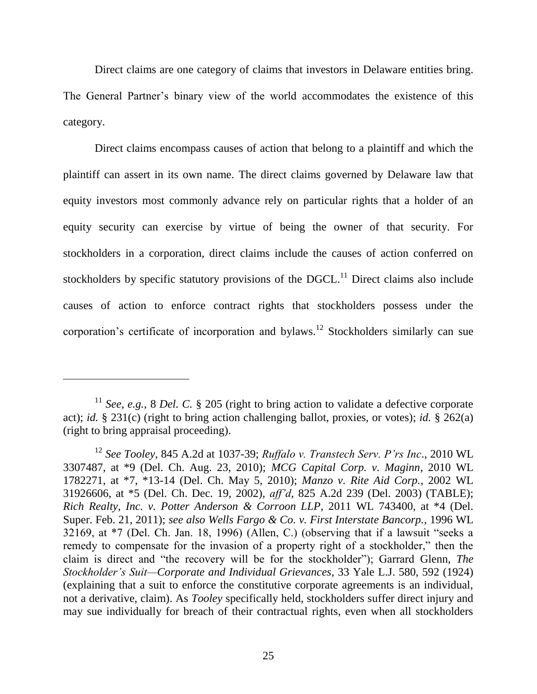Direct claims are one category of claims that investors in Delaware entities bring. The General Partner's binary view of the world accommodates the existence of this category.

Direct claims encompass causes of action that belong to a plaintiff and which the plaintiff can assert in its own name. The direct claims governed by Delaware law that equity investors most commonly advance rely on particular rights that a holder of an equity security can exercise by virtue of being the owner of that security. For stockholders in a corporation, direct claims include the causes of action conferred on stockholders by specific statutory provisions of the  $DGCL$ <sup>11</sup> Direct claims also include causes of action to enforce contract rights that stockholders possess under the corporation's certificate of incorporation and bylaws.<sup>12</sup> Stockholders similarly can sue

 $\overline{a}$ 

<sup>11</sup> *See, e.g.*, 8 *Del. C.* § 205 (right to bring action to validate a defective corporate act); *id.* § 231(c) (right to bring action challenging ballot, proxies, or votes); *id.* § 262(a) (right to bring appraisal proceeding).

<sup>12</sup> *See Tooley*, 845 A.2d at 1037-39; *Ruffalo v. Transtech Serv. P'rs Inc*., 2010 WL 3307487, at \*9 (Del. Ch. Aug. 23, 2010); *MCG Capital Corp. v. Maginn*, 2010 WL 1782271, at \*7, \*13-14 (Del. Ch. May 5, 2010); *Manzo v. Rite Aid Corp.*, 2002 WL 31926606, at \*5 (Del. Ch. Dec. 19, 2002), *aff'd*, 825 A.2d 239 (Del. 2003) (TABLE); *Rich Realty, Inc. v. Potter Anderson & Corroon LLP*, 2011 WL 743400, at \*4 (Del. Super. Feb. 21, 2011); *see also Wells Fargo & Co. v. First Interstate Bancorp.*, 1996 WL  $32169$ , at  $*7$  (Del. Ch. Jan. 18, 1996) (Allen, C.) (observing that if a lawsuit "seeks a remedy to compensate for the invasion of a property right of a stockholder," then the claim is direct and "the recovery will be for the stockholder"); Garrard Glenn, *The Stockholder's Suit—Corporate and Individual Grievances*, 33 Yale L.J. 580, 592 (1924) (explaining that a suit to enforce the constitutive corporate agreements is an individual, not a derivative, claim). As *Tooley* specifically held, stockholders suffer direct injury and may sue individually for breach of their contractual rights, even when all stockholders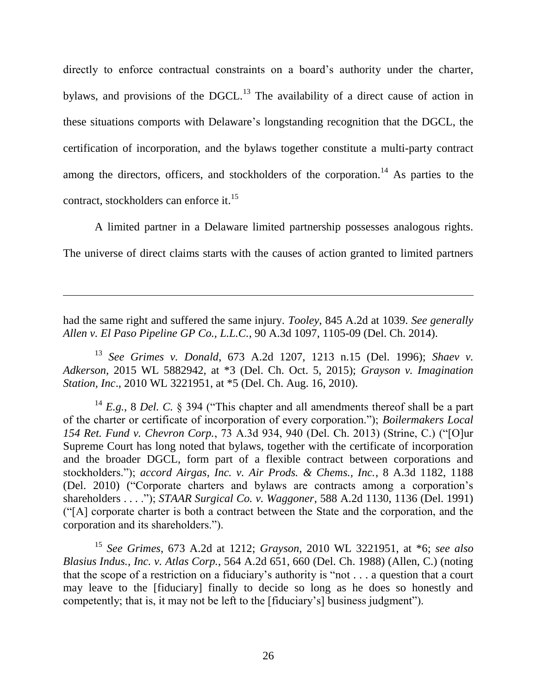directly to enforce contractual constraints on a board's authority under the charter, bylaws, and provisions of the DGCL.<sup>13</sup> The availability of a direct cause of action in these situations comports with Delaware's longstanding recognition that the DGCL, the certification of incorporation, and the bylaws together constitute a multi-party contract among the directors, officers, and stockholders of the corporation.<sup>14</sup> As parties to the contract, stockholders can enforce it.<sup>15</sup>

A limited partner in a Delaware limited partnership possesses analogous rights. The universe of direct claims starts with the causes of action granted to limited partners

had the same right and suffered the same injury. *Tooley*, 845 A.2d at 1039. *See generally Allen v. El Paso Pipeline GP Co., L.L.C.*, 90 A.3d 1097, 1105-09 (Del. Ch. 2014).

 $\overline{a}$ 

<sup>13</sup> *See Grimes v. Donald*, 673 A.2d 1207, 1213 n.15 (Del. 1996); *Shaev v. Adkerson*, 2015 WL 5882942, at \*3 (Del. Ch. Oct. 5, 2015); *Grayson v. Imagination Station, Inc*., 2010 WL 3221951, at \*5 (Del. Ch. Aug. 16, 2010).

<sup>14</sup> *E.g.*, 8 *Del. C.* § 394 ("This chapter and all amendments thereof shall be a part of the charter or certificate of incorporation of every corporation.‖); *Boilermakers Local 154 Ret. Fund v. Chevron Corp.*, 73 A.3d 934, 940 (Del. Ch. 2013) (Strine, C.) ("[O]ur Supreme Court has long noted that bylaws, together with the certificate of incorporation and the broader DGCL, form part of a flexible contract between corporations and stockholders.‖); *accord Airgas, Inc. v. Air Prods. & Chems., Inc.*, 8 A.3d 1182, 1188 (Del. 2010) ("Corporate charters and bylaws are contracts among a corporation's shareholders . . . ."); *STAAR Surgical Co. v. Waggoner*, 588 A.2d 1130, 1136 (Del. 1991) (―[A] corporate charter is both a contract between the State and the corporation, and the corporation and its shareholders.").

<sup>15</sup> *See Grimes*, 673 A.2d at 1212; *Grayson*, 2010 WL 3221951, at \*6; *see also Blasius Indus., Inc. v. Atlas Corp.*, 564 A.2d 651, 660 (Del. Ch. 1988) (Allen, C.) (noting that the scope of a restriction on a fiduciary's authority is "not  $\dots$  a question that a court may leave to the [fiduciary] finally to decide so long as he does so honestly and competently; that is, it may not be left to the [fiduciary's] business judgment").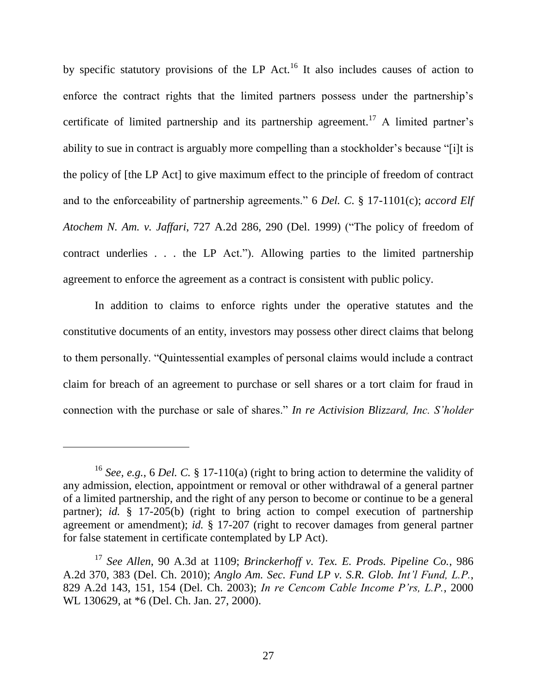by specific statutory provisions of the LP Act.<sup>16</sup> It also includes causes of action to enforce the contract rights that the limited partners possess under the partnership's certificate of limited partnership and its partnership agreement.<sup>17</sup> A limited partner's ability to sue in contract is arguably more compelling than a stockholder's because "[i]t is the policy of [the LP Act] to give maximum effect to the principle of freedom of contract and to the enforceability of partnership agreements." 6 *Del. C.* § 17-1101(c); *accord Elf Atochem N. Am. v. Jaffari, 727 A.2d 286, 290 (Del. 1999)* ("The policy of freedom of contract underlies  $\ldots$  the LP Act."). Allowing parties to the limited partnership agreement to enforce the agreement as a contract is consistent with public policy.

In addition to claims to enforce rights under the operative statutes and the constitutive documents of an entity, investors may possess other direct claims that belong to them personally. "Ouintessential examples of personal claims would include a contract claim for breach of an agreement to purchase or sell shares or a tort claim for fraud in connection with the purchase or sale of shares.‖ *In re Activision Blizzard, Inc. S'holder* 

<sup>16</sup> *See, e.g.*, 6 *Del. C.* § 17-110(a) (right to bring action to determine the validity of any admission, election, appointment or removal or other withdrawal of a general partner of a limited partnership, and the right of any person to become or continue to be a general partner); *id.* § 17-205(b) (right to bring action to compel execution of partnership agreement or amendment); *id.* § 17-207 (right to recover damages from general partner for false statement in certificate contemplated by LP Act).

<sup>17</sup> *See Allen*, 90 A.3d at 1109; *Brinckerhoff v. Tex. E. Prods. Pipeline Co.*, 986 A.2d 370, 383 (Del. Ch. 2010); *Anglo Am. Sec. Fund LP v. S.R. Glob. Int'l Fund, L.P.*, 829 A.2d 143, 151, 154 (Del. Ch. 2003); *In re Cencom Cable Income P'rs, L.P.*, 2000 WL 130629, at \*6 (Del. Ch. Jan. 27, 2000).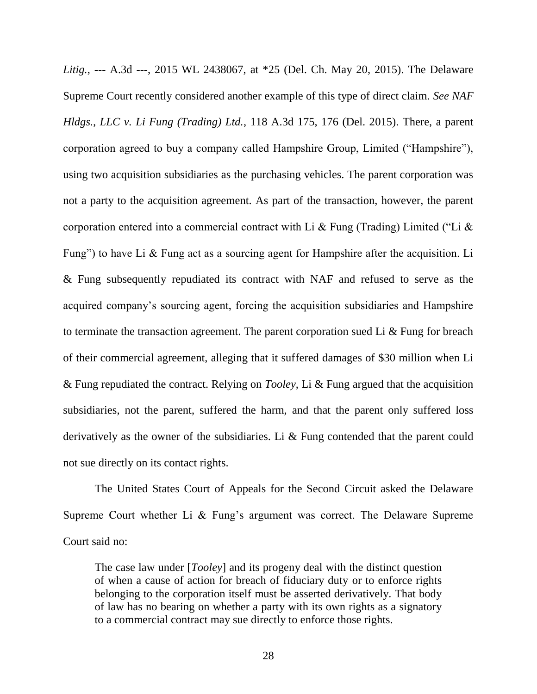*Litig.*, --- A.3d ---, 2015 WL 2438067, at \*25 (Del. Ch. May 20, 2015). The Delaware Supreme Court recently considered another example of this type of direct claim. *See NAF Hldgs., LLC v. Li Fung (Trading) Ltd.*, 118 A.3d 175, 176 (Del. 2015). There, a parent corporation agreed to buy a company called Hampshire Group, Limited ("Hampshire"), using two acquisition subsidiaries as the purchasing vehicles. The parent corporation was not a party to the acquisition agreement. As part of the transaction, however, the parent corporation entered into a commercial contract with Li & Fung (Trading) Limited ("Li & Fung") to have Li & Fung act as a sourcing agent for Hampshire after the acquisition. Li & Fung subsequently repudiated its contract with NAF and refused to serve as the acquired company's sourcing agent, forcing the acquisition subsidiaries and Hampshire to terminate the transaction agreement. The parent corporation sued Li  $&$  Fung for breach of their commercial agreement, alleging that it suffered damages of \$30 million when Li & Fung repudiated the contract. Relying on *Tooley*, Li & Fung argued that the acquisition subsidiaries, not the parent, suffered the harm, and that the parent only suffered loss derivatively as the owner of the subsidiaries. Li & Fung contended that the parent could not sue directly on its contact rights.

The United States Court of Appeals for the Second Circuit asked the Delaware Supreme Court whether Li & Fung's argument was correct. The Delaware Supreme Court said no:

The case law under [*Tooley*] and its progeny deal with the distinct question of when a cause of action for breach of fiduciary duty or to enforce rights belonging to the corporation itself must be asserted derivatively. That body of law has no bearing on whether a party with its own rights as a signatory to a commercial contract may sue directly to enforce those rights.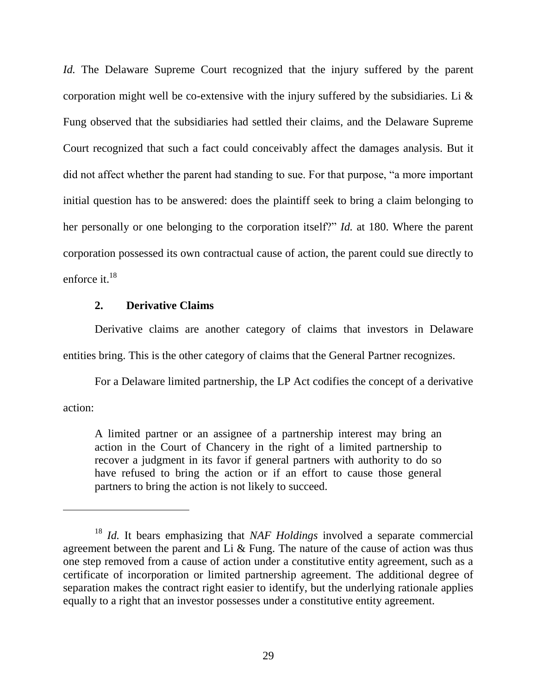*Id.* The Delaware Supreme Court recognized that the injury suffered by the parent corporation might well be co-extensive with the injury suffered by the subsidiaries. Li  $\&$ Fung observed that the subsidiaries had settled their claims, and the Delaware Supreme Court recognized that such a fact could conceivably affect the damages analysis. But it did not affect whether the parent had standing to sue. For that purpose, "a more important initial question has to be answered: does the plaintiff seek to bring a claim belonging to her personally or one belonging to the corporation itself?" *Id.* at 180. Where the parent corporation possessed its own contractual cause of action, the parent could sue directly to enforce it. $^{18}$ 

# **2. Derivative Claims**

Derivative claims are another category of claims that investors in Delaware entities bring. This is the other category of claims that the General Partner recognizes.

For a Delaware limited partnership, the LP Act codifies the concept of a derivative

action:

 $\overline{a}$ 

A limited partner or an assignee of a partnership interest may bring an action in the Court of Chancery in the right of a limited partnership to recover a judgment in its favor if general partners with authority to do so have refused to bring the action or if an effort to cause those general partners to bring the action is not likely to succeed.

<sup>18</sup> *Id.* It bears emphasizing that *NAF Holdings* involved a separate commercial agreement between the parent and Li & Fung. The nature of the cause of action was thus one step removed from a cause of action under a constitutive entity agreement, such as a certificate of incorporation or limited partnership agreement. The additional degree of separation makes the contract right easier to identify, but the underlying rationale applies equally to a right that an investor possesses under a constitutive entity agreement.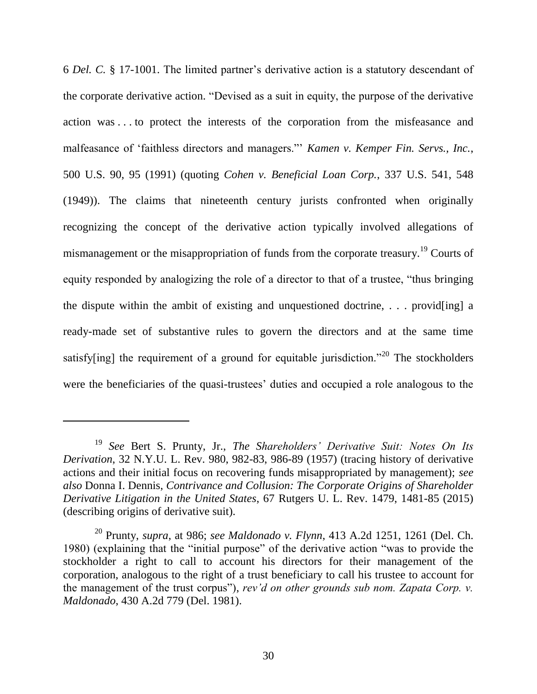6 *Del. C.* § 17-1001. The limited partner's derivative action is a statutory descendant of the corporate derivative action. "Devised as a suit in equity, the purpose of the derivative action was . . . to protect the interests of the corporation from the misfeasance and malfeasance of 'faithless directors and managers." *Kamen v. Kemper Fin. Servs., Inc.*, 500 U.S. 90, 95 (1991) (quoting *Cohen v. Beneficial Loan Corp.*, 337 U.S. 541, 548 (1949)). The claims that nineteenth century jurists confronted when originally recognizing the concept of the derivative action typically involved allegations of mismanagement or the misappropriation of funds from the corporate treasury.<sup>19</sup> Courts of equity responded by analogizing the role of a director to that of a trustee, "thus bringing the dispute within the ambit of existing and unquestioned doctrine, . . . provid[ing] a ready-made set of substantive rules to govern the directors and at the same time satisfy[ing] the requirement of a ground for equitable jurisdiction.<sup> $20$ </sup> The stockholders were the beneficiaries of the quasi-trustees' duties and occupied a role analogous to the

<sup>19</sup> *See* Bert S. Prunty, Jr., *The Shareholders' Derivative Suit: Notes On Its Derivation*, 32 N.Y.U. L. Rev. 980, 982-83, 986-89 (1957) (tracing history of derivative actions and their initial focus on recovering funds misappropriated by management); *see also* Donna I. Dennis, *Contrivance and Collusion: The Corporate Origins of Shareholder Derivative Litigation in the United States*, 67 Rutgers U. L. Rev. 1479, 1481-85 (2015) (describing origins of derivative suit).

<sup>20</sup> Prunty, *supra*, at 986; *see Maldonado v. Flynn*, 413 A.2d 1251, 1261 (Del. Ch. 1980) (explaining that the "initial purpose" of the derivative action "was to provide the stockholder a right to call to account his directors for their management of the corporation, analogous to the right of a trust beneficiary to call his trustee to account for the management of the trust corpus"), *rev'd on other grounds sub nom. Zapata Corp. v. Maldonado*, 430 A.2d 779 (Del. 1981).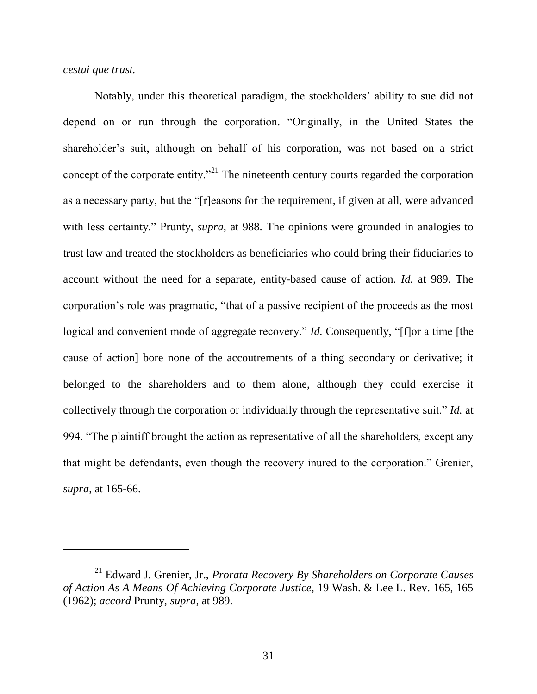*cestui que trust.*

Notably, under this theoretical paradigm, the stockholders' ability to sue did not depend on or run through the corporation. "Originally, in the United States the shareholder's suit, although on behalf of his corporation, was not based on a strict concept of the corporate entity.<sup>221</sup> The nineteenth century courts regarded the corporation as a necessary party, but the "[r]easons for the requirement, if given at all, were advanced with less certainty." Prunty, *supra*, at 988. The opinions were grounded in analogies to trust law and treated the stockholders as beneficiaries who could bring their fiduciaries to account without the need for a separate, entity-based cause of action. *Id.* at 989. The corporation's role was pragmatic, "that of a passive recipient of the proceeds as the most logical and convenient mode of aggregate recovery." *Id.* Consequently, "[f]or a time [the cause of action] bore none of the accoutrements of a thing secondary or derivative; it belonged to the shareholders and to them alone, although they could exercise it collectively through the corporation or individually through the representative suit." *Id.* at 994. "The plaintiff brought the action as representative of all the shareholders, except any that might be defendants, even though the recovery inured to the corporation." Grenier, *supra*, at 165-66.

<sup>21</sup> Edward J. Grenier, Jr., *Prorata Recovery By Shareholders on Corporate Causes of Action As A Means Of Achieving Corporate Justice*, 19 Wash. & Lee L. Rev. 165, 165 (1962); *accord* Prunty, *supra*, at 989.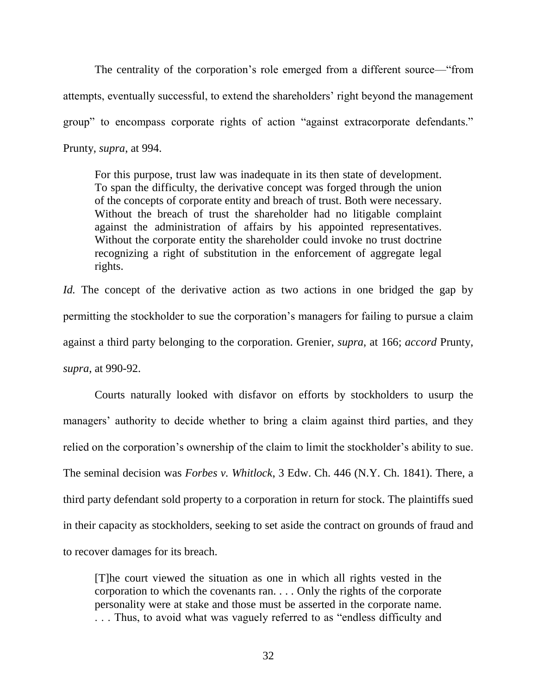The centrality of the corporation's role emerged from a different source—"from attempts, eventually successful, to extend the shareholders' right beyond the management group" to encompass corporate rights of action "against extracorporate defendants." Prunty, *supra*, at 994.

For this purpose, trust law was inadequate in its then state of development. To span the difficulty, the derivative concept was forged through the union of the concepts of corporate entity and breach of trust. Both were necessary. Without the breach of trust the shareholder had no litigable complaint against the administration of affairs by his appointed representatives. Without the corporate entity the shareholder could invoke no trust doctrine recognizing a right of substitution in the enforcement of aggregate legal rights.

*Id.* The concept of the derivative action as two actions in one bridged the gap by permitting the stockholder to sue the corporation's managers for failing to pursue a claim against a third party belonging to the corporation. Grenier, *supra*, at 166; *accord* Prunty, *supra*, at 990-92.

Courts naturally looked with disfavor on efforts by stockholders to usurp the managers' authority to decide whether to bring a claim against third parties, and they relied on the corporation's ownership of the claim to limit the stockholder's ability to sue. The seminal decision was *Forbes v. Whitlock*, 3 Edw. Ch. 446 (N.Y. Ch. 1841). There, a third party defendant sold property to a corporation in return for stock. The plaintiffs sued in their capacity as stockholders, seeking to set aside the contract on grounds of fraud and to recover damages for its breach.

[T]he court viewed the situation as one in which all rights vested in the corporation to which the covenants ran. . . . Only the rights of the corporate personality were at stake and those must be asserted in the corporate name. ... Thus, to avoid what was vaguely referred to as "endless difficulty and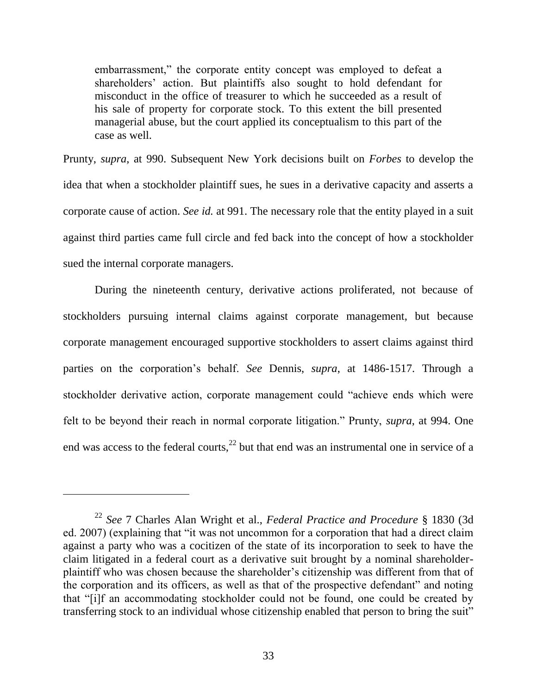embarrassment," the corporate entity concept was employed to defeat a shareholders' action. But plaintiffs also sought to hold defendant for misconduct in the office of treasurer to which he succeeded as a result of his sale of property for corporate stock. To this extent the bill presented managerial abuse, but the court applied its conceptualism to this part of the case as well.

Prunty, *supra*, at 990. Subsequent New York decisions built on *Forbes* to develop the idea that when a stockholder plaintiff sues, he sues in a derivative capacity and asserts a corporate cause of action. *See id.* at 991. The necessary role that the entity played in a suit against third parties came full circle and fed back into the concept of how a stockholder sued the internal corporate managers.

During the nineteenth century, derivative actions proliferated, not because of stockholders pursuing internal claims against corporate management, but because corporate management encouraged supportive stockholders to assert claims against third parties on the corporation's behalf. *See* Dennis, *supra*, at 1486-1517. Through a stockholder derivative action, corporate management could "achieve ends which were felt to be beyond their reach in normal corporate litigation." Prunty, *supra*, at 994. One end was access to the federal courts,  $^{22}$  but that end was an instrumental one in service of a

 $\overline{a}$ 

<sup>22</sup> *See* 7 Charles Alan Wright et al., *Federal Practice and Procedure* § 1830 (3d ed. 2007) (explaining that "it was not uncommon for a corporation that had a direct claim against a party who was a cocitizen of the state of its incorporation to seek to have the claim litigated in a federal court as a derivative suit brought by a nominal shareholderplaintiff who was chosen because the shareholder's citizenship was different from that of the corporation and its officers, as well as that of the prospective defendant" and noting that "[i]f an accommodating stockholder could not be found, one could be created by transferring stock to an individual whose citizenship enabled that person to bring the suit"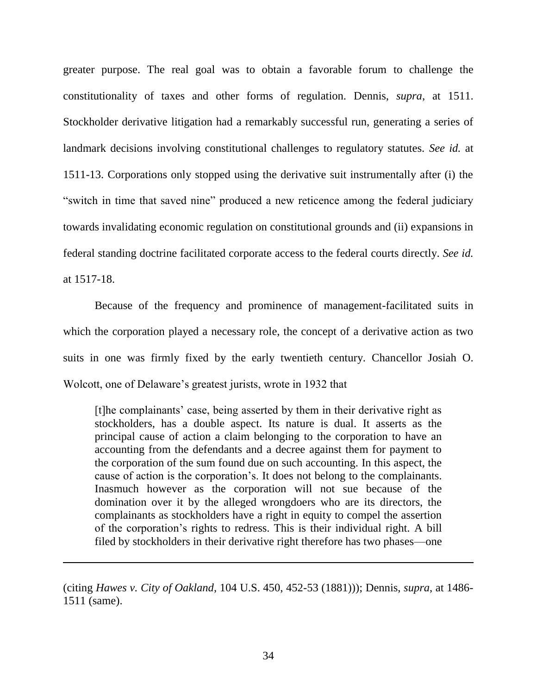greater purpose. The real goal was to obtain a favorable forum to challenge the constitutionality of taxes and other forms of regulation. Dennis, *supra*, at 1511. Stockholder derivative litigation had a remarkably successful run, generating a series of landmark decisions involving constitutional challenges to regulatory statutes. *See id.* at 1511-13. Corporations only stopped using the derivative suit instrumentally after (i) the "switch in time that saved nine" produced a new reticence among the federal judiciary towards invalidating economic regulation on constitutional grounds and (ii) expansions in federal standing doctrine facilitated corporate access to the federal courts directly. *See id.* at 1517-18.

Because of the frequency and prominence of management-facilitated suits in which the corporation played a necessary role, the concept of a derivative action as two suits in one was firmly fixed by the early twentieth century. Chancellor Josiah O. Wolcott, one of Delaware's greatest jurists, wrote in 1932 that

[t]he complainants' case, being asserted by them in their derivative right as stockholders, has a double aspect. Its nature is dual. It asserts as the principal cause of action a claim belonging to the corporation to have an accounting from the defendants and a decree against them for payment to the corporation of the sum found due on such accounting. In this aspect, the cause of action is the corporation's. It does not belong to the complainants. Inasmuch however as the corporation will not sue because of the domination over it by the alleged wrongdoers who are its directors, the complainants as stockholders have a right in equity to compel the assertion of the corporation's rights to redress. This is their individual right. A bill filed by stockholders in their derivative right therefore has two phases—one

(citing *Hawes v. City of Oakland*, 104 U.S. 450, 452-53 (1881))); Dennis, *supra*, at 1486- 1511 (same).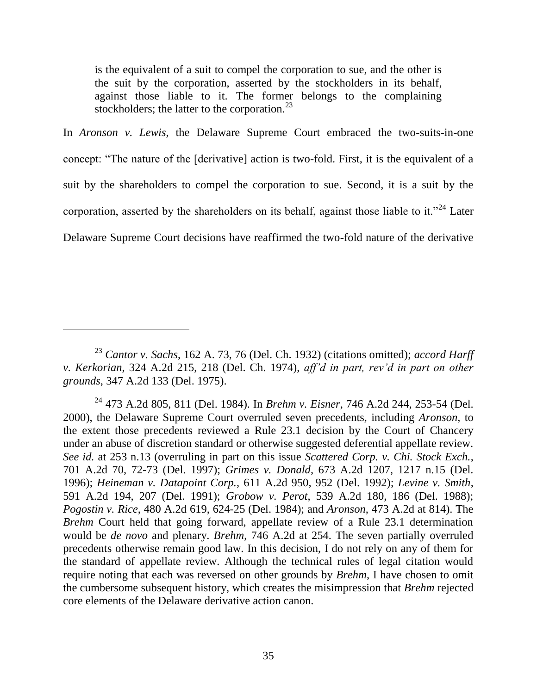is the equivalent of a suit to compel the corporation to sue, and the other is the suit by the corporation, asserted by the stockholders in its behalf, against those liable to it. The former belongs to the complaining stockholders; the latter to the corporation.<sup>23</sup>

In *Aronson v. Lewis*, the Delaware Supreme Court embraced the two-suits-in-one concept: "The nature of the [derivative] action is two-fold. First, it is the equivalent of a suit by the shareholders to compel the corporation to sue. Second, it is a suit by the corporation, asserted by the shareholders on its behalf, against those liable to it.<sup> $24$ </sup> Later Delaware Supreme Court decisions have reaffirmed the two-fold nature of the derivative

<sup>23</sup> *Cantor v. Sachs*, 162 A. 73, 76 (Del. Ch. 1932) (citations omitted); *accord Harff v. Kerkorian*, 324 A.2d 215, 218 (Del. Ch. 1974), *aff'd in part, rev'd in part on other grounds*, 347 A.2d 133 (Del. 1975).

<sup>24</sup> 473 A.2d 805, 811 (Del. 1984). In *Brehm v. Eisner*, 746 A.2d 244, 253-54 (Del. 2000), the Delaware Supreme Court overruled seven precedents, including *Aronson*, to the extent those precedents reviewed a Rule 23.1 decision by the Court of Chancery under an abuse of discretion standard or otherwise suggested deferential appellate review. *See id.* at 253 n.13 (overruling in part on this issue *Scattered Corp. v. Chi. Stock Exch.*, 701 A.2d 70, 72-73 (Del. 1997); *Grimes v. Donald*, 673 A.2d 1207, 1217 n.15 (Del. 1996); *Heineman v. Datapoint Corp.*, 611 A.2d 950, 952 (Del. 1992); *Levine v. Smith*, 591 A.2d 194, 207 (Del. 1991); *Grobow v. Perot*, 539 A.2d 180, 186 (Del. 1988); *Pogostin v. Rice*, 480 A.2d 619, 624-25 (Del. 1984); and *Aronson*, 473 A.2d at 814). The *Brehm* Court held that going forward, appellate review of a Rule 23.1 determination would be *de novo* and plenary. *Brehm*, 746 A.2d at 254. The seven partially overruled precedents otherwise remain good law. In this decision, I do not rely on any of them for the standard of appellate review. Although the technical rules of legal citation would require noting that each was reversed on other grounds by *Brehm*, I have chosen to omit the cumbersome subsequent history, which creates the misimpression that *Brehm* rejected core elements of the Delaware derivative action canon.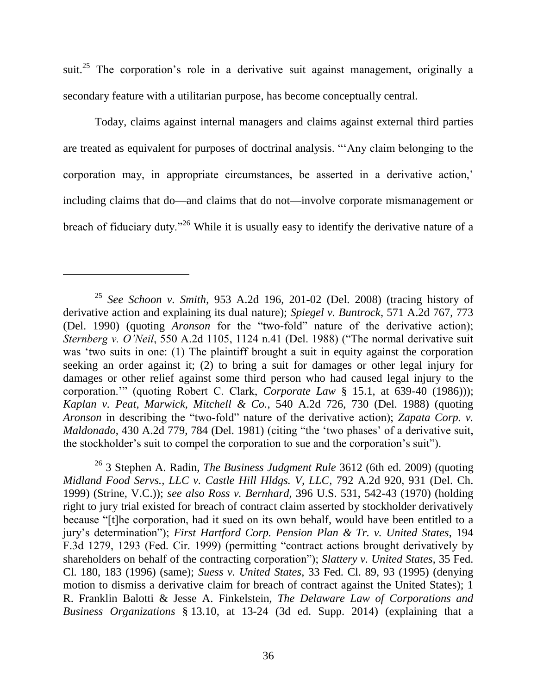suit.<sup>25</sup> The corporation's role in a derivative suit against management, originally a secondary feature with a utilitarian purpose, has become conceptually central.

Today, claims against internal managers and claims against external third parties are treated as equivalent for purposes of doctrinal analysis. "Any claim belonging to the corporation may, in appropriate circumstances, be asserted in a derivative action,' including claims that do—and claims that do not—involve corporate mismanagement or breach of fiduciary duty.<sup>26</sup> While it is usually easy to identify the derivative nature of a

<sup>26</sup> 3 Stephen A. Radin, *The Business Judgment Rule* 3612 (6th ed. 2009) (quoting *Midland Food Servs., LLC v. Castle Hill Hldgs. V, LLC*, 792 A.2d 920, 931 (Del. Ch. 1999) (Strine, V.C.)); *see also Ross v. Bernhard*, 396 U.S. 531, 542-43 (1970) (holding right to jury trial existed for breach of contract claim asserted by stockholder derivatively because "[t]he corporation, had it sued on its own behalf, would have been entitled to a jury's determination"); *First Hartford Corp. Pension Plan & Tr. v. United States*, 194 F.3d 1279, 1293 (Fed. Cir. 1999) (permitting "contract actions brought derivatively by shareholders on behalf of the contracting corporation"); *Slattery v. United States*, 35 Fed. Cl. 180, 183 (1996) (same); *Suess v. United States*, 33 Fed. Cl. 89, 93 (1995) (denying motion to dismiss a derivative claim for breach of contract against the United States); 1 R. Franklin Balotti & Jesse A. Finkelstein, *The Delaware Law of Corporations and Business Organizations* § 13.10, at 13-24 (3d ed. Supp. 2014) (explaining that a

<sup>25</sup> *See Schoon v. Smith*, 953 A.2d 196, 201-02 (Del. 2008) (tracing history of derivative action and explaining its dual nature); *Spiegel v. Buntrock*, 571 A.2d 767, 773 (Del. 1990) (quoting *Aronson* for the "two-fold" nature of the derivative action); *Sternberg v. O'Neil*, 550 A.2d 1105, 1124 n.41 (Del. 1988) ("The normal derivative suit was 'two suits in one: (1) The plaintiff brought a suit in equity against the corporation seeking an order against it; (2) to bring a suit for damages or other legal injury for damages or other relief against some third person who had caused legal injury to the corporation.'‖ (quoting Robert C. Clark, *Corporate Law* § 15.1, at 639-40 (1986))); *Kaplan v. Peat, Marwick, Mitchell & Co.*, 540 A.2d 726, 730 (Del. 1988) (quoting *Aronson* in describing the "two-fold" nature of the derivative action); *Zapata Corp. v. Maldonado*, 430 A.2d 779, 784 (Del. 1981) (citing "the 'two phases' of a derivative suit, the stockholder's suit to compel the corporation to sue and the corporation's suit").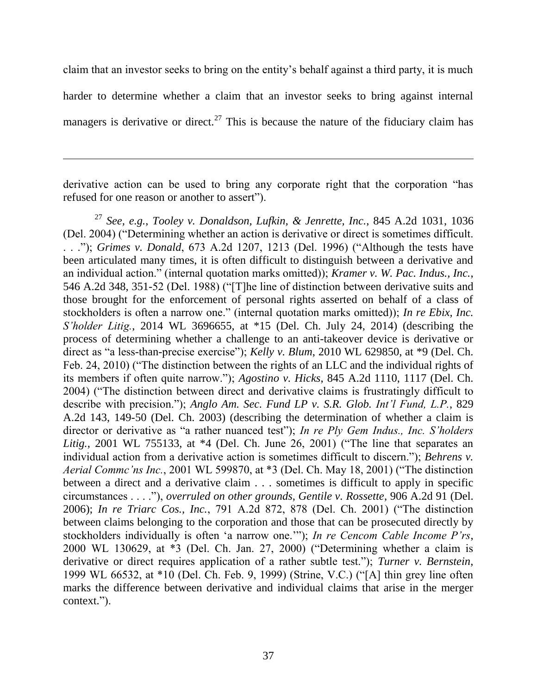claim that an investor seeks to bring on the entity's behalf against a third party, it is much harder to determine whether a claim that an investor seeks to bring against internal managers is derivative or direct.<sup>27</sup> This is because the nature of the fiduciary claim has

derivative action can be used to bring any corporate right that the corporation "has refused for one reason or another to assert").

 $\overline{a}$ 

<sup>27</sup> *See, e.g.*, *Tooley v. Donaldson, Lufkin, & Jenrette, Inc.*, 845 A.2d 1031, 1036 (Del. 2004) ("Determining whether an action is derivative or direct is sometimes difficult. . . ."); *Grimes v. Donald*, 673 A.2d 1207, 1213 (Del. 1996) ("Although the tests have been articulated many times, it is often difficult to distinguish between a derivative and an individual action." (internal quotation marks omitted)); *Kramer v. W. Pac. Indus., Inc.*, 546 A.2d 348, 351-52 (Del. 1988) ("[T]he line of distinction between derivative suits and those brought for the enforcement of personal rights asserted on behalf of a class of stockholders is often a narrow one." (internal quotation marks omitted)); *In re Ebix, Inc. S'holder Litig.*, 2014 WL 3696655, at \*15 (Del. Ch. July 24, 2014) (describing the process of determining whether a challenge to an anti-takeover device is derivative or direct as "a less-than-precise exercise"); *Kelly v. Blum*, 2010 WL 629850, at \*9 (Del. Ch. Feb. 24, 2010) ("The distinction between the rights of an LLC and the individual rights of its members if often quite narrow.‖); *Agostino v. Hicks*, 845 A.2d 1110, 1117 (Del. Ch. 2004) ("The distinction between direct and derivative claims is frustratingly difficult to describe with precision."); *Anglo Am. Sec. Fund LP v. S.R. Glob. Int'l Fund, L.P.*, 829 A.2d 143, 149-50 (Del. Ch. 2003) (describing the determination of whether a claim is director or derivative as "a rather nuanced test"); *In re Ply Gem Indus., Inc. S'holders Litig.*, 2001 WL 755133, at  $*4$  (Del. Ch. June 26, 2001) ("The line that separates an individual action from a derivative action is sometimes difficult to discern."); *Behrens v. Aerial Commc'ns Inc.*, 2001 WL 599870, at \*3 (Del. Ch. May 18, 2001) ("The distinction between a direct and a derivative claim . . . sometimes is difficult to apply in specific circumstances . . . ."), *overruled on other grounds, Gentile v. Rossette*, 906 A.2d 91 (Del.) 2006); *In re Triarc Cos., Inc.*, 791 A.2d 872, 878 (Del. Ch. 2001) ("The distinction between claims belonging to the corporation and those that can be prosecuted directly by stockholders individually is often 'a narrow one.'"); *In re Cencom Cable Income P'rs*,  $2000$  WL 130629, at  $*3$  (Del. Ch. Jan. 27, 2000) ("Determining whether a claim is derivative or direct requires application of a rather subtle test."); *Turner v. Bernstein*, 1999 WL 66532, at  $*10$  (Del. Ch. Feb. 9, 1999) (Strine, V.C.) ("[A] thin grey line often marks the difference between derivative and individual claims that arise in the merger context.").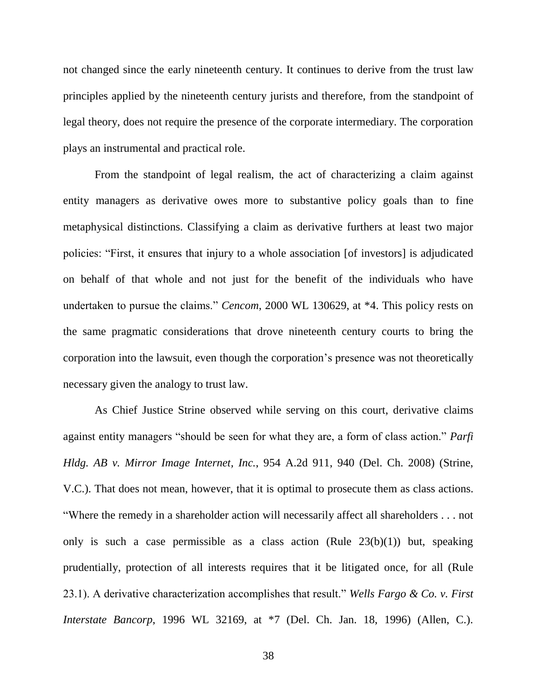not changed since the early nineteenth century. It continues to derive from the trust law principles applied by the nineteenth century jurists and therefore, from the standpoint of legal theory, does not require the presence of the corporate intermediary. The corporation plays an instrumental and practical role.

From the standpoint of legal realism, the act of characterizing a claim against entity managers as derivative owes more to substantive policy goals than to fine metaphysical distinctions. Classifying a claim as derivative furthers at least two major policies: ―First, it ensures that injury to a whole association [of investors] is adjudicated on behalf of that whole and not just for the benefit of the individuals who have undertaken to pursue the claims." *Cencom*, 2000 WL 130629, at \*4. This policy rests on the same pragmatic considerations that drove nineteenth century courts to bring the corporation into the lawsuit, even though the corporation's presence was not theoretically necessary given the analogy to trust law.

As Chief Justice Strine observed while serving on this court, derivative claims against entity managers "should be seen for what they are, a form of class action." *Parfi Hldg. AB v. Mirror Image Internet, Inc.*, 954 A.2d 911, 940 (Del. Ch. 2008) (Strine, V.C.). That does not mean, however, that it is optimal to prosecute them as class actions. "Where the remedy in a shareholder action will necessarily affect all shareholders . . . not only is such a case permissible as a class action (Rule  $23(b)(1)$ ) but, speaking prudentially, protection of all interests requires that it be litigated once, for all (Rule 23.1). A derivative characterization accomplishes that result." Wells Fargo & Co. v. First *Interstate Bancorp*, 1996 WL 32169, at \*7 (Del. Ch. Jan. 18, 1996) (Allen, C.).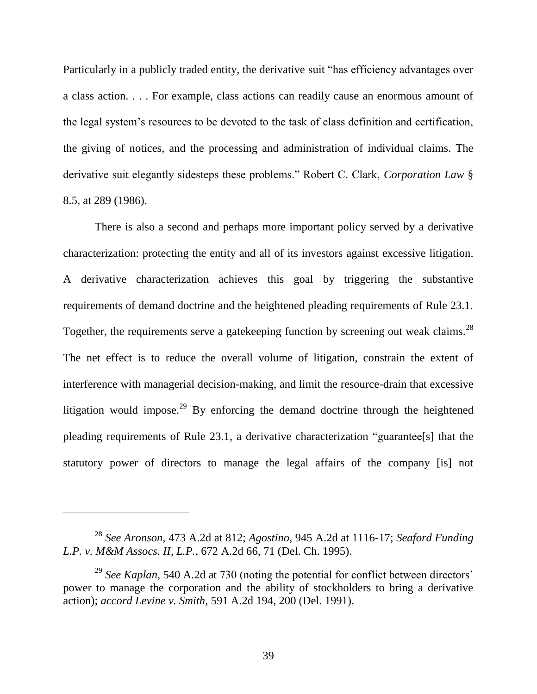Particularly in a publicly traded entity, the derivative suit "has efficiency advantages over a class action. . . . For example, class actions can readily cause an enormous amount of the legal system's resources to be devoted to the task of class definition and certification, the giving of notices, and the processing and administration of individual claims. The derivative suit elegantly sidesteps these problems." Robert C. Clark, *Corporation Law* § 8.5, at 289 (1986).

There is also a second and perhaps more important policy served by a derivative characterization: protecting the entity and all of its investors against excessive litigation. A derivative characterization achieves this goal by triggering the substantive requirements of demand doctrine and the heightened pleading requirements of Rule 23.1. Together, the requirements serve a gatekeeping function by screening out weak claims.<sup>28</sup> The net effect is to reduce the overall volume of litigation, constrain the extent of interference with managerial decision-making, and limit the resource-drain that excessive litigation would impose.<sup>29</sup> By enforcing the demand doctrine through the heightened pleading requirements of Rule 23.1, a derivative characterization "guarantee[s] that the statutory power of directors to manage the legal affairs of the company [is] not

<sup>28</sup> *See Aronson*, 473 A.2d at 812; *Agostino*, 945 A.2d at 1116-17; *Seaford Funding L.P. v. M&M Assocs. II, L.P.*, 672 A.2d 66, 71 (Del. Ch. 1995).

<sup>29</sup> *See Kaplan*, 540 A.2d at 730 (noting the potential for conflict between directors' power to manage the corporation and the ability of stockholders to bring a derivative action); *accord Levine v. Smith*, 591 A.2d 194, 200 (Del. 1991).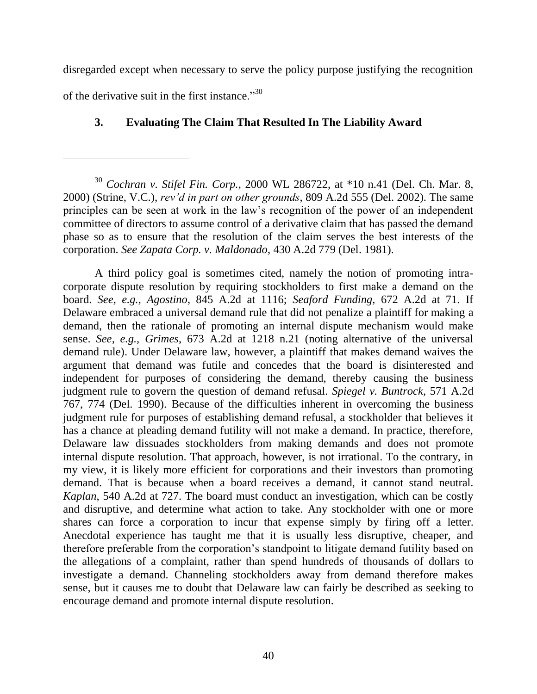disregarded except when necessary to serve the policy purpose justifying the recognition of the derivative suit in the first instance. $^{30}$ 

## **3. Evaluating The Claim That Resulted In The Liability Award**

 $\overline{a}$ 

<sup>30</sup> *Cochran v. Stifel Fin. Corp.*, 2000 WL 286722, at \*10 n.41 (Del. Ch. Mar. 8, 2000) (Strine, V.C.), *rev'd in part on other grounds*, 809 A.2d 555 (Del. 2002). The same principles can be seen at work in the law's recognition of the power of an independent committee of directors to assume control of a derivative claim that has passed the demand phase so as to ensure that the resolution of the claim serves the best interests of the corporation. *See Zapata Corp. v. Maldonado*, 430 A.2d 779 (Del. 1981).

A third policy goal is sometimes cited, namely the notion of promoting intracorporate dispute resolution by requiring stockholders to first make a demand on the board. *See, e.g., Agostino*, 845 A.2d at 1116; *Seaford Funding*, 672 A.2d at 71. If Delaware embraced a universal demand rule that did not penalize a plaintiff for making a demand, then the rationale of promoting an internal dispute mechanism would make sense. *See, e.g., Grimes*, 673 A.2d at 1218 n.21 (noting alternative of the universal demand rule). Under Delaware law, however, a plaintiff that makes demand waives the argument that demand was futile and concedes that the board is disinterested and independent for purposes of considering the demand, thereby causing the business judgment rule to govern the question of demand refusal. *Spiegel v. Buntrock*, 571 A.2d 767, 774 (Del. 1990). Because of the difficulties inherent in overcoming the business judgment rule for purposes of establishing demand refusal, a stockholder that believes it has a chance at pleading demand futility will not make a demand. In practice, therefore, Delaware law dissuades stockholders from making demands and does not promote internal dispute resolution. That approach, however, is not irrational. To the contrary, in my view, it is likely more efficient for corporations and their investors than promoting demand. That is because when a board receives a demand, it cannot stand neutral. *Kaplan*, 540 A.2d at 727. The board must conduct an investigation, which can be costly and disruptive, and determine what action to take. Any stockholder with one or more shares can force a corporation to incur that expense simply by firing off a letter. Anecdotal experience has taught me that it is usually less disruptive, cheaper, and therefore preferable from the corporation's standpoint to litigate demand futility based on the allegations of a complaint, rather than spend hundreds of thousands of dollars to investigate a demand. Channeling stockholders away from demand therefore makes sense, but it causes me to doubt that Delaware law can fairly be described as seeking to encourage demand and promote internal dispute resolution.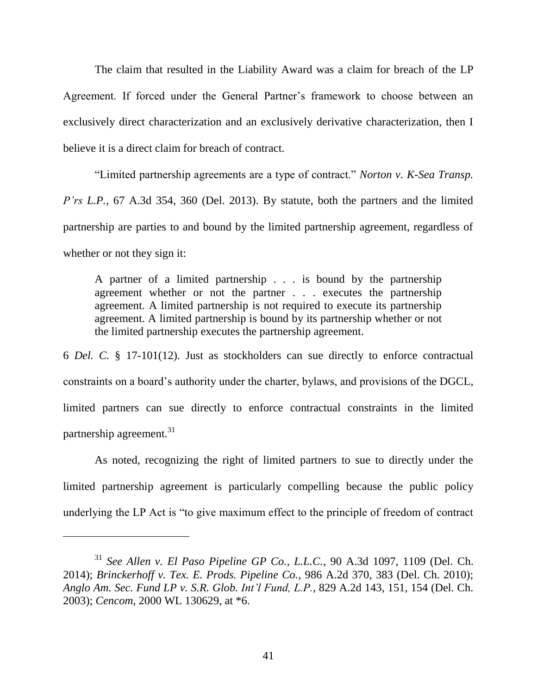The claim that resulted in the Liability Award was a claim for breach of the LP Agreement. If forced under the General Partner's framework to choose between an exclusively direct characterization and an exclusively derivative characterization, then I believe it is a direct claim for breach of contract.

―Limited partnership agreements are a type of contract.‖ *Norton v. K-Sea Transp. P'rs L.P.,* 67 A.3d 354, 360 (Del. 2013). By statute, both the partners and the limited partnership are parties to and bound by the limited partnership agreement, regardless of whether or not they sign it:

A partner of a limited partnership . . . is bound by the partnership agreement whether or not the partner . . . executes the partnership agreement. A limited partnership is not required to execute its partnership agreement. A limited partnership is bound by its partnership whether or not the limited partnership executes the partnership agreement.

6 *Del. C.* § 17-101(12). Just as stockholders can sue directly to enforce contractual constraints on a board's authority under the charter, bylaws, and provisions of the DGCL, limited partners can sue directly to enforce contractual constraints in the limited partnership agreement.<sup>31</sup>

As noted, recognizing the right of limited partners to sue to directly under the limited partnership agreement is particularly compelling because the public policy underlying the LP Act is "to give maximum effect to the principle of freedom of contract

<sup>31</sup> *See Allen v. El Paso Pipeline GP Co., L.L.C.*, 90 A.3d 1097, 1109 (Del. Ch. 2014); *Brinckerhoff v. Tex. E. Prods. Pipeline Co.*, 986 A.2d 370, 383 (Del. Ch. 2010); *Anglo Am. Sec. Fund LP v. S.R. Glob. Int'l Fund, L.P.*, 829 A.2d 143, 151, 154 (Del. Ch. 2003); *Cencom*, 2000 WL 130629, at \*6.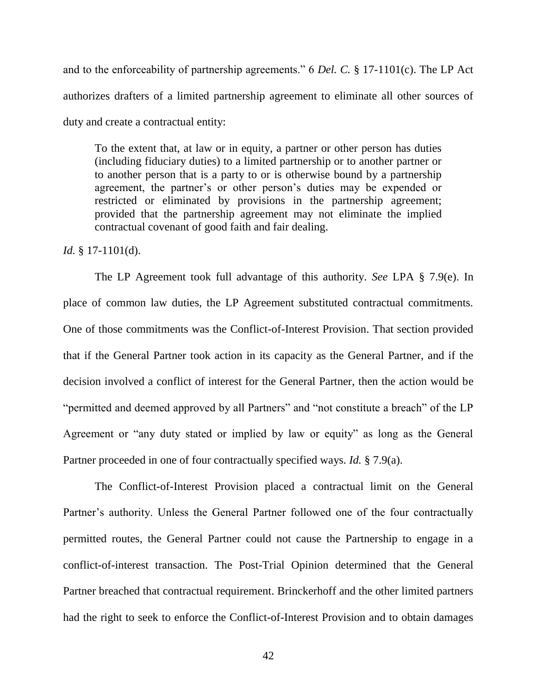and to the enforceability of partnership agreements." 6 *Del. C.* § 17-1101(c). The LP Act authorizes drafters of a limited partnership agreement to eliminate all other sources of duty and create a contractual entity:

To the extent that, at law or in equity, a partner or other person has duties (including fiduciary duties) to a limited partnership or to another partner or to another person that is a party to or is otherwise bound by a partnership agreement, the partner's or other person's duties may be expended or restricted or eliminated by provisions in the partnership agreement; provided that the partnership agreement may not eliminate the implied contractual covenant of good faith and fair dealing.

### *Id.* § 17-1101(d).

The LP Agreement took full advantage of this authority. *See* LPA § 7.9(e). In place of common law duties, the LP Agreement substituted contractual commitments. One of those commitments was the Conflict-of-Interest Provision. That section provided that if the General Partner took action in its capacity as the General Partner, and if the decision involved a conflict of interest for the General Partner, then the action would be "permitted and deemed approved by all Partners" and "not constitute a breach" of the LP Agreement or "any duty stated or implied by law or equity" as long as the General Partner proceeded in one of four contractually specified ways. *Id.* § 7.9(a).

The Conflict-of-Interest Provision placed a contractual limit on the General Partner's authority. Unless the General Partner followed one of the four contractually permitted routes, the General Partner could not cause the Partnership to engage in a conflict-of-interest transaction. The Post-Trial Opinion determined that the General Partner breached that contractual requirement. Brinckerhoff and the other limited partners had the right to seek to enforce the Conflict-of-Interest Provision and to obtain damages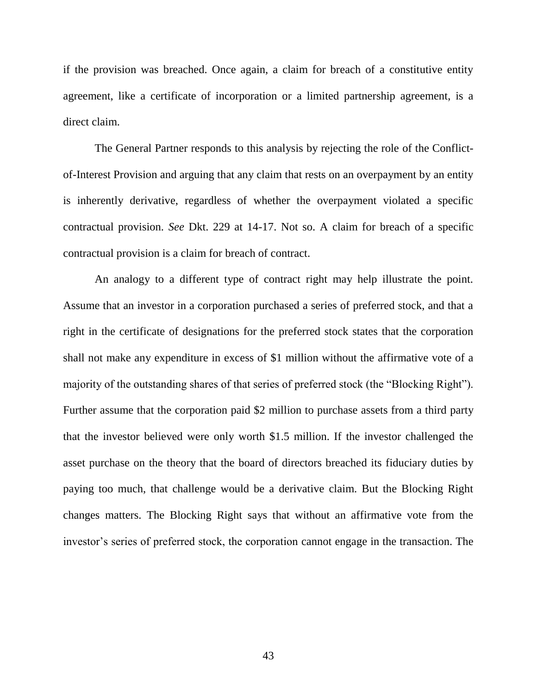if the provision was breached. Once again, a claim for breach of a constitutive entity agreement, like a certificate of incorporation or a limited partnership agreement, is a direct claim.

The General Partner responds to this analysis by rejecting the role of the Conflictof-Interest Provision and arguing that any claim that rests on an overpayment by an entity is inherently derivative, regardless of whether the overpayment violated a specific contractual provision. *See* Dkt. 229 at 14-17. Not so. A claim for breach of a specific contractual provision is a claim for breach of contract.

An analogy to a different type of contract right may help illustrate the point. Assume that an investor in a corporation purchased a series of preferred stock, and that a right in the certificate of designations for the preferred stock states that the corporation shall not make any expenditure in excess of \$1 million without the affirmative vote of a majority of the outstanding shares of that series of preferred stock (the "Blocking Right"). Further assume that the corporation paid \$2 million to purchase assets from a third party that the investor believed were only worth \$1.5 million. If the investor challenged the asset purchase on the theory that the board of directors breached its fiduciary duties by paying too much, that challenge would be a derivative claim. But the Blocking Right changes matters. The Blocking Right says that without an affirmative vote from the investor's series of preferred stock, the corporation cannot engage in the transaction. The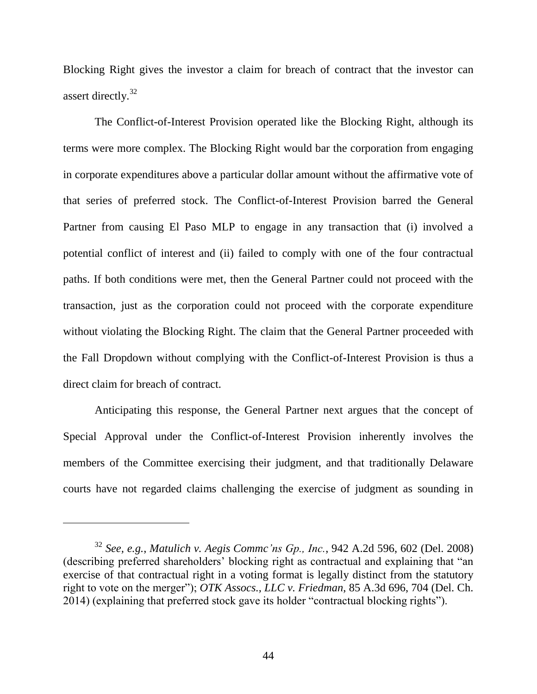Blocking Right gives the investor a claim for breach of contract that the investor can assert directly.<sup>32</sup>

The Conflict-of-Interest Provision operated like the Blocking Right, although its terms were more complex. The Blocking Right would bar the corporation from engaging in corporate expenditures above a particular dollar amount without the affirmative vote of that series of preferred stock. The Conflict-of-Interest Provision barred the General Partner from causing El Paso MLP to engage in any transaction that (i) involved a potential conflict of interest and (ii) failed to comply with one of the four contractual paths. If both conditions were met, then the General Partner could not proceed with the transaction, just as the corporation could not proceed with the corporate expenditure without violating the Blocking Right. The claim that the General Partner proceeded with the Fall Dropdown without complying with the Conflict-of-Interest Provision is thus a direct claim for breach of contract.

Anticipating this response, the General Partner next argues that the concept of Special Approval under the Conflict-of-Interest Provision inherently involves the members of the Committee exercising their judgment, and that traditionally Delaware courts have not regarded claims challenging the exercise of judgment as sounding in

<sup>32</sup> *See, e.g.*, *Matulich v. Aegis Commc'ns Gp., Inc.*, 942 A.2d 596, 602 (Del. 2008) (describing preferred shareholders' blocking right as contractual and explaining that "an exercise of that contractual right in a voting format is legally distinct from the statutory right to vote on the merger"); *OTK Assocs., LLC v. Friedman*, 85 A.3d 696, 704 (Del. Ch. 2014) (explaining that preferred stock gave its holder "contractual blocking rights").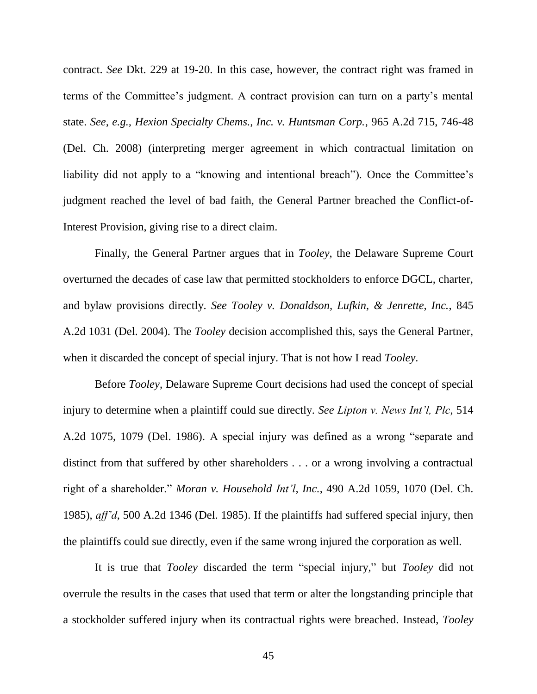contract. *See* Dkt. 229 at 19-20. In this case, however, the contract right was framed in terms of the Committee's judgment. A contract provision can turn on a party's mental state. *See, e.g., Hexion Specialty Chems., Inc. v. Huntsman Corp.*, 965 A.2d 715, 746-48 (Del. Ch. 2008) (interpreting merger agreement in which contractual limitation on liability did not apply to a "knowing and intentional breach"). Once the Committee's judgment reached the level of bad faith, the General Partner breached the Conflict-of-Interest Provision, giving rise to a direct claim.

Finally, the General Partner argues that in *Tooley*, the Delaware Supreme Court overturned the decades of case law that permitted stockholders to enforce DGCL, charter, and bylaw provisions directly. *See Tooley v. Donaldson, Lufkin, & Jenrette, Inc.*, 845 A.2d 1031 (Del. 2004). The *Tooley* decision accomplished this, says the General Partner, when it discarded the concept of special injury. That is not how I read *Tooley*.

Before *Tooley*, Delaware Supreme Court decisions had used the concept of special injury to determine when a plaintiff could sue directly. *See Lipton v. News Int'l, Plc*, 514 A.2d 1075, 1079 (Del. 1986). A special injury was defined as a wrong "separate and distinct from that suffered by other shareholders . . . or a wrong involving a contractual right of a shareholder." *Moran v. Household Int'l, Inc.*, 490 A.2d 1059, 1070 (Del. Ch. 1985), *aff'd*, 500 A.2d 1346 (Del. 1985). If the plaintiffs had suffered special injury, then the plaintiffs could sue directly, even if the same wrong injured the corporation as well.

It is true that *Tooley* discarded the term "special injury," but *Tooley* did not overrule the results in the cases that used that term or alter the longstanding principle that a stockholder suffered injury when its contractual rights were breached. Instead, *Tooley*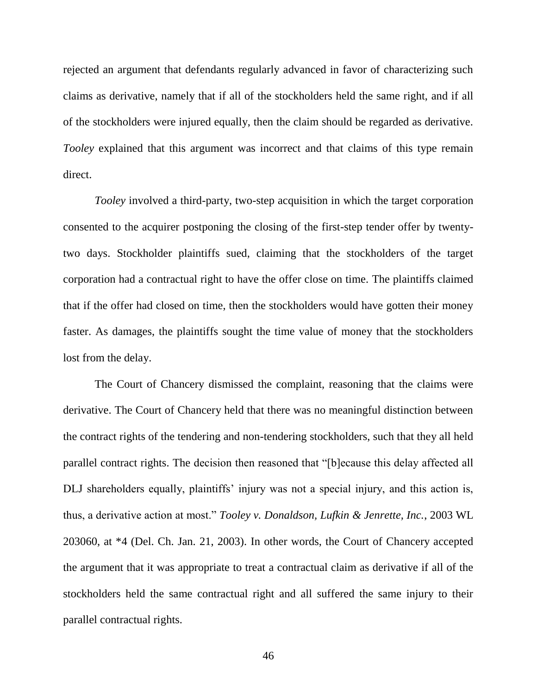rejected an argument that defendants regularly advanced in favor of characterizing such claims as derivative, namely that if all of the stockholders held the same right, and if all of the stockholders were injured equally, then the claim should be regarded as derivative. *Tooley* explained that this argument was incorrect and that claims of this type remain direct.

*Tooley* involved a third-party, two-step acquisition in which the target corporation consented to the acquirer postponing the closing of the first-step tender offer by twentytwo days. Stockholder plaintiffs sued, claiming that the stockholders of the target corporation had a contractual right to have the offer close on time. The plaintiffs claimed that if the offer had closed on time, then the stockholders would have gotten their money faster. As damages, the plaintiffs sought the time value of money that the stockholders lost from the delay.

The Court of Chancery dismissed the complaint, reasoning that the claims were derivative. The Court of Chancery held that there was no meaningful distinction between the contract rights of the tendering and non-tendering stockholders, such that they all held parallel contract rights. The decision then reasoned that "[b] ecause this delay affected all DLJ shareholders equally, plaintiffs' injury was not a special injury, and this action is, thus, a derivative action at most." *Tooley v. Donaldson, Lufkin & Jenrette, Inc.*, 2003 WL 203060, at \*4 (Del. Ch. Jan. 21, 2003). In other words, the Court of Chancery accepted the argument that it was appropriate to treat a contractual claim as derivative if all of the stockholders held the same contractual right and all suffered the same injury to their parallel contractual rights.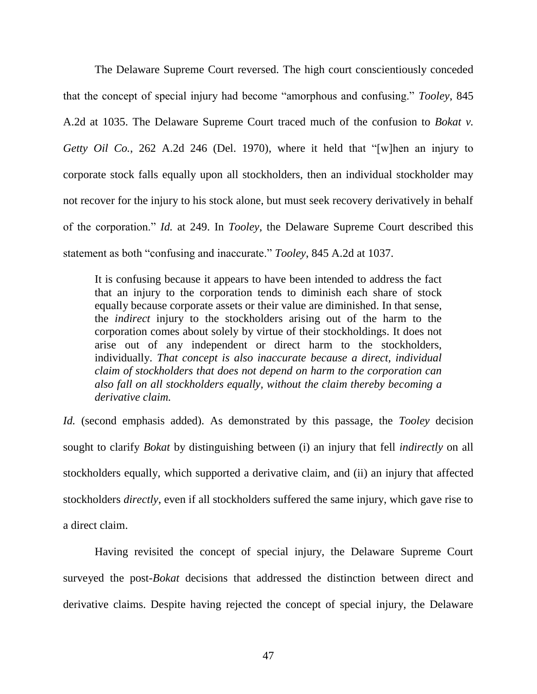The Delaware Supreme Court reversed. The high court conscientiously conceded that the concept of special injury had become "amorphous and confusing." *Tooley*, 845 A.2d at 1035. The Delaware Supreme Court traced much of the confusion to *Bokat v. Getty Oil Co.*, 262 A.2d 246 (Del. 1970), where it held that "[w]hen an injury to corporate stock falls equally upon all stockholders, then an individual stockholder may not recover for the injury to his stock alone, but must seek recovery derivatively in behalf of the corporation.‖ *Id.* at 249. In *Tooley*, the Delaware Supreme Court described this statement as both "confusing and inaccurate." *Tooley*, 845 A.2d at 1037.

It is confusing because it appears to have been intended to address the fact that an injury to the corporation tends to diminish each share of stock equally because corporate assets or their value are diminished. In that sense, the *indirect* injury to the stockholders arising out of the harm to the corporation comes about solely by virtue of their stockholdings. It does not arise out of any independent or direct harm to the stockholders, individually. *That concept is also inaccurate because a direct, individual claim of stockholders that does not depend on harm to the corporation can also fall on all stockholders equally, without the claim thereby becoming a derivative claim.*

*Id.* (second emphasis added). As demonstrated by this passage, the *Tooley* decision sought to clarify *Bokat* by distinguishing between (i) an injury that fell *indirectly* on all stockholders equally, which supported a derivative claim, and (ii) an injury that affected stockholders *directly*, even if all stockholders suffered the same injury, which gave rise to a direct claim.

Having revisited the concept of special injury, the Delaware Supreme Court surveyed the post-*Bokat* decisions that addressed the distinction between direct and derivative claims. Despite having rejected the concept of special injury, the Delaware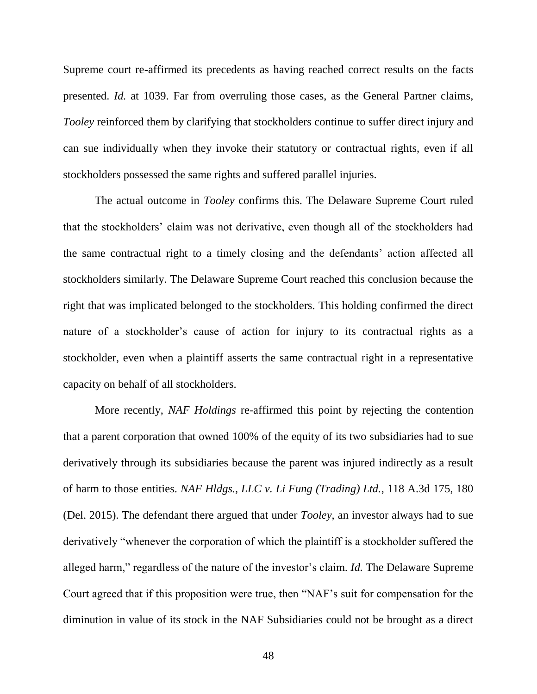Supreme court re-affirmed its precedents as having reached correct results on the facts presented. *Id.* at 1039. Far from overruling those cases, as the General Partner claims, *Tooley* reinforced them by clarifying that stockholders continue to suffer direct injury and can sue individually when they invoke their statutory or contractual rights, even if all stockholders possessed the same rights and suffered parallel injuries.

The actual outcome in *Tooley* confirms this. The Delaware Supreme Court ruled that the stockholders' claim was not derivative, even though all of the stockholders had the same contractual right to a timely closing and the defendants' action affected all stockholders similarly. The Delaware Supreme Court reached this conclusion because the right that was implicated belonged to the stockholders. This holding confirmed the direct nature of a stockholder's cause of action for injury to its contractual rights as a stockholder, even when a plaintiff asserts the same contractual right in a representative capacity on behalf of all stockholders.

More recently, *NAF Holdings* re-affirmed this point by rejecting the contention that a parent corporation that owned 100% of the equity of its two subsidiaries had to sue derivatively through its subsidiaries because the parent was injured indirectly as a result of harm to those entities. *NAF Hldgs., LLC v. Li Fung (Trading) Ltd.*, 118 A.3d 175, 180 (Del. 2015). The defendant there argued that under *Tooley*, an investor always had to sue derivatively "whenever the corporation of which the plaintiff is a stockholder suffered the alleged harm," regardless of the nature of the investor's claim. *Id.* The Delaware Supreme Court agreed that if this proposition were true, then "NAF's suit for compensation for the diminution in value of its stock in the NAF Subsidiaries could not be brought as a direct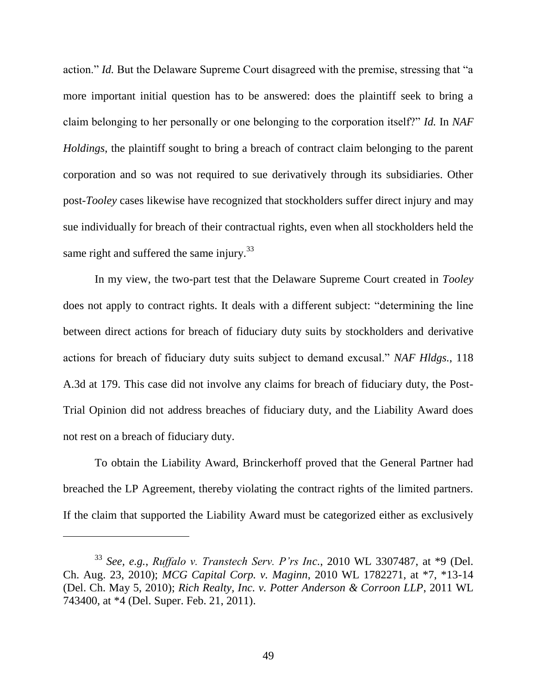action." *Id.* But the Delaware Supreme Court disagreed with the premise, stressing that "a more important initial question has to be answered: does the plaintiff seek to bring a claim belonging to her personally or one belonging to the corporation itself?" *Id.* In *NAF Holdings*, the plaintiff sought to bring a breach of contract claim belonging to the parent corporation and so was not required to sue derivatively through its subsidiaries. Other post-*Tooley* cases likewise have recognized that stockholders suffer direct injury and may sue individually for breach of their contractual rights, even when all stockholders held the same right and suffered the same injury.<sup>33</sup>

In my view, the two-part test that the Delaware Supreme Court created in *Tooley* does not apply to contract rights. It deals with a different subject: "determining the line between direct actions for breach of fiduciary duty suits by stockholders and derivative actions for breach of fiduciary duty suits subject to demand excusal." *NAF Hldgs.*, 118 A.3d at 179. This case did not involve any claims for breach of fiduciary duty, the Post-Trial Opinion did not address breaches of fiduciary duty, and the Liability Award does not rest on a breach of fiduciary duty.

To obtain the Liability Award, Brinckerhoff proved that the General Partner had breached the LP Agreement, thereby violating the contract rights of the limited partners. If the claim that supported the Liability Award must be categorized either as exclusively

<sup>33</sup> *See, e.g.*, *Ruffalo v. Transtech Serv. P'rs Inc.*, 2010 WL 3307487, at \*9 (Del. Ch. Aug. 23, 2010); *MCG Capital Corp. v. Maginn*, 2010 WL 1782271, at \*7, \*13-14 (Del. Ch. May 5, 2010); *Rich Realty, Inc. v. Potter Anderson & Corroon LLP*, 2011 WL 743400, at \*4 (Del. Super. Feb. 21, 2011).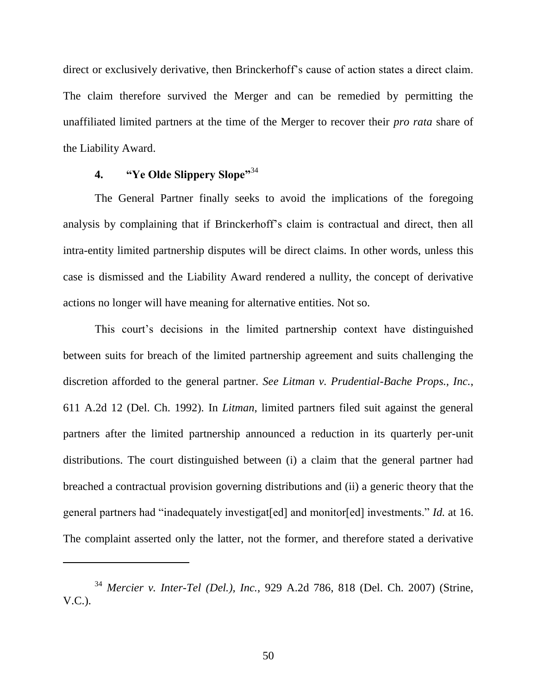direct or exclusively derivative, then Brinckerhoff's cause of action states a direct claim. The claim therefore survived the Merger and can be remedied by permitting the unaffiliated limited partners at the time of the Merger to recover their *pro rata* share of the Liability Award.

# **4. "Ye Olde Slippery Slope"** 34

The General Partner finally seeks to avoid the implications of the foregoing analysis by complaining that if Brinckerhoff's claim is contractual and direct, then all intra-entity limited partnership disputes will be direct claims. In other words, unless this case is dismissed and the Liability Award rendered a nullity, the concept of derivative actions no longer will have meaning for alternative entities. Not so.

This court's decisions in the limited partnership context have distinguished between suits for breach of the limited partnership agreement and suits challenging the discretion afforded to the general partner. *See Litman v. Prudential-Bache Props., Inc.*, 611 A.2d 12 (Del. Ch. 1992). In *Litman*, limited partners filed suit against the general partners after the limited partnership announced a reduction in its quarterly per-unit distributions. The court distinguished between (i) a claim that the general partner had breached a contractual provision governing distributions and (ii) a generic theory that the general partners had "inadequately investigat[ed] and monitor[ed] investments." *Id.* at 16. The complaint asserted only the latter, not the former, and therefore stated a derivative

<sup>34</sup> *Mercier v. Inter-Tel (Del.), Inc.*, 929 A.2d 786, 818 (Del. Ch. 2007) (Strine, V.C.).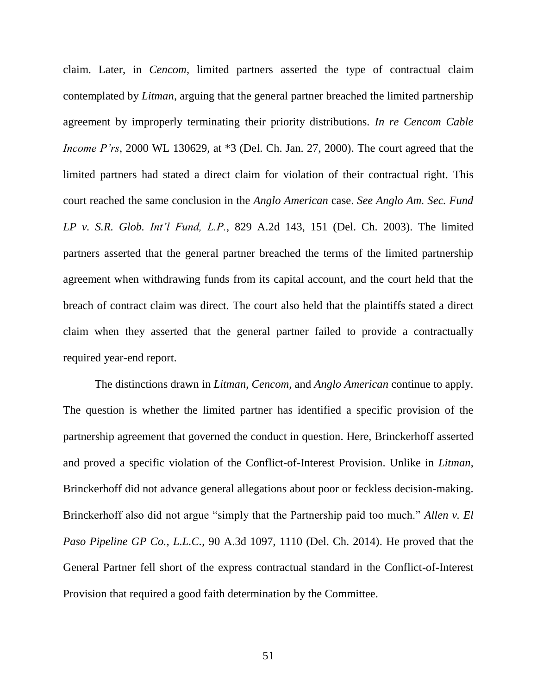claim. Later, in *Cencom*, limited partners asserted the type of contractual claim contemplated by *Litman*, arguing that the general partner breached the limited partnership agreement by improperly terminating their priority distributions. *In re Cencom Cable Income P'rs*, 2000 WL 130629, at \*3 (Del. Ch. Jan. 27, 2000). The court agreed that the limited partners had stated a direct claim for violation of their contractual right. This court reached the same conclusion in the *Anglo American* case. *See Anglo Am. Sec. Fund LP v. S.R. Glob. Int'l Fund, L.P.*, 829 A.2d 143, 151 (Del. Ch. 2003). The limited partners asserted that the general partner breached the terms of the limited partnership agreement when withdrawing funds from its capital account, and the court held that the breach of contract claim was direct. The court also held that the plaintiffs stated a direct claim when they asserted that the general partner failed to provide a contractually required year-end report.

The distinctions drawn in *Litman*, *Cencom*, and *Anglo American* continue to apply. The question is whether the limited partner has identified a specific provision of the partnership agreement that governed the conduct in question. Here, Brinckerhoff asserted and proved a specific violation of the Conflict-of-Interest Provision. Unlike in *Litman*, Brinckerhoff did not advance general allegations about poor or feckless decision-making. Brinckerhoff also did not argue "simply that the Partnership paid too much." *Allen v. El Paso Pipeline GP Co., L.L.C.*, 90 A.3d 1097, 1110 (Del. Ch. 2014). He proved that the General Partner fell short of the express contractual standard in the Conflict-of-Interest Provision that required a good faith determination by the Committee.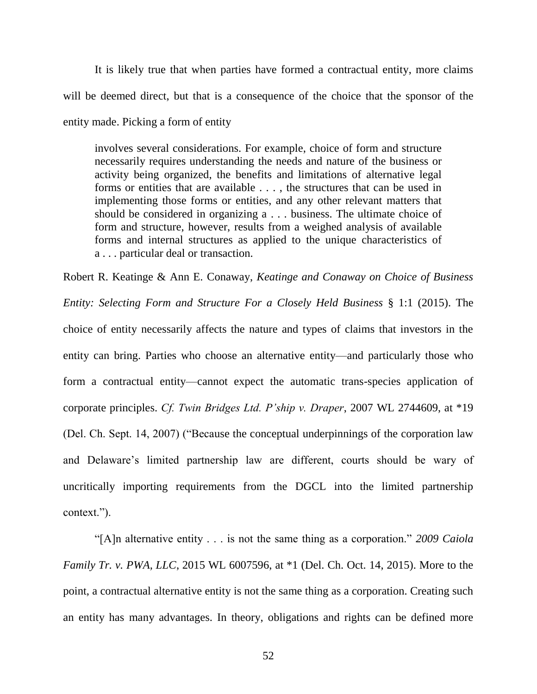It is likely true that when parties have formed a contractual entity, more claims will be deemed direct, but that is a consequence of the choice that the sponsor of the entity made. Picking a form of entity

involves several considerations. For example, choice of form and structure necessarily requires understanding the needs and nature of the business or activity being organized, the benefits and limitations of alternative legal forms or entities that are available . . . , the structures that can be used in implementing those forms or entities, and any other relevant matters that should be considered in organizing a . . . business. The ultimate choice of form and structure, however, results from a weighed analysis of available forms and internal structures as applied to the unique characteristics of a . . . particular deal or transaction.

Robert R. Keatinge & Ann E. Conaway, *Keatinge and Conaway on Choice of Business Entity: Selecting Form and Structure For a Closely Held Business* § 1:1 (2015). The choice of entity necessarily affects the nature and types of claims that investors in the entity can bring. Parties who choose an alternative entity—and particularly those who form a contractual entity—cannot expect the automatic trans-species application of corporate principles. *Cf. Twin Bridges Ltd. P'ship v. Draper*, 2007 WL 2744609, at \*19 (Del. Ch. Sept. 14, 2007) ("Because the conceptual underpinnings of the corporation law and Delaware's limited partnership law are different, courts should be wary of uncritically importing requirements from the DGCL into the limited partnership context.").

―[A]n alternative entity . . . is not the same thing as a corporation.‖ *2009 Caiola Family Tr. v. PWA, LLC*, 2015 WL 6007596, at \*1 (Del. Ch. Oct. 14, 2015). More to the point, a contractual alternative entity is not the same thing as a corporation. Creating such an entity has many advantages. In theory, obligations and rights can be defined more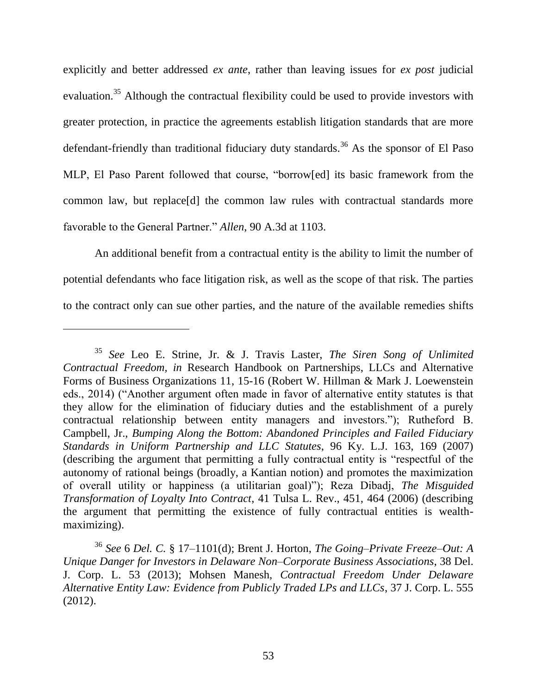explicitly and better addressed *ex ante*, rather than leaving issues for *ex post* judicial evaluation.<sup>35</sup> Although the contractual flexibility could be used to provide investors with greater protection, in practice the agreements establish litigation standards that are more defendant-friendly than traditional fiduciary duty standards.<sup>36</sup> As the sponsor of El Paso MLP, El Paso Parent followed that course, "borrow[ed] its basic framework from the common law, but replace[d] the common law rules with contractual standards more favorable to the General Partner." *Allen*, 90 A.3d at 1103.

An additional benefit from a contractual entity is the ability to limit the number of potential defendants who face litigation risk, as well as the scope of that risk. The parties to the contract only can sue other parties, and the nature of the available remedies shifts

<sup>35</sup> *See* Leo E. Strine, Jr. & J. Travis Laster, *The Siren Song of Unlimited Contractual Freedom, in* Research Handbook on Partnerships, LLCs and Alternative Forms of Business Organizations 11, 15-16 (Robert W. Hillman & Mark J. Loewenstein eds., 2014) ("Another argument often made in favor of alternative entity statutes is that they allow for the elimination of fiduciary duties and the establishment of a purely contractual relationship between entity managers and investors."); Rutheford B. Campbell, Jr., *Bumping Along the Bottom: Abandoned Principles and Failed Fiduciary Standards in Uniform Partnership and LLC Statutes*, 96 Ky. L.J. 163, 169 (2007) (describing the argument that permitting a fully contractual entity is "respectful of the autonomy of rational beings (broadly, a Kantian notion) and promotes the maximization of overall utility or happiness (a utilitarian goal)"); Reza Dibadj, *The Misguided Transformation of Loyalty Into Contract*, 41 Tulsa L. Rev., 451, 464 (2006) (describing the argument that permitting the existence of fully contractual entities is wealthmaximizing).

<sup>36</sup> *See* 6 *Del. C.* § 17–1101(d); Brent J. Horton, *The Going–Private Freeze–Out: A Unique Danger for Investors in Delaware Non–Corporate Business Associations*, 38 Del. J. Corp. L. 53 (2013); Mohsen Manesh, *Contractual Freedom Under Delaware Alternative Entity Law: Evidence from Publicly Traded LPs and LLCs*, 37 J. Corp. L. 555 (2012).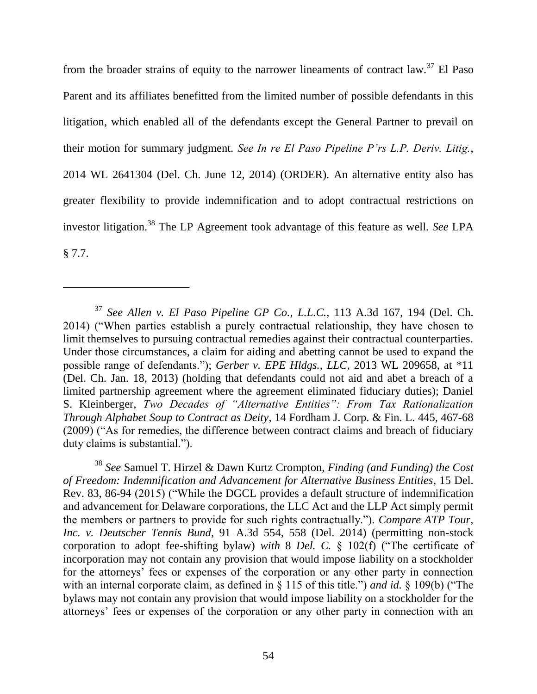from the broader strains of equity to the narrower lineaments of contract  $law.^{37}$  El Paso Parent and its affiliates benefitted from the limited number of possible defendants in this litigation, which enabled all of the defendants except the General Partner to prevail on their motion for summary judgment. *See In re El Paso Pipeline P'rs L.P. Deriv. Litig.*, 2014 WL 2641304 (Del. Ch. June 12, 2014) (ORDER). An alternative entity also has greater flexibility to provide indemnification and to adopt contractual restrictions on investor litigation.<sup>38</sup> The LP Agreement took advantage of this feature as well. *See* LPA § 7.7.

 $\overline{a}$ 

<sup>38</sup> *See* Samuel T. Hirzel & Dawn Kurtz Crompton, *Finding (and Funding) the Cost of Freedom: Indemnification and Advancement for Alternative Business Entities*, 15 Del. Rev. 83, 86-94 (2015) ("While the DGCL provides a default structure of indemnification and advancement for Delaware corporations, the LLC Act and the LLP Act simply permit the members or partners to provide for such rights contractually."). *Compare ATP Tour*, *Inc. v. Deutscher Tennis Bund*, 91 A.3d 554, 558 (Del. 2014) (permitting non-stock corporation to adopt fee-shifting bylaw) *with*  $8$  *Del. C.*  $\frac{8}{3}$  102(f) ("The certificate of incorporation may not contain any provision that would impose liability on a stockholder for the attorneys' fees or expenses of the corporation or any other party in connection with an internal corporate claim, as defined in  $\hat{\zeta}$  115 of this title.") *and id.*  $\hat{\zeta}$  109(b) ("The bylaws may not contain any provision that would impose liability on a stockholder for the attorneys' fees or expenses of the corporation or any other party in connection with an

<sup>37</sup> *See Allen v. El Paso Pipeline GP Co., L.L.C.*, 113 A.3d 167, 194 (Del. Ch. 2014) ("When parties establish a purely contractual relationship, they have chosen to limit themselves to pursuing contractual remedies against their contractual counterparties. Under those circumstances, a claim for aiding and abetting cannot be used to expand the possible range of defendants.‖); *Gerber v. EPE Hldgs., LLC*, 2013 WL 209658, at \*11 (Del. Ch. Jan. 18, 2013) (holding that defendants could not aid and abet a breach of a limited partnership agreement where the agreement eliminated fiduciary duties); Daniel S. Kleinberger, *Two Decades of "Alternative Entities": From Tax Rationalization Through Alphabet Soup to Contract as Deity*, 14 Fordham J. Corp. & Fin. L. 445, 467-68 (2009) ("As for remedies, the difference between contract claims and breach of fiduciary duty claims is substantial.").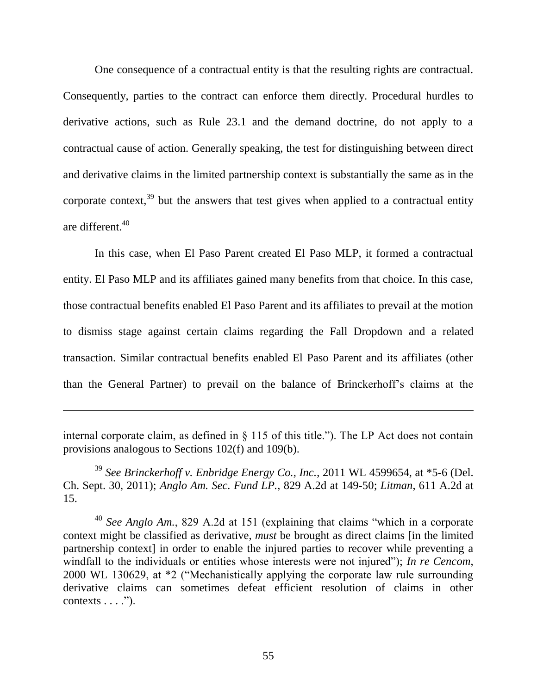One consequence of a contractual entity is that the resulting rights are contractual. Consequently, parties to the contract can enforce them directly. Procedural hurdles to derivative actions, such as Rule 23.1 and the demand doctrine, do not apply to a contractual cause of action. Generally speaking, the test for distinguishing between direct and derivative claims in the limited partnership context is substantially the same as in the corporate context, $39$  but the answers that test gives when applied to a contractual entity are different.<sup>40</sup>

In this case, when El Paso Parent created El Paso MLP, it formed a contractual entity. El Paso MLP and its affiliates gained many benefits from that choice. In this case, those contractual benefits enabled El Paso Parent and its affiliates to prevail at the motion to dismiss stage against certain claims regarding the Fall Dropdown and a related transaction. Similar contractual benefits enabled El Paso Parent and its affiliates (other than the General Partner) to prevail on the balance of Brinckerhoff's claims at the

internal corporate claim, as defined in  $\S$  115 of this title."). The LP Act does not contain provisions analogous to Sections 102(f) and 109(b).

<sup>39</sup> *See Brinckerhoff v. Enbridge Energy Co., Inc.*, 2011 WL 4599654, at \*5-6 (Del. Ch. Sept. 30, 2011); *Anglo Am. Sec. Fund LP.*, 829 A.2d at 149-50; *Litman*, 611 A.2d at 15.

<sup>40</sup> See Anglo Am., 829 A.2d at 151 (explaining that claims "which in a corporate context might be classified as derivative, *must* be brought as direct claims [in the limited partnership context] in order to enable the injured parties to recover while preventing a windfall to the individuals or entities whose interests were not injured"); *In re Cencom*, 2000 WL 130629, at  $*2$  ("Mechanistically applying the corporate law rule surrounding derivative claims can sometimes defeat efficient resolution of claims in other contexts  $\dots$ .").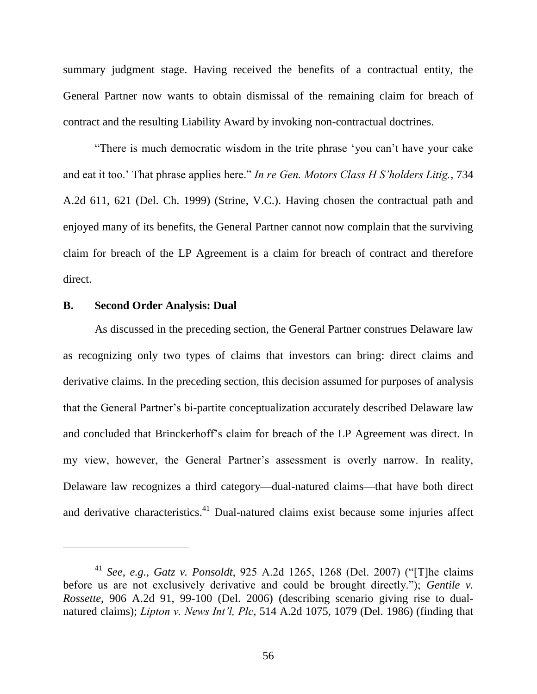summary judgment stage. Having received the benefits of a contractual entity, the General Partner now wants to obtain dismissal of the remaining claim for breach of contract and the resulting Liability Award by invoking non-contractual doctrines.

―There is much democratic wisdom in the trite phrase ‗you can't have your cake and eat it too.' That phrase applies here." *In re Gen. Motors Class H S'holders Litig.*, 734 A.2d 611, 621 (Del. Ch. 1999) (Strine, V.C.). Having chosen the contractual path and enjoyed many of its benefits, the General Partner cannot now complain that the surviving claim for breach of the LP Agreement is a claim for breach of contract and therefore direct.

#### **B. Second Order Analysis: Dual**

As discussed in the preceding section, the General Partner construes Delaware law as recognizing only two types of claims that investors can bring: direct claims and derivative claims. In the preceding section, this decision assumed for purposes of analysis that the General Partner's bi-partite conceptualization accurately described Delaware law and concluded that Brinckerhoff's claim for breach of the LP Agreement was direct. In my view, however, the General Partner's assessment is overly narrow. In reality, Delaware law recognizes a third category—dual-natured claims—that have both direct and derivative characteristics.<sup>41</sup> Dual-natured claims exist because some injuries affect

<sup>&</sup>lt;sup>41</sup> *See, e.g., Gatz v. Ponsoldt, 925 A.2d 1265, 1268 (Del. 2007)* ("[T]he claims before us are not exclusively derivative and could be brought directly."); *Gentile v. Rossette*, 906 A.2d 91, 99-100 (Del. 2006) (describing scenario giving rise to dualnatured claims); *Lipton v. News Int'l, Plc*, 514 A.2d 1075, 1079 (Del. 1986) (finding that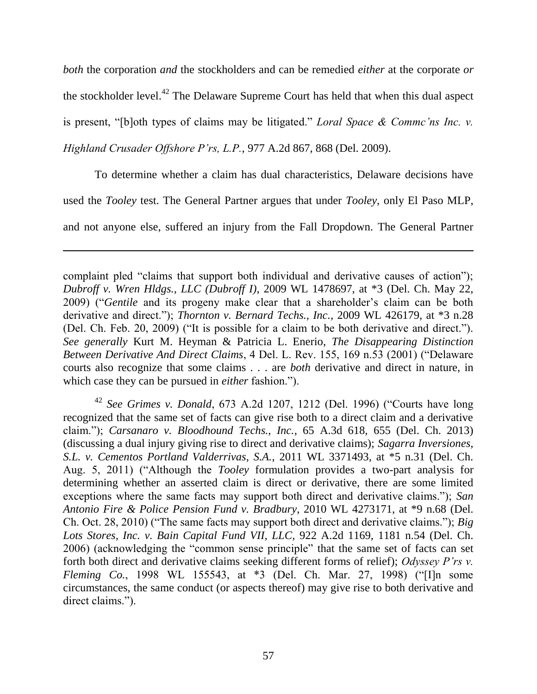*both* the corporation *and* the stockholders and can be remedied *either* at the corporate *or* the stockholder level.<sup>42</sup> The Delaware Supreme Court has held that when this dual aspect is present, "[b]oth types of claims may be litigated." *Loral Space & Commc'ns Inc. v. Highland Crusader Offshore P'rs, L.P.*, 977 A.2d 867, 868 (Del. 2009).

To determine whether a claim has dual characteristics, Delaware decisions have used the *Tooley* test. The General Partner argues that under *Tooley*, only El Paso MLP, and not anyone else, suffered an injury from the Fall Dropdown. The General Partner

complaint pled "claims that support both individual and derivative causes of action"); *Dubroff v. Wren Hldgs., LLC (Dubroff I)*, 2009 WL 1478697, at \*3 (Del. Ch. May 22, 2009) ("*Gentile* and its progeny make clear that a shareholder's claim can be both derivative and direct."); *Thornton v. Bernard Techs., Inc.*, 2009 WL 426179, at \*3 n.28 (Del. Ch. Feb. 20, 2009) ("It is possible for a claim to be both derivative and direct."). *See generally* Kurt M. Heyman & Patricia L. Enerio, *The Disappearing Distinction Between Derivative And Direct Claims*, 4 Del. L. Rev. 155, 169 n.53 (2001) ("Delaware courts also recognize that some claims . . . are *both* derivative and direct in nature, in which case they can be pursued in *either* fashion.").

<sup>42</sup> *See Grimes v. Donald*, 673 A.2d 1207, 1212 (Del. 1996) ("Courts have long recognized that the same set of facts can give rise both to a direct claim and a derivative claim.‖); *Carsanaro v. Bloodhound Techs., Inc.*, 65 A.3d 618, 655 (Del. Ch. 2013) (discussing a dual injury giving rise to direct and derivative claims); *Sagarra Inversiones, S.L. v. Cementos Portland Valderrivas, S.A.*, 2011 WL 3371493, at \*5 n.31 (Del. Ch. Aug. 5, 2011) ("Although the *Tooley* formulation provides a two-part analysis for determining whether an asserted claim is direct or derivative, there are some limited exceptions where the same facts may support both direct and derivative claims."); *San Antonio Fire & Police Pension Fund v. Bradbury*, 2010 WL 4273171, at \*9 n.68 (Del. Ch. Oct. 28, 2010) ("The same facts may support both direct and derivative claims."); *Big Lots Stores, Inc. v. Bain Capital Fund VII, LLC*, 922 A.2d 1169, 1181 n.54 (Del. Ch. 2006) (acknowledging the "common sense principle" that the same set of facts can set forth both direct and derivative claims seeking different forms of relief); *Odyssey P'rs v. Fleming Co.*, 1998 WL 155543, at \*3 (Del. Ch. Mar. 27, 1998) ("[I]n some circumstances, the same conduct (or aspects thereof) may give rise to both derivative and direct claims.").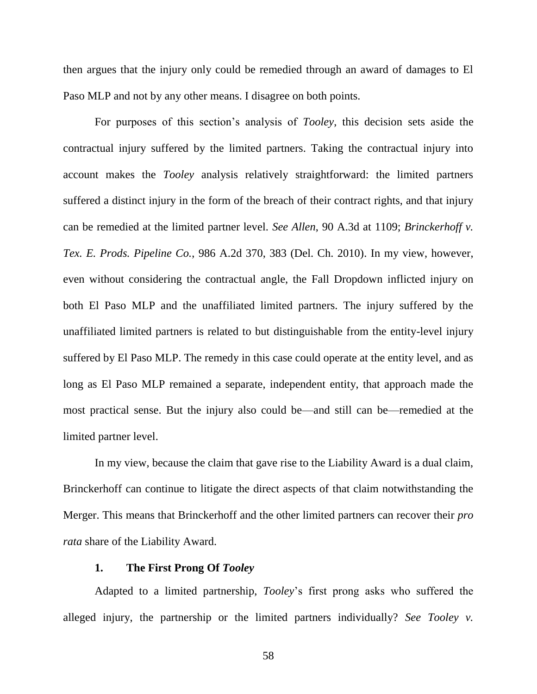then argues that the injury only could be remedied through an award of damages to El Paso MLP and not by any other means. I disagree on both points.

For purposes of this section's analysis of *Tooley*, this decision sets aside the contractual injury suffered by the limited partners. Taking the contractual injury into account makes the *Tooley* analysis relatively straightforward: the limited partners suffered a distinct injury in the form of the breach of their contract rights, and that injury can be remedied at the limited partner level. *See Allen*, 90 A.3d at 1109; *Brinckerhoff v. Tex. E. Prods. Pipeline Co.*, 986 A.2d 370, 383 (Del. Ch. 2010). In my view, however, even without considering the contractual angle, the Fall Dropdown inflicted injury on both El Paso MLP and the unaffiliated limited partners. The injury suffered by the unaffiliated limited partners is related to but distinguishable from the entity-level injury suffered by El Paso MLP. The remedy in this case could operate at the entity level, and as long as El Paso MLP remained a separate, independent entity, that approach made the most practical sense. But the injury also could be—and still can be—remedied at the limited partner level.

In my view, because the claim that gave rise to the Liability Award is a dual claim, Brinckerhoff can continue to litigate the direct aspects of that claim notwithstanding the Merger. This means that Brinckerhoff and the other limited partners can recover their *pro rata* share of the Liability Award.

### **1. The First Prong Of** *Tooley*

Adapted to a limited partnership, *Tooley*'s first prong asks who suffered the alleged injury, the partnership or the limited partners individually? *See Tooley v.*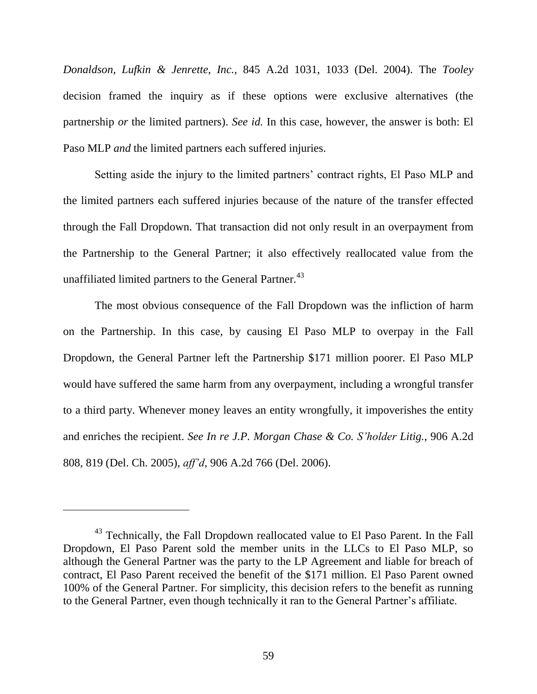*Donaldson, Lufkin & Jenrette, Inc.*, 845 A.2d 1031, 1033 (Del. 2004). The *Tooley*  decision framed the inquiry as if these options were exclusive alternatives (the partnership *or* the limited partners). *See id.* In this case, however, the answer is both: El Paso MLP *and* the limited partners each suffered injuries.

Setting aside the injury to the limited partners' contract rights, El Paso MLP and the limited partners each suffered injuries because of the nature of the transfer effected through the Fall Dropdown. That transaction did not only result in an overpayment from the Partnership to the General Partner; it also effectively reallocated value from the unaffiliated limited partners to the General Partner.<sup>43</sup>

The most obvious consequence of the Fall Dropdown was the infliction of harm on the Partnership. In this case, by causing El Paso MLP to overpay in the Fall Dropdown, the General Partner left the Partnership \$171 million poorer. El Paso MLP would have suffered the same harm from any overpayment, including a wrongful transfer to a third party. Whenever money leaves an entity wrongfully, it impoverishes the entity and enriches the recipient. *See In re J.P. Morgan Chase & Co. S'holder Litig.*, 906 A.2d 808, 819 (Del. Ch. 2005), *aff'd*, 906 A.2d 766 (Del. 2006).

 $\overline{a}$ 

<sup>&</sup>lt;sup>43</sup> Technically, the Fall Dropdown reallocated value to El Paso Parent. In the Fall Dropdown, El Paso Parent sold the member units in the LLCs to El Paso MLP, so although the General Partner was the party to the LP Agreement and liable for breach of contract, El Paso Parent received the benefit of the \$171 million. El Paso Parent owned 100% of the General Partner. For simplicity, this decision refers to the benefit as running to the General Partner, even though technically it ran to the General Partner's affiliate.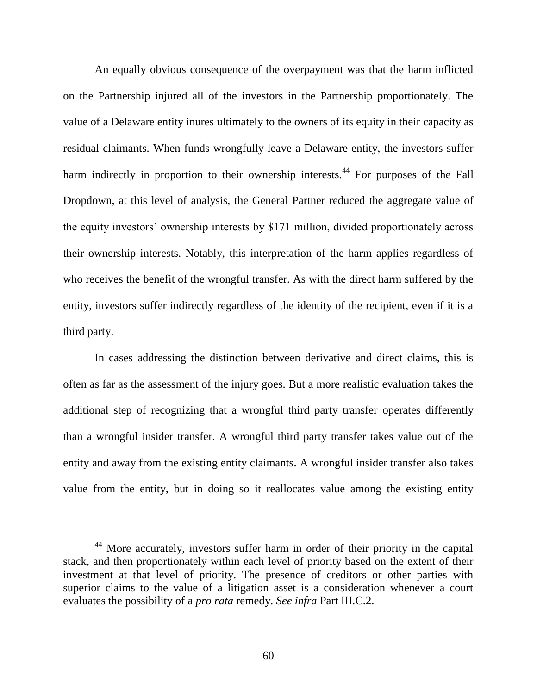An equally obvious consequence of the overpayment was that the harm inflicted on the Partnership injured all of the investors in the Partnership proportionately. The value of a Delaware entity inures ultimately to the owners of its equity in their capacity as residual claimants. When funds wrongfully leave a Delaware entity, the investors suffer harm indirectly in proportion to their ownership interests.<sup>44</sup> For purposes of the Fall Dropdown, at this level of analysis, the General Partner reduced the aggregate value of the equity investors' ownership interests by \$171 million, divided proportionately across their ownership interests. Notably, this interpretation of the harm applies regardless of who receives the benefit of the wrongful transfer. As with the direct harm suffered by the entity, investors suffer indirectly regardless of the identity of the recipient, even if it is a third party.

In cases addressing the distinction between derivative and direct claims, this is often as far as the assessment of the injury goes. But a more realistic evaluation takes the additional step of recognizing that a wrongful third party transfer operates differently than a wrongful insider transfer. A wrongful third party transfer takes value out of the entity and away from the existing entity claimants. A wrongful insider transfer also takes value from the entity, but in doing so it reallocates value among the existing entity

<sup>&</sup>lt;sup>44</sup> More accurately, investors suffer harm in order of their priority in the capital stack, and then proportionately within each level of priority based on the extent of their investment at that level of priority. The presence of creditors or other parties with superior claims to the value of a litigation asset is a consideration whenever a court evaluates the possibility of a *pro rata* remedy. *See infra* Part III.C.2.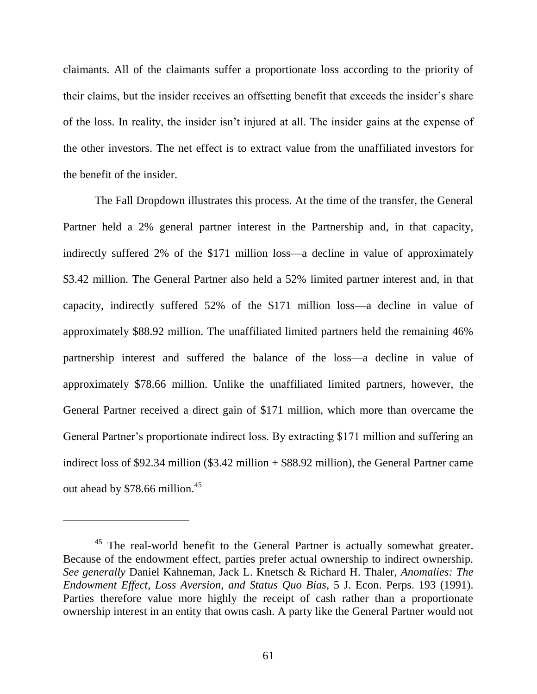claimants. All of the claimants suffer a proportionate loss according to the priority of their claims, but the insider receives an offsetting benefit that exceeds the insider's share of the loss. In reality, the insider isn't injured at all. The insider gains at the expense of the other investors. The net effect is to extract value from the unaffiliated investors for the benefit of the insider.

The Fall Dropdown illustrates this process. At the time of the transfer, the General Partner held a 2% general partner interest in the Partnership and, in that capacity, indirectly suffered 2% of the \$171 million loss—a decline in value of approximately \$3.42 million. The General Partner also held a 52% limited partner interest and, in that capacity, indirectly suffered 52% of the \$171 million loss—a decline in value of approximately \$88.92 million. The unaffiliated limited partners held the remaining 46% partnership interest and suffered the balance of the loss—a decline in value of approximately \$78.66 million. Unlike the unaffiliated limited partners, however, the General Partner received a direct gain of \$171 million, which more than overcame the General Partner's proportionate indirect loss. By extracting \$171 million and suffering an indirect loss of \$92.34 million (\$3.42 million + \$88.92 million), the General Partner came out ahead by \$78.66 million.<sup>45</sup>

 $\overline{a}$ 

<sup>&</sup>lt;sup>45</sup> The real-world benefit to the General Partner is actually somewhat greater. Because of the endowment effect, parties prefer actual ownership to indirect ownership. *See generally* Daniel Kahneman, Jack L. Knetsch & Richard H. Thaler, *Anomalies: The Endowment Effect, Loss Aversion, and Status Quo Bias*, 5 J. Econ. Perps. 193 (1991). Parties therefore value more highly the receipt of cash rather than a proportionate ownership interest in an entity that owns cash. A party like the General Partner would not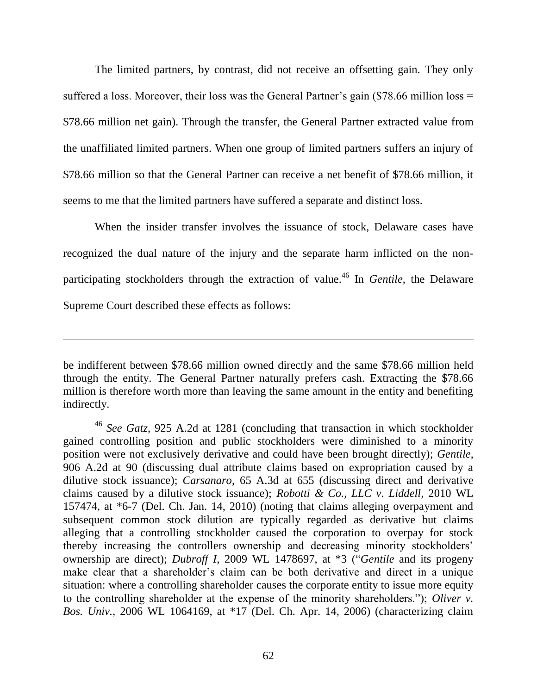The limited partners, by contrast, did not receive an offsetting gain. They only suffered a loss. Moreover, their loss was the General Partner's gain (\$78.66 million loss = \$78.66 million net gain). Through the transfer, the General Partner extracted value from the unaffiliated limited partners. When one group of limited partners suffers an injury of \$78.66 million so that the General Partner can receive a net benefit of \$78.66 million, it seems to me that the limited partners have suffered a separate and distinct loss.

When the insider transfer involves the issuance of stock, Delaware cases have recognized the dual nature of the injury and the separate harm inflicted on the nonparticipating stockholders through the extraction of value.<sup>46</sup> In *Gentile*, the Delaware Supreme Court described these effects as follows:

be indifferent between \$78.66 million owned directly and the same \$78.66 million held through the entity. The General Partner naturally prefers cash. Extracting the \$78.66 million is therefore worth more than leaving the same amount in the entity and benefiting indirectly.

<sup>46</sup> *See Gatz*, 925 A.2d at 1281 (concluding that transaction in which stockholder gained controlling position and public stockholders were diminished to a minority position were not exclusively derivative and could have been brought directly); *Gentile*, 906 A.2d at 90 (discussing dual attribute claims based on expropriation caused by a dilutive stock issuance); *Carsanaro*, 65 A.3d at 655 (discussing direct and derivative claims caused by a dilutive stock issuance); *Robotti & Co., LLC v. Liddell*, 2010 WL 157474, at \*6-7 (Del. Ch. Jan. 14, 2010) (noting that claims alleging overpayment and subsequent common stock dilution are typically regarded as derivative but claims alleging that a controlling stockholder caused the corporation to overpay for stock thereby increasing the controllers ownership and decreasing minority stockholders' ownership are direct); *Dubroff I*, 2009 WL 1478697, at \*3 ("*Gentile* and its progeny make clear that a shareholder's claim can be both derivative and direct in a unique situation: where a controlling shareholder causes the corporate entity to issue more equity to the controlling shareholder at the expense of the minority shareholders."); *Oliver v. Bos. Univ.*, 2006 WL 1064169, at \*17 (Del. Ch. Apr. 14, 2006) (characterizing claim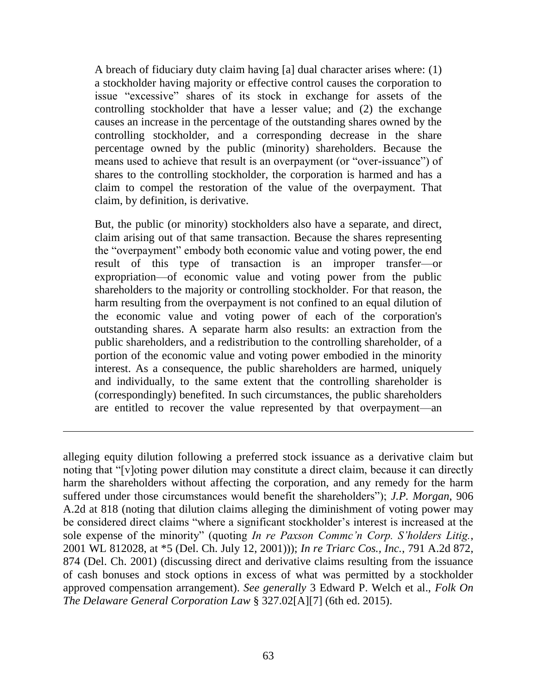A breach of fiduciary duty claim having [a] dual character arises where: (1) a stockholder having majority or effective control causes the corporation to issue "excessive" shares of its stock in exchange for assets of the controlling stockholder that have a lesser value; and (2) the exchange causes an increase in the percentage of the outstanding shares owned by the controlling stockholder, and a corresponding decrease in the share percentage owned by the public (minority) shareholders. Because the means used to achieve that result is an overpayment (or "over-issuance") of shares to the controlling stockholder, the corporation is harmed and has a claim to compel the restoration of the value of the overpayment. That claim, by definition, is derivative.

But, the public (or minority) stockholders also have a separate, and direct, claim arising out of that same transaction. Because the shares representing the "overpayment" embody both economic value and voting power, the end result of this type of transaction is an improper transfer—or expropriation—of economic value and voting power from the public shareholders to the majority or controlling stockholder. For that reason, the harm resulting from the overpayment is not confined to an equal dilution of the economic value and voting power of each of the corporation's outstanding shares. A separate harm also results: an extraction from the public shareholders, and a redistribution to the controlling shareholder, of a portion of the economic value and voting power embodied in the minority interest. As a consequence, the public shareholders are harmed, uniquely and individually, to the same extent that the controlling shareholder is (correspondingly) benefited. In such circumstances, the public shareholders are entitled to recover the value represented by that overpayment—an

alleging equity dilution following a preferred stock issuance as a derivative claim but noting that "[v]oting power dilution may constitute a direct claim, because it can directly harm the shareholders without affecting the corporation, and any remedy for the harm suffered under those circumstances would benefit the shareholders"); *J.P. Morgan*, 906 A.2d at 818 (noting that dilution claims alleging the diminishment of voting power may be considered direct claims "where a significant stockholder's interest is increased at the sole expense of the minority" (quoting *In re Paxson Commc'n Corp. S'holders Litig.*, 2001 WL 812028, at \*5 (Del. Ch. July 12, 2001))); *In re Triarc Cos., Inc.*, 791 A.2d 872, 874 (Del. Ch. 2001) (discussing direct and derivative claims resulting from the issuance of cash bonuses and stock options in excess of what was permitted by a stockholder approved compensation arrangement). *See generally* 3 Edward P. Welch et al., *Folk On The Delaware General Corporation Law* § 327.02[A][7] (6th ed. 2015).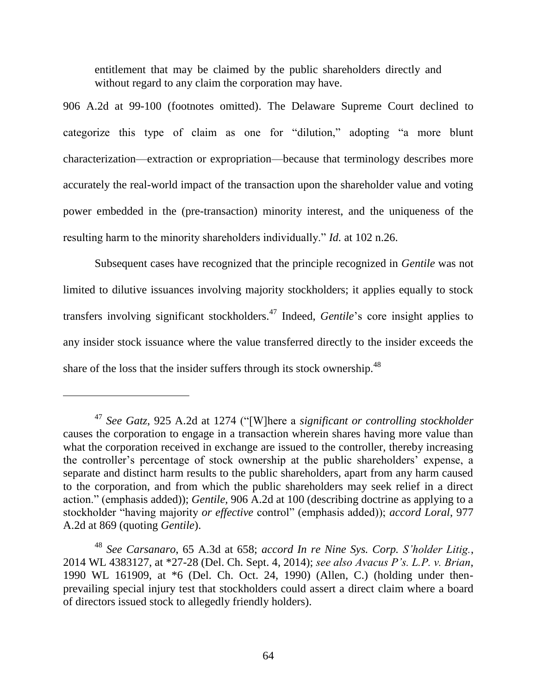entitlement that may be claimed by the public shareholders directly and without regard to any claim the corporation may have.

906 A.2d at 99-100 (footnotes omitted). The Delaware Supreme Court declined to categorize this type of claim as one for "dilution," adopting "a more blunt characterization—extraction or expropriation—because that terminology describes more accurately the real-world impact of the transaction upon the shareholder value and voting power embedded in the (pre-transaction) minority interest, and the uniqueness of the resulting harm to the minority shareholders individually." *Id.* at 102 n.26.

Subsequent cases have recognized that the principle recognized in *Gentile* was not limited to dilutive issuances involving majority stockholders; it applies equally to stock transfers involving significant stockholders.<sup>47</sup> Indeed, *Gentile*'s core insight applies to any insider stock issuance where the value transferred directly to the insider exceeds the share of the loss that the insider suffers through its stock ownership.<sup>48</sup>

<sup>&</sup>lt;sup>47</sup> See Gatz, 925 A.2d at 1274 ("[W]here a *significant or controlling stockholder* causes the corporation to engage in a transaction wherein shares having more value than what the corporation received in exchange are issued to the controller, thereby increasing the controller's percentage of stock ownership at the public shareholders' expense, a separate and distinct harm results to the public shareholders, apart from any harm caused to the corporation, and from which the public shareholders may seek relief in a direct action." (emphasis added)); *Gentile*, 906 A.2d at 100 (describing doctrine as applying to a stockholder "having majority *or effective* control" (emphasis added)); *accord Loral*, 977 A.2d at 869 (quoting *Gentile*).

<sup>48</sup> *See Carsanaro*, 65 A.3d at 658; *accord In re Nine Sys. Corp. S'holder Litig.*, 2014 WL 4383127, at \*27-28 (Del. Ch. Sept. 4, 2014); *see also Avacus P's. L.P. v. Brian*, 1990 WL 161909, at \*6 (Del. Ch. Oct. 24, 1990) (Allen, C.) (holding under thenprevailing special injury test that stockholders could assert a direct claim where a board of directors issued stock to allegedly friendly holders).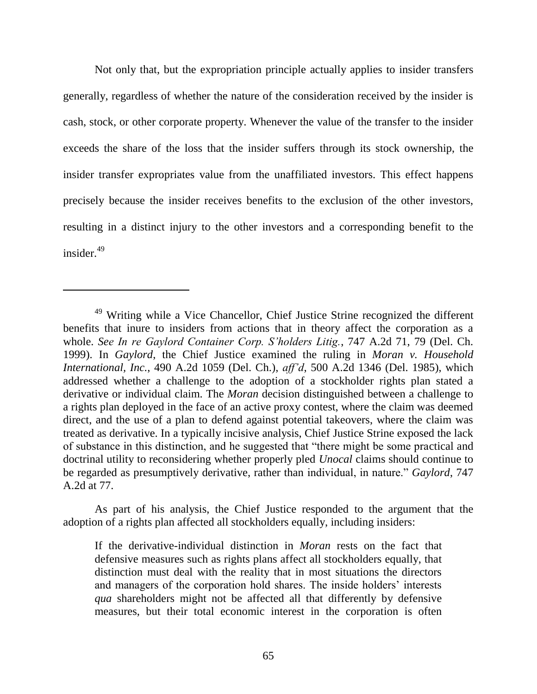Not only that, but the expropriation principle actually applies to insider transfers generally, regardless of whether the nature of the consideration received by the insider is cash, stock, or other corporate property. Whenever the value of the transfer to the insider exceeds the share of the loss that the insider suffers through its stock ownership, the insider transfer expropriates value from the unaffiliated investors. This effect happens precisely because the insider receives benefits to the exclusion of the other investors, resulting in a distinct injury to the other investors and a corresponding benefit to the insider.<sup>49</sup>

 $\overline{a}$ 

As part of his analysis, the Chief Justice responded to the argument that the adoption of a rights plan affected all stockholders equally, including insiders:

If the derivative-individual distinction in *Moran* rests on the fact that defensive measures such as rights plans affect all stockholders equally, that distinction must deal with the reality that in most situations the directors and managers of the corporation hold shares. The inside holders' interests *qua* shareholders might not be affected all that differently by defensive measures, but their total economic interest in the corporation is often

<sup>&</sup>lt;sup>49</sup> Writing while a Vice Chancellor, Chief Justice Strine recognized the different benefits that inure to insiders from actions that in theory affect the corporation as a whole. *See In re Gaylord Container Corp. S'holders Litig.*, 747 A.2d 71, 79 (Del. Ch. 1999). In *Gaylord*, the Chief Justice examined the ruling in *Moran v. Household International, Inc.*, 490 A.2d 1059 (Del. Ch.), *aff'd*, 500 A.2d 1346 (Del. 1985), which addressed whether a challenge to the adoption of a stockholder rights plan stated a derivative or individual claim. The *Moran* decision distinguished between a challenge to a rights plan deployed in the face of an active proxy contest, where the claim was deemed direct, and the use of a plan to defend against potential takeovers, where the claim was treated as derivative. In a typically incisive analysis, Chief Justice Strine exposed the lack of substance in this distinction, and he suggested that "there might be some practical and doctrinal utility to reconsidering whether properly pled *Unocal* claims should continue to be regarded as presumptively derivative, rather than individual, in nature." *Gaylord*, 747 A.2d at 77.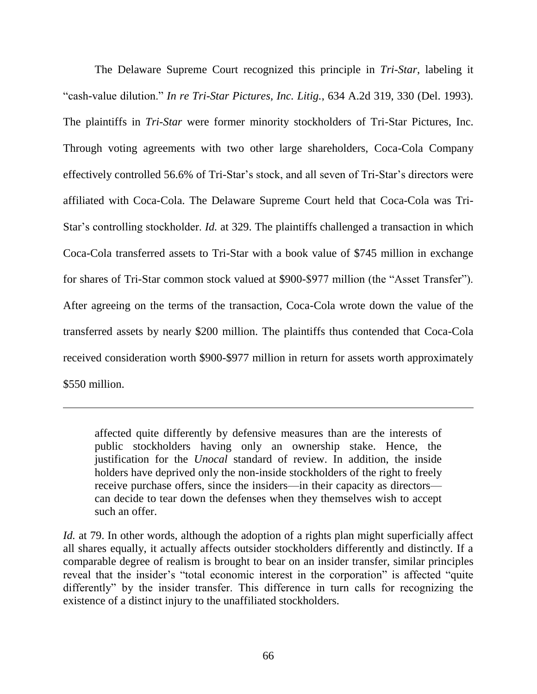The Delaware Supreme Court recognized this principle in *Tri-Star*, labeling it "cash-value dilution." *In re Tri-Star Pictures, Inc. Litig.*, 634 A.2d 319, 330 (Del. 1993). The plaintiffs in *Tri-Star* were former minority stockholders of Tri-Star Pictures, Inc. Through voting agreements with two other large shareholders, Coca-Cola Company effectively controlled 56.6% of Tri-Star's stock, and all seven of Tri-Star's directors were affiliated with Coca-Cola. The Delaware Supreme Court held that Coca-Cola was Tri-Star's controlling stockholder. *Id.* at 329. The plaintiffs challenged a transaction in which Coca-Cola transferred assets to Tri-Star with a book value of \$745 million in exchange for shares of Tri-Star common stock valued at \$900-\$977 million (the "Asset Transfer"). After agreeing on the terms of the transaction, Coca-Cola wrote down the value of the transferred assets by nearly \$200 million. The plaintiffs thus contended that Coca-Cola received consideration worth \$900-\$977 million in return for assets worth approximately \$550 million.

affected quite differently by defensive measures than are the interests of public stockholders having only an ownership stake. Hence, the justification for the *Unocal* standard of review. In addition, the inside holders have deprived only the non-inside stockholders of the right to freely receive purchase offers, since the insiders—in their capacity as directors can decide to tear down the defenses when they themselves wish to accept such an offer.

 $\overline{a}$ 

*Id.* at 79. In other words, although the adoption of a rights plan might superficially affect all shares equally, it actually affects outsider stockholders differently and distinctly. If a comparable degree of realism is brought to bear on an insider transfer, similar principles reveal that the insider's "total economic interest in the corporation" is affected "quite differently" by the insider transfer. This difference in turn calls for recognizing the existence of a distinct injury to the unaffiliated stockholders.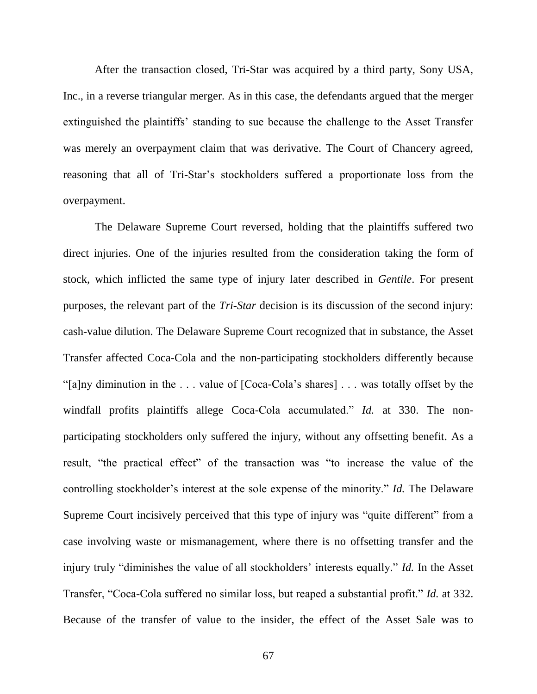After the transaction closed, Tri-Star was acquired by a third party, Sony USA, Inc., in a reverse triangular merger. As in this case, the defendants argued that the merger extinguished the plaintiffs' standing to sue because the challenge to the Asset Transfer was merely an overpayment claim that was derivative. The Court of Chancery agreed, reasoning that all of Tri-Star's stockholders suffered a proportionate loss from the overpayment.

The Delaware Supreme Court reversed, holding that the plaintiffs suffered two direct injuries. One of the injuries resulted from the consideration taking the form of stock, which inflicted the same type of injury later described in *Gentile*. For present purposes, the relevant part of the *Tri-Star* decision is its discussion of the second injury: cash-value dilution. The Delaware Supreme Court recognized that in substance, the Asset Transfer affected Coca-Cola and the non-participating stockholders differently because "[a]ny diminution in the ... value of  $[Coca-Cola's shares]$ ... was totally offset by the windfall profits plaintiffs allege Coca-Cola accumulated." *Id.* at 330. The nonparticipating stockholders only suffered the injury, without any offsetting benefit. As a result, "the practical effect" of the transaction was "to increase the value of the controlling stockholder's interest at the sole expense of the minority." *Id.* The Delaware Supreme Court incisively perceived that this type of injury was "quite different" from a case involving waste or mismanagement, where there is no offsetting transfer and the injury truly "diminishes the value of all stockholders' interests equally." *Id.* In the Asset Transfer, "Coca-Cola suffered no similar loss, but reaped a substantial profit." *Id.* at 332. Because of the transfer of value to the insider, the effect of the Asset Sale was to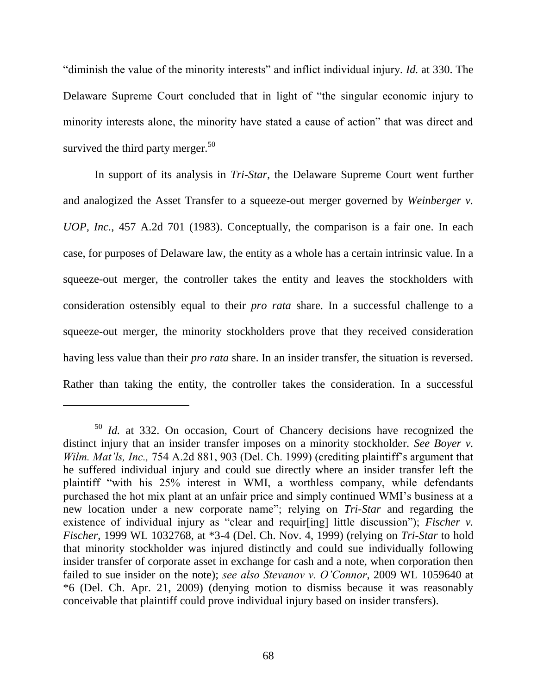"diminish the value of the minority interests" and inflict individual injury. *Id.* at 330. The Delaware Supreme Court concluded that in light of "the singular economic injury to minority interests alone, the minority have stated a cause of action" that was direct and survived the third party merger. $50$ 

In support of its analysis in *Tri-Star*, the Delaware Supreme Court went further and analogized the Asset Transfer to a squeeze-out merger governed by *Weinberger v. UOP, Inc.*, 457 A.2d 701 (1983). Conceptually, the comparison is a fair one. In each case, for purposes of Delaware law, the entity as a whole has a certain intrinsic value. In a squeeze-out merger, the controller takes the entity and leaves the stockholders with consideration ostensibly equal to their *pro rata* share. In a successful challenge to a squeeze-out merger, the minority stockholders prove that they received consideration having less value than their *pro rata* share. In an insider transfer, the situation is reversed. Rather than taking the entity, the controller takes the consideration. In a successful

 $\overline{a}$ 

<sup>50</sup> *Id.* at 332. On occasion, Court of Chancery decisions have recognized the distinct injury that an insider transfer imposes on a minority stockholder. *See Boyer v. Wilm. Mat'ls, Inc.,* 754 A.2d 881, 903 (Del. Ch. 1999) (crediting plaintiff's argument that he suffered individual injury and could sue directly where an insider transfer left the plaintiff "with his 25% interest in WMI, a worthless company, while defendants purchased the hot mix plant at an unfair price and simply continued WMI's business at a new location under a new corporate name"; relying on *Tri-Star* and regarding the existence of individual injury as "clear and requir[ing] little discussion"); *Fischer v. Fischer*, 1999 WL 1032768, at \*3-4 (Del. Ch. Nov. 4, 1999) (relying on *Tri-Star* to hold that minority stockholder was injured distinctly and could sue individually following insider transfer of corporate asset in exchange for cash and a note, when corporation then failed to sue insider on the note); *see also Stevanov v. O'Connor*, 2009 WL 1059640 at \*6 (Del. Ch. Apr. 21, 2009) (denying motion to dismiss because it was reasonably conceivable that plaintiff could prove individual injury based on insider transfers).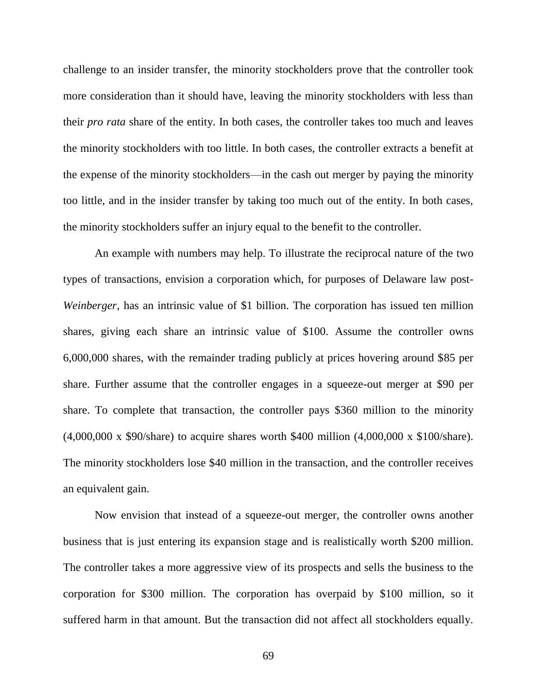challenge to an insider transfer, the minority stockholders prove that the controller took more consideration than it should have, leaving the minority stockholders with less than their *pro rata* share of the entity. In both cases, the controller takes too much and leaves the minority stockholders with too little. In both cases, the controller extracts a benefit at the expense of the minority stockholders—in the cash out merger by paying the minority too little, and in the insider transfer by taking too much out of the entity. In both cases, the minority stockholders suffer an injury equal to the benefit to the controller.

An example with numbers may help. To illustrate the reciprocal nature of the two types of transactions, envision a corporation which, for purposes of Delaware law post-*Weinberger*, has an intrinsic value of \$1 billion. The corporation has issued ten million shares, giving each share an intrinsic value of \$100. Assume the controller owns 6,000,000 shares, with the remainder trading publicly at prices hovering around \$85 per share. Further assume that the controller engages in a squeeze-out merger at \$90 per share. To complete that transaction, the controller pays \$360 million to the minority (4,000,000 x \$90/share) to acquire shares worth \$400 million (4,000,000 x \$100/share). The minority stockholders lose \$40 million in the transaction, and the controller receives an equivalent gain.

Now envision that instead of a squeeze-out merger, the controller owns another business that is just entering its expansion stage and is realistically worth \$200 million. The controller takes a more aggressive view of its prospects and sells the business to the corporation for \$300 million. The corporation has overpaid by \$100 million, so it suffered harm in that amount. But the transaction did not affect all stockholders equally.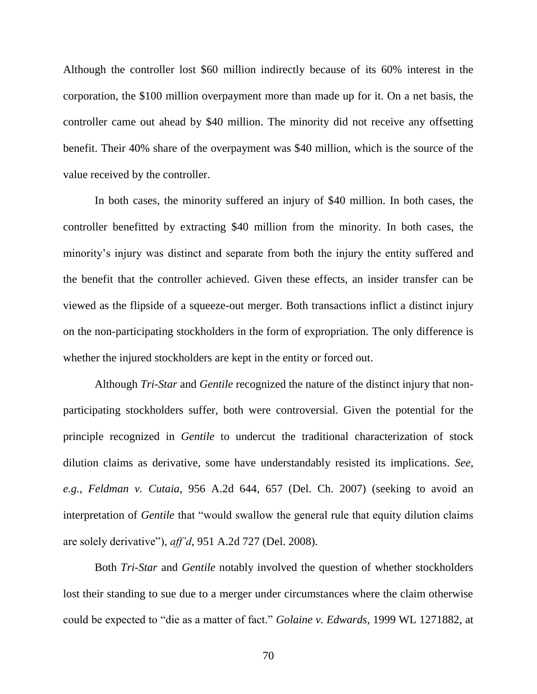Although the controller lost \$60 million indirectly because of its 60% interest in the corporation, the \$100 million overpayment more than made up for it. On a net basis, the controller came out ahead by \$40 million. The minority did not receive any offsetting benefit. Their 40% share of the overpayment was \$40 million, which is the source of the value received by the controller.

In both cases, the minority suffered an injury of \$40 million. In both cases, the controller benefitted by extracting \$40 million from the minority. In both cases, the minority's injury was distinct and separate from both the injury the entity suffered and the benefit that the controller achieved. Given these effects, an insider transfer can be viewed as the flipside of a squeeze-out merger. Both transactions inflict a distinct injury on the non-participating stockholders in the form of expropriation. The only difference is whether the injured stockholders are kept in the entity or forced out.

Although *Tri-Star* and *Gentile* recognized the nature of the distinct injury that nonparticipating stockholders suffer, both were controversial. Given the potential for the principle recognized in *Gentile* to undercut the traditional characterization of stock dilution claims as derivative, some have understandably resisted its implications. *See, e.g.*, *Feldman v. Cutaia*, 956 A.2d 644, 657 (Del. Ch. 2007) (seeking to avoid an interpretation of *Gentile* that "would swallow the general rule that equity dilution claims are solely derivative"), *aff'd*, 951 A.2d 727 (Del. 2008).

Both *Tri-Star* and *Gentile* notably involved the question of whether stockholders lost their standing to sue due to a merger under circumstances where the claim otherwise could be expected to "die as a matter of fact." *Golaine v. Edwards*, 1999 WL 1271882, at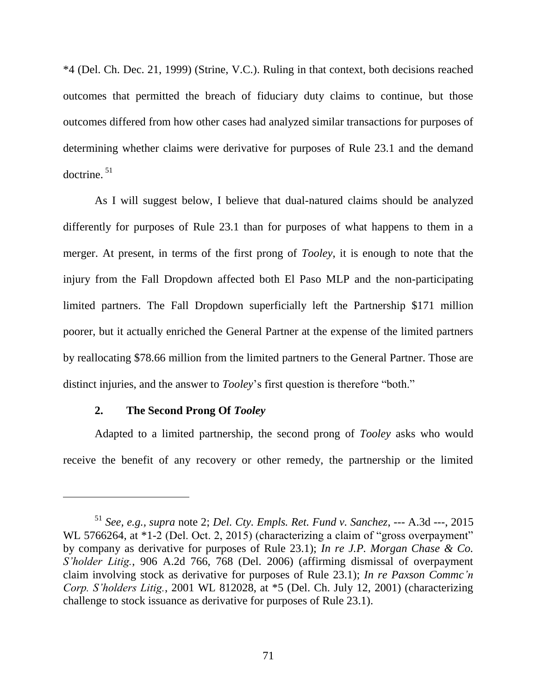\*4 (Del. Ch. Dec. 21, 1999) (Strine, V.C.). Ruling in that context, both decisions reached outcomes that permitted the breach of fiduciary duty claims to continue, but those outcomes differed from how other cases had analyzed similar transactions for purposes of determining whether claims were derivative for purposes of Rule 23.1 and the demand doctrine. 51

As I will suggest below, I believe that dual-natured claims should be analyzed differently for purposes of Rule 23.1 than for purposes of what happens to them in a merger. At present, in terms of the first prong of *Tooley*, it is enough to note that the injury from the Fall Dropdown affected both El Paso MLP and the non-participating limited partners. The Fall Dropdown superficially left the Partnership \$171 million poorer, but it actually enriched the General Partner at the expense of the limited partners by reallocating \$78.66 million from the limited partners to the General Partner. Those are distinct injuries, and the answer to *Tooley*'s first question is therefore "both."

#### **2. The Second Prong Of** *Tooley*

 $\overline{a}$ 

Adapted to a limited partnership, the second prong of *Tooley* asks who would receive the benefit of any recovery or other remedy, the partnership or the limited

<sup>51</sup> *See, e.g., supra* note 2; *Del. Cty. Empls. Ret. Fund v. Sanchez*, --- A.3d ---, 2015 WL 5766264, at  $*1-2$  (Del. Oct. 2, 2015) (characterizing a claim of "gross overpayment" by company as derivative for purposes of Rule 23.1); *In re J.P. Morgan Chase & Co. S'holder Litig.*, 906 A.2d 766, 768 (Del. 2006) (affirming dismissal of overpayment claim involving stock as derivative for purposes of Rule 23.1); *In re Paxson Commc'n Corp. S'holders Litig.*, 2001 WL 812028, at \*5 (Del. Ch. July 12, 2001) (characterizing challenge to stock issuance as derivative for purposes of Rule 23.1).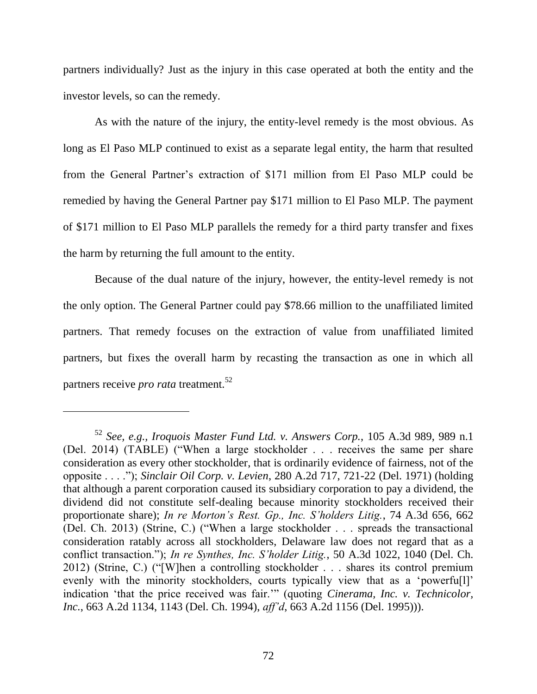partners individually? Just as the injury in this case operated at both the entity and the investor levels, so can the remedy.

As with the nature of the injury, the entity-level remedy is the most obvious. As long as El Paso MLP continued to exist as a separate legal entity, the harm that resulted from the General Partner's extraction of \$171 million from El Paso MLP could be remedied by having the General Partner pay \$171 million to El Paso MLP. The payment of \$171 million to El Paso MLP parallels the remedy for a third party transfer and fixes the harm by returning the full amount to the entity.

Because of the dual nature of the injury, however, the entity-level remedy is not the only option. The General Partner could pay \$78.66 million to the unaffiliated limited partners. That remedy focuses on the extraction of value from unaffiliated limited partners, but fixes the overall harm by recasting the transaction as one in which all partners receive *pro rata* treatment.<sup>52</sup>

<sup>52</sup> *See, e.g., Iroquois Master Fund Ltd. v. Answers Corp.*, 105 A.3d 989, 989 n.1 (Del. 2014) (TABLE) ("When a large stockholder  $\ldots$  receives the same per share consideration as every other stockholder, that is ordinarily evidence of fairness, not of the opposite . . . ."); *Sinclair Oil Corp. v. Levien*, 280 A.2d 717, 721-22 (Del. 1971) (holding that although a parent corporation caused its subsidiary corporation to pay a dividend, the dividend did not constitute self-dealing because minority stockholders received their proportionate share); *In re Morton's Rest. Gp., Inc. S'holders Litig.*, 74 A.3d 656, 662 (Del. Ch. 2013) (Strine, C.) ("When a large stockholder  $\ldots$  spreads the transactional consideration ratably across all stockholders, Delaware law does not regard that as a conflict transaction.‖); *In re Synthes, Inc. S'holder Litig.*, 50 A.3d 1022, 1040 (Del. Ch. 2012) (Strine, C.) ("[W]hen a controlling stockholder  $\ldots$  shares its control premium evenly with the minority stockholders, courts typically view that as a 'powerfull' indication 'that the price received was fair.'" (quoting *Cinerama, Inc. v. Technicolor, Inc.*, 663 A.2d 1134, 1143 (Del. Ch. 1994), *aff'd*, 663 A.2d 1156 (Del. 1995))).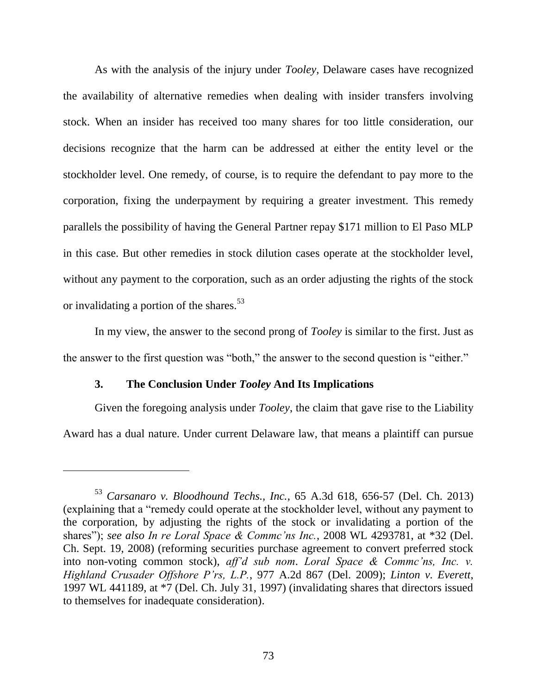As with the analysis of the injury under *Tooley*, Delaware cases have recognized the availability of alternative remedies when dealing with insider transfers involving stock. When an insider has received too many shares for too little consideration, our decisions recognize that the harm can be addressed at either the entity level or the stockholder level. One remedy, of course, is to require the defendant to pay more to the corporation, fixing the underpayment by requiring a greater investment. This remedy parallels the possibility of having the General Partner repay \$171 million to El Paso MLP in this case. But other remedies in stock dilution cases operate at the stockholder level, without any payment to the corporation, such as an order adjusting the rights of the stock or invalidating a portion of the shares.<sup>53</sup>

In my view, the answer to the second prong of *Tooley* is similar to the first. Just as the answer to the first question was "both," the answer to the second question is "either."

## **3. The Conclusion Under** *Tooley* **And Its Implications**

 $\overline{a}$ 

Given the foregoing analysis under *Tooley*, the claim that gave rise to the Liability Award has a dual nature. Under current Delaware law, that means a plaintiff can pursue

<sup>53</sup> *Carsanaro v. Bloodhound Techs., Inc.*, 65 A.3d 618, 656-57 (Del. Ch. 2013) (explaining that a "remedy could operate at the stockholder level, without any payment to the corporation, by adjusting the rights of the stock or invalidating a portion of the shares‖); *see also In re Loral Space & Commc'ns Inc.*, 2008 WL 4293781, at \*32 (Del. Ch. Sept. 19, 2008) (reforming securities purchase agreement to convert preferred stock into non-voting common stock), *aff'd sub nom*. *Loral Space & Commc'ns, Inc. v. Highland Crusader Offshore P'rs, L.P.*, 977 A.2d 867 (Del. 2009); *Linton v. Everett*, 1997 WL 441189, at \*7 (Del. Ch. July 31, 1997) (invalidating shares that directors issued to themselves for inadequate consideration).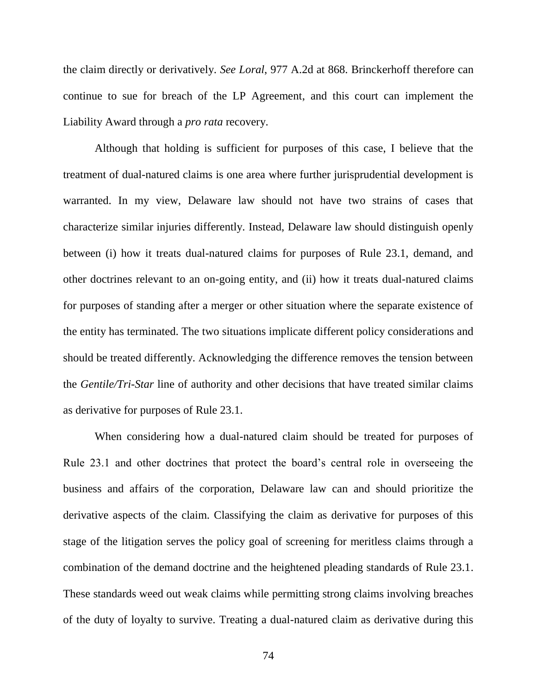the claim directly or derivatively. *See Loral*, 977 A.2d at 868. Brinckerhoff therefore can continue to sue for breach of the LP Agreement, and this court can implement the Liability Award through a *pro rata* recovery.

Although that holding is sufficient for purposes of this case, I believe that the treatment of dual-natured claims is one area where further jurisprudential development is warranted. In my view, Delaware law should not have two strains of cases that characterize similar injuries differently. Instead, Delaware law should distinguish openly between (i) how it treats dual-natured claims for purposes of Rule 23.1, demand, and other doctrines relevant to an on-going entity, and (ii) how it treats dual-natured claims for purposes of standing after a merger or other situation where the separate existence of the entity has terminated. The two situations implicate different policy considerations and should be treated differently. Acknowledging the difference removes the tension between the *Gentile/Tri-Star* line of authority and other decisions that have treated similar claims as derivative for purposes of Rule 23.1.

When considering how a dual-natured claim should be treated for purposes of Rule 23.1 and other doctrines that protect the board's central role in overseeing the business and affairs of the corporation, Delaware law can and should prioritize the derivative aspects of the claim. Classifying the claim as derivative for purposes of this stage of the litigation serves the policy goal of screening for meritless claims through a combination of the demand doctrine and the heightened pleading standards of Rule 23.1. These standards weed out weak claims while permitting strong claims involving breaches of the duty of loyalty to survive. Treating a dual-natured claim as derivative during this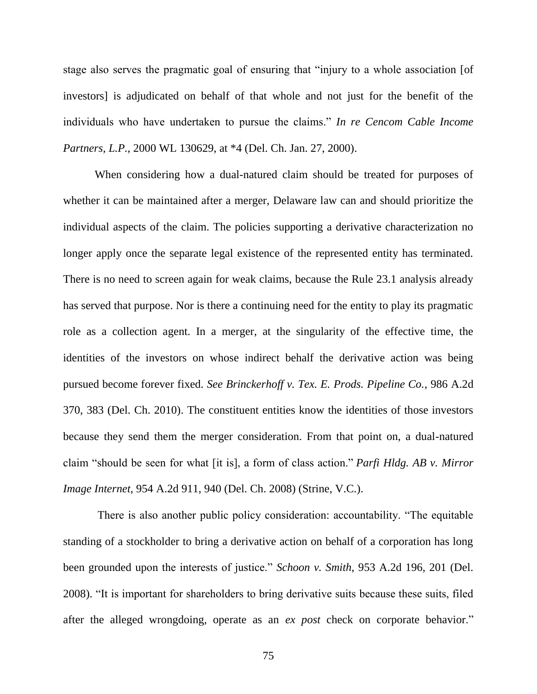stage also serves the pragmatic goal of ensuring that "injury to a whole association [of investors] is adjudicated on behalf of that whole and not just for the benefit of the individuals who have undertaken to pursue the claims." *In re Cencom Cable Income Partners, L.P.*, 2000 WL 130629, at \*4 (Del. Ch. Jan. 27, 2000).

When considering how a dual-natured claim should be treated for purposes of whether it can be maintained after a merger, Delaware law can and should prioritize the individual aspects of the claim. The policies supporting a derivative characterization no longer apply once the separate legal existence of the represented entity has terminated. There is no need to screen again for weak claims, because the Rule 23.1 analysis already has served that purpose. Nor is there a continuing need for the entity to play its pragmatic role as a collection agent. In a merger, at the singularity of the effective time, the identities of the investors on whose indirect behalf the derivative action was being pursued become forever fixed. *See Brinckerhoff v. Tex. E. Prods. Pipeline Co.*, 986 A.2d 370, 383 (Del. Ch. 2010). The constituent entities know the identities of those investors because they send them the merger consideration. From that point on, a dual-natured claim "should be seen for what [it is], a form of class action." *Parfi Hldg. AB v. Mirror Image Internet*, 954 A.2d 911, 940 (Del. Ch. 2008) (Strine, V.C.).

There is also another public policy consideration: accountability. "The equitable standing of a stockholder to bring a derivative action on behalf of a corporation has long been grounded upon the interests of justice." *Schoon v. Smith*, 953 A.2d 196, 201 (Del.) 2008). "It is important for shareholders to bring derivative suits because these suits, filed after the alleged wrongdoing, operate as an *ex post* check on corporate behavior."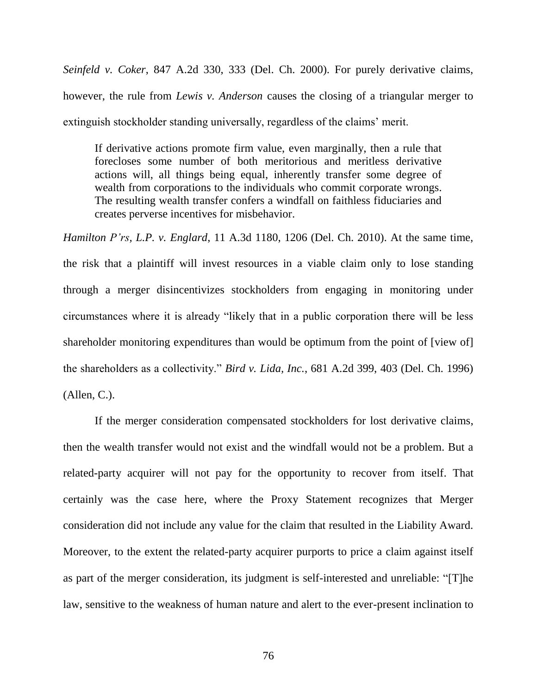*Seinfeld v. Coker*, 847 A.2d 330, 333 (Del. Ch. 2000). For purely derivative claims, however, the rule from *Lewis v. Anderson* causes the closing of a triangular merger to extinguish stockholder standing universally, regardless of the claims' merit.

If derivative actions promote firm value, even marginally, then a rule that forecloses some number of both meritorious and meritless derivative actions will, all things being equal, inherently transfer some degree of wealth from corporations to the individuals who commit corporate wrongs. The resulting wealth transfer confers a windfall on faithless fiduciaries and creates perverse incentives for misbehavior.

*Hamilton P'rs, L.P. v. Englard*, 11 A.3d 1180, 1206 (Del. Ch. 2010). At the same time, the risk that a plaintiff will invest resources in a viable claim only to lose standing through a merger disincentivizes stockholders from engaging in monitoring under circumstances where it is already "likely that in a public corporation there will be less shareholder monitoring expenditures than would be optimum from the point of [view of] the shareholders as a collectivity." *Bird v. Lida, Inc.*, 681 A.2d 399, 403 (Del. Ch. 1996) (Allen, C.).

If the merger consideration compensated stockholders for lost derivative claims, then the wealth transfer would not exist and the windfall would not be a problem. But a related-party acquirer will not pay for the opportunity to recover from itself. That certainly was the case here, where the Proxy Statement recognizes that Merger consideration did not include any value for the claim that resulted in the Liability Award. Moreover, to the extent the related-party acquirer purports to price a claim against itself as part of the merger consideration, its judgment is self-interested and unreliable: "[T]he law, sensitive to the weakness of human nature and alert to the ever-present inclination to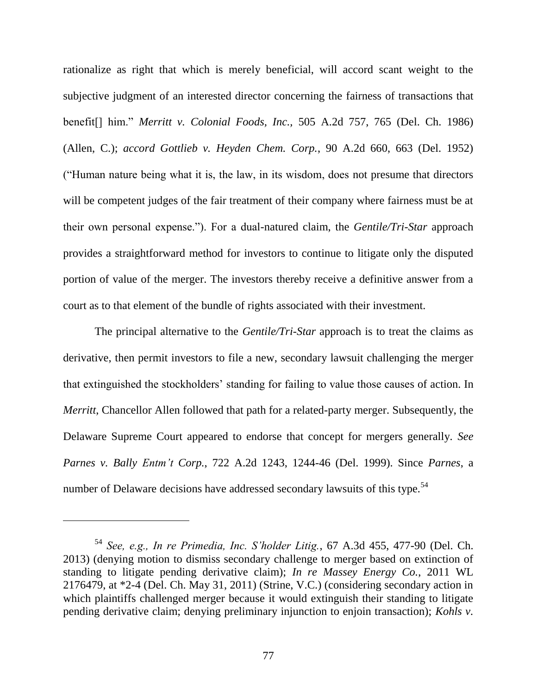rationalize as right that which is merely beneficial, will accord scant weight to the subjective judgment of an interested director concerning the fairness of transactions that benefit[] him.‖ *Merritt v. Colonial Foods, Inc.,* 505 A.2d 757, 765 (Del. Ch. 1986) (Allen, C.); *accord Gottlieb v. Heyden Chem. Corp.*, 90 A.2d 660, 663 (Del. 1952) (―Human nature being what it is, the law, in its wisdom, does not presume that directors will be competent judges of the fair treatment of their company where fairness must be at their own personal expense.‖). For a dual-natured claim, the *Gentile/Tri-Star* approach provides a straightforward method for investors to continue to litigate only the disputed portion of value of the merger. The investors thereby receive a definitive answer from a court as to that element of the bundle of rights associated with their investment.

The principal alternative to the *Gentile/Tri-Star* approach is to treat the claims as derivative, then permit investors to file a new, secondary lawsuit challenging the merger that extinguished the stockholders' standing for failing to value those causes of action. In *Merritt*, Chancellor Allen followed that path for a related-party merger. Subsequently, the Delaware Supreme Court appeared to endorse that concept for mergers generally. *See Parnes v. Bally Entm't Corp.*, 722 A.2d 1243, 1244-46 (Del. 1999). Since *Parnes*, a number of Delaware decisions have addressed secondary lawsuits of this type.<sup>54</sup>

<sup>54</sup> *See, e.g., In re Primedia, Inc. S'holder Litig.*, 67 A.3d 455, 477-90 (Del. Ch. 2013) (denying motion to dismiss secondary challenge to merger based on extinction of standing to litigate pending derivative claim); *In re Massey Energy Co.*, 2011 WL 2176479, at \*2-4 (Del. Ch. May 31, 2011) (Strine, V.C.) (considering secondary action in which plaintiffs challenged merger because it would extinguish their standing to litigate pending derivative claim; denying preliminary injunction to enjoin transaction); *Kohls v.*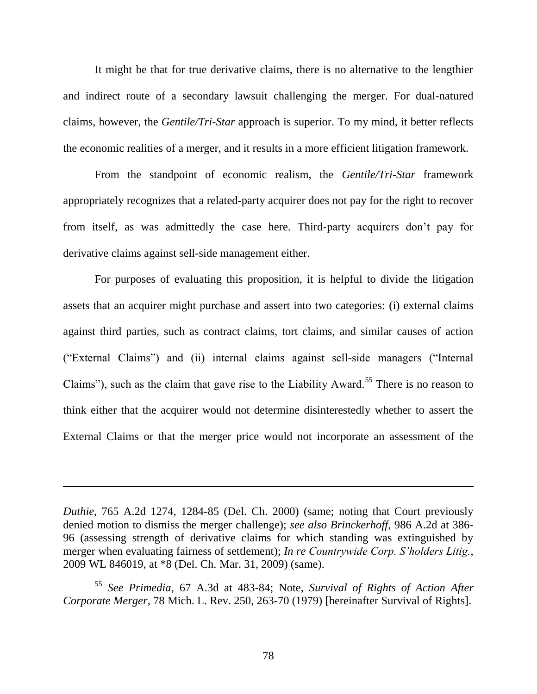It might be that for true derivative claims, there is no alternative to the lengthier and indirect route of a secondary lawsuit challenging the merger. For dual-natured claims, however, the *Gentile/Tri-Star* approach is superior. To my mind, it better reflects the economic realities of a merger, and it results in a more efficient litigation framework.

From the standpoint of economic realism, the *Gentile/Tri-Star* framework appropriately recognizes that a related-party acquirer does not pay for the right to recover from itself, as was admittedly the case here. Third-party acquirers don't pay for derivative claims against sell-side management either.

For purposes of evaluating this proposition, it is helpful to divide the litigation assets that an acquirer might purchase and assert into two categories: (i) external claims against third parties, such as contract claims, tort claims, and similar causes of action ("External Claims") and (ii) internal claims against sell-side managers ("Internal Claims"), such as the claim that gave rise to the Liability Award.<sup>55</sup> There is no reason to think either that the acquirer would not determine disinterestedly whether to assert the External Claims or that the merger price would not incorporate an assessment of the

*Duthie*, 765 A.2d 1274, 1284-85 (Del. Ch. 2000) (same; noting that Court previously denied motion to dismiss the merger challenge); *see also Brinckerhoff*, 986 A.2d at 386- 96 (assessing strength of derivative claims for which standing was extinguished by merger when evaluating fairness of settlement); *In re Countrywide Corp. S'holders Litig.*, 2009 WL 846019, at \*8 (Del. Ch. Mar. 31, 2009) (same).

 $\overline{a}$ 

<sup>55</sup> *See Primedia*, 67 A.3d at 483-84; Note, *Survival of Rights of Action After Corporate Merger*, 78 Mich. L. Rev. 250, 263-70 (1979) [hereinafter Survival of Rights].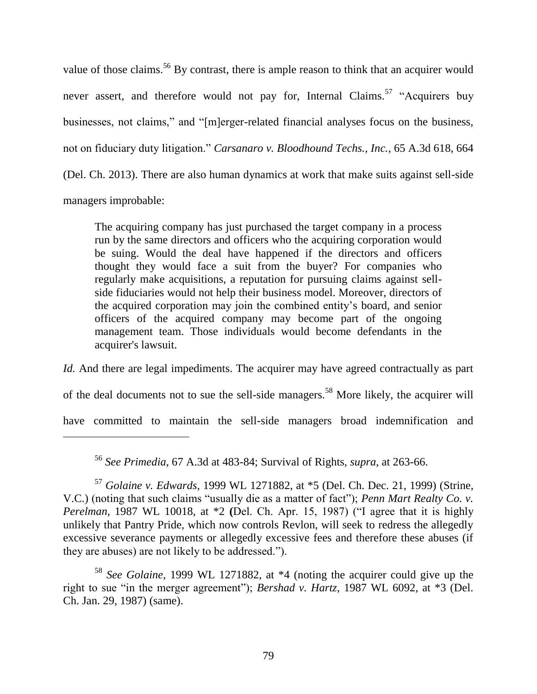value of those claims.<sup>56</sup> By contrast, there is ample reason to think that an acquirer would never assert, and therefore would not pay for, Internal Claims.<sup>57</sup> "Acquirers buy businesses, not claims," and "[m]erger-related financial analyses focus on the business, not on fiduciary duty litigation." *Carsanaro v. Bloodhound Techs., Inc.*, 65 A.3d 618, 664 (Del. Ch. 2013). There are also human dynamics at work that make suits against sell-side managers improbable:

The acquiring company has just purchased the target company in a process run by the same directors and officers who the acquiring corporation would be suing. Would the deal have happened if the directors and officers thought they would face a suit from the buyer? For companies who regularly make acquisitions, a reputation for pursuing claims against sellside fiduciaries would not help their business model. Moreover, directors of the acquired corporation may join the combined entity's board, and senior officers of the acquired company may become part of the ongoing management team. Those individuals would become defendants in the acquirer's lawsuit.

*Id.* And there are legal impediments. The acquirer may have agreed contractually as part of the deal documents not to sue the sell-side managers.<sup>58</sup> More likely, the acquirer will have committed to maintain the sell-side managers broad indemnification and

<sup>56</sup> *See Primedia*, 67 A.3d at 483-84; Survival of Rights, *supra*, at 263-66.

<sup>57</sup> *Golaine v. Edwards*, 1999 WL 1271882, at \*5 (Del. Ch. Dec. 21, 1999) (Strine, V.C.) (noting that such claims "usually die as a matter of fact"); *Penn Mart Realty Co. v. Perelman*, 1987 WL 10018, at \*2 (Del. Ch. Apr. 15, 1987) ("I agree that it is highly unlikely that Pantry Pride, which now controls Revlon, will seek to redress the allegedly excessive severance payments or allegedly excessive fees and therefore these abuses (if they are abuses) are not likely to be addressed.").

<sup>58</sup> *See Golaine*, 1999 WL 1271882, at \*4 (noting the acquirer could give up the right to sue "in the merger agreement"); *Bershad v. Hartz*, 1987 WL 6092, at \*3 (Del. Ch. Jan. 29, 1987) (same).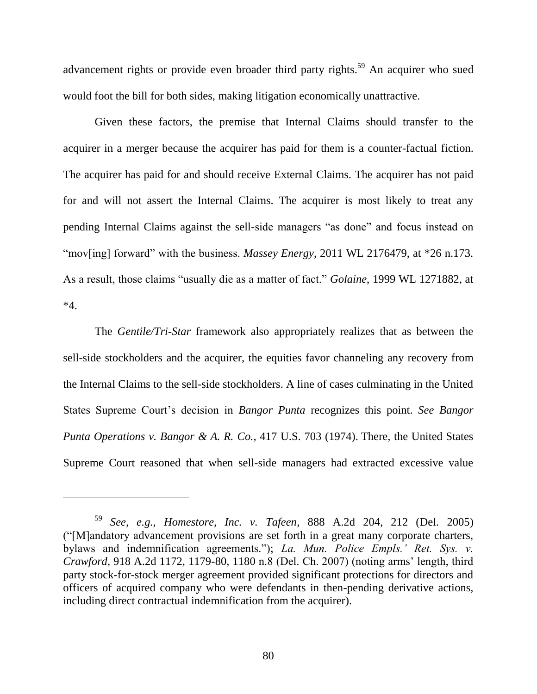advancement rights or provide even broader third party rights.<sup>59</sup> An acquirer who sued would foot the bill for both sides, making litigation economically unattractive.

Given these factors, the premise that Internal Claims should transfer to the acquirer in a merger because the acquirer has paid for them is a counter-factual fiction. The acquirer has paid for and should receive External Claims. The acquirer has not paid for and will not assert the Internal Claims. The acquirer is most likely to treat any pending Internal Claims against the sell-side managers "as done" and focus instead on "mov[ing] forward" with the business. *Massey Energy*, 2011 WL 2176479, at \*26 n.173. As a result, those claims "usually die as a matter of fact." *Golaine*, 1999 WL 1271882, at  $*4.$ 

The *Gentile/Tri-Star* framework also appropriately realizes that as between the sell-side stockholders and the acquirer, the equities favor channeling any recovery from the Internal Claims to the sell-side stockholders. A line of cases culminating in the United States Supreme Court's decision in *Bangor Punta* recognizes this point. *See Bangor Punta Operations v. Bangor & A. R. Co.*, 417 U.S. 703 (1974). There, the United States Supreme Court reasoned that when sell-side managers had extracted excessive value

<sup>59</sup> *See, e.g., Homestore, Inc. v. Tafeen*, 888 A.2d 204, 212 (Del. 2005) (―[M]andatory advancement provisions are set forth in a great many corporate charters, bylaws and indemnification agreements."); *La. Mun. Police Empls.* Ret. Sys. v. *Crawford*, 918 A.2d 1172, 1179-80, 1180 n.8 (Del. Ch. 2007) (noting arms' length, third party stock-for-stock merger agreement provided significant protections for directors and officers of acquired company who were defendants in then-pending derivative actions, including direct contractual indemnification from the acquirer).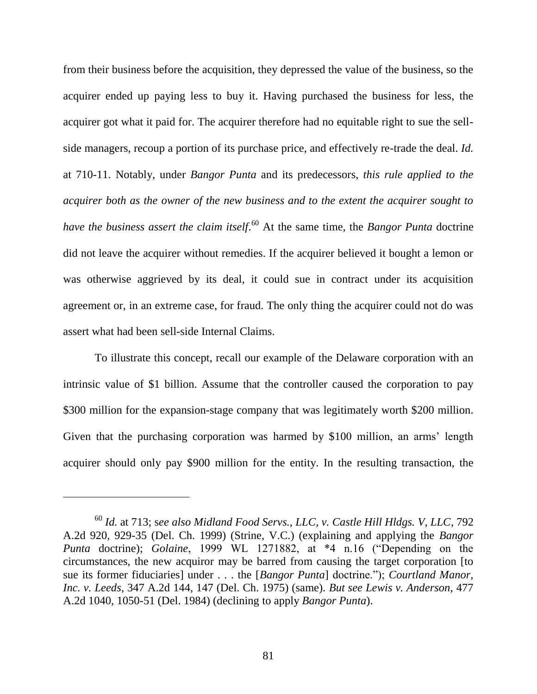from their business before the acquisition, they depressed the value of the business, so the acquirer ended up paying less to buy it. Having purchased the business for less, the acquirer got what it paid for. The acquirer therefore had no equitable right to sue the sellside managers, recoup a portion of its purchase price, and effectively re-trade the deal. *Id.* at 710-11. Notably, under *Bangor Punta* and its predecessors, *this rule applied to the acquirer both as the owner of the new business and to the extent the acquirer sought to have the business assert the claim itself*. <sup>60</sup> At the same time, the *Bangor Punta* doctrine did not leave the acquirer without remedies. If the acquirer believed it bought a lemon or was otherwise aggrieved by its deal, it could sue in contract under its acquisition agreement or, in an extreme case, for fraud. The only thing the acquirer could not do was assert what had been sell-side Internal Claims.

To illustrate this concept, recall our example of the Delaware corporation with an intrinsic value of \$1 billion. Assume that the controller caused the corporation to pay \$300 million for the expansion-stage company that was legitimately worth \$200 million. Given that the purchasing corporation was harmed by \$100 million, an arms' length acquirer should only pay \$900 million for the entity. In the resulting transaction, the

<sup>60</sup> *Id.* at 713; s*ee also Midland Food Servs., LLC, v. Castle Hill Hldgs. V, LLC*, 792 A.2d 920, 929-35 (Del. Ch. 1999) (Strine, V.C.) (explaining and applying the *Bangor Punta* doctrine); *Golaine*, 1999 WL 1271882, at \*4 n.16 ("Depending on the circumstances, the new acquiror may be barred from causing the target corporation [to sue its former fiduciaries] under . . . the [*Bangor Punta*] doctrine."); *Courtland Manor*, *Inc. v. Leeds*, 347 A.2d 144, 147 (Del. Ch. 1975) (same). *But see Lewis v. Anderson*, 477 A.2d 1040, 1050-51 (Del. 1984) (declining to apply *Bangor Punta*).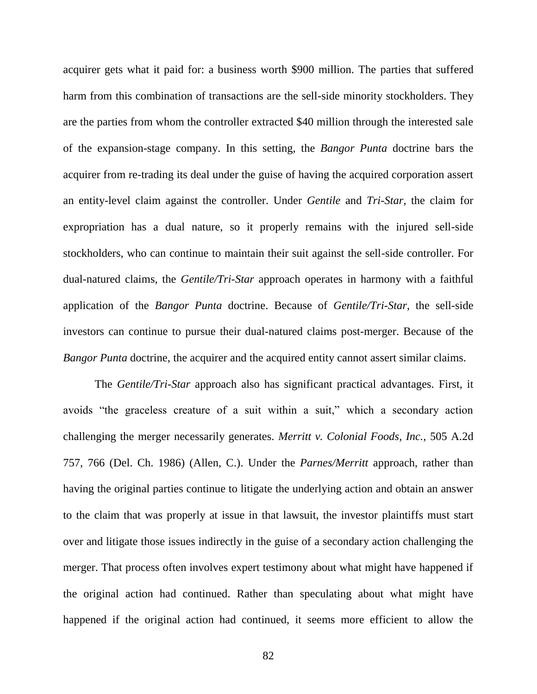acquirer gets what it paid for: a business worth \$900 million. The parties that suffered harm from this combination of transactions are the sell-side minority stockholders. They are the parties from whom the controller extracted \$40 million through the interested sale of the expansion-stage company. In this setting, the *Bangor Punta* doctrine bars the acquirer from re-trading its deal under the guise of having the acquired corporation assert an entity-level claim against the controller. Under *Gentile* and *Tri-Star*, the claim for expropriation has a dual nature, so it properly remains with the injured sell-side stockholders, who can continue to maintain their suit against the sell-side controller. For dual-natured claims, the *Gentile/Tri-Star* approach operates in harmony with a faithful application of the *Bangor Punta* doctrine. Because of *Gentile/Tri-Star*, the sell-side investors can continue to pursue their dual-natured claims post-merger. Because of the *Bangor Punta* doctrine, the acquirer and the acquired entity cannot assert similar claims.

The *Gentile/Tri-Star* approach also has significant practical advantages. First, it avoids "the graceless creature of a suit within a suit," which a secondary action challenging the merger necessarily generates. *Merritt v. Colonial Foods, Inc.,* 505 A.2d 757, 766 (Del. Ch. 1986) (Allen, C.). Under the *Parnes/Merritt* approach, rather than having the original parties continue to litigate the underlying action and obtain an answer to the claim that was properly at issue in that lawsuit, the investor plaintiffs must start over and litigate those issues indirectly in the guise of a secondary action challenging the merger. That process often involves expert testimony about what might have happened if the original action had continued. Rather than speculating about what might have happened if the original action had continued, it seems more efficient to allow the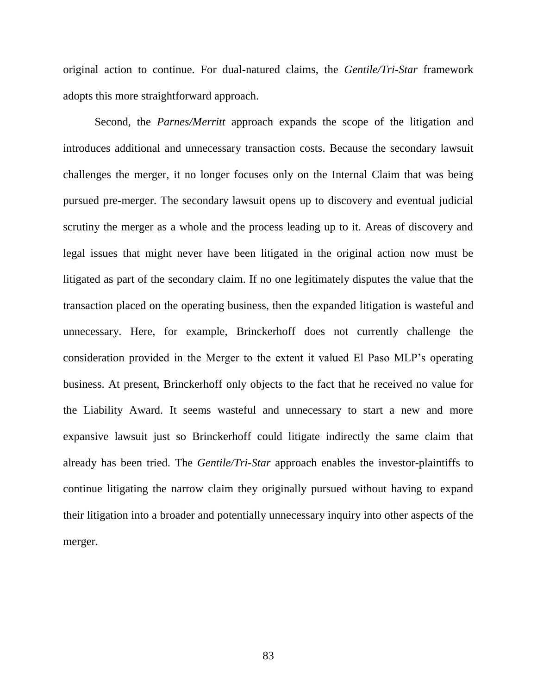original action to continue. For dual-natured claims, the *Gentile/Tri-Star* framework adopts this more straightforward approach.

Second, the *Parnes/Merritt* approach expands the scope of the litigation and introduces additional and unnecessary transaction costs. Because the secondary lawsuit challenges the merger, it no longer focuses only on the Internal Claim that was being pursued pre-merger. The secondary lawsuit opens up to discovery and eventual judicial scrutiny the merger as a whole and the process leading up to it. Areas of discovery and legal issues that might never have been litigated in the original action now must be litigated as part of the secondary claim. If no one legitimately disputes the value that the transaction placed on the operating business, then the expanded litigation is wasteful and unnecessary. Here, for example, Brinckerhoff does not currently challenge the consideration provided in the Merger to the extent it valued El Paso MLP's operating business. At present, Brinckerhoff only objects to the fact that he received no value for the Liability Award. It seems wasteful and unnecessary to start a new and more expansive lawsuit just so Brinckerhoff could litigate indirectly the same claim that already has been tried. The *Gentile/Tri-Star* approach enables the investor-plaintiffs to continue litigating the narrow claim they originally pursued without having to expand their litigation into a broader and potentially unnecessary inquiry into other aspects of the merger.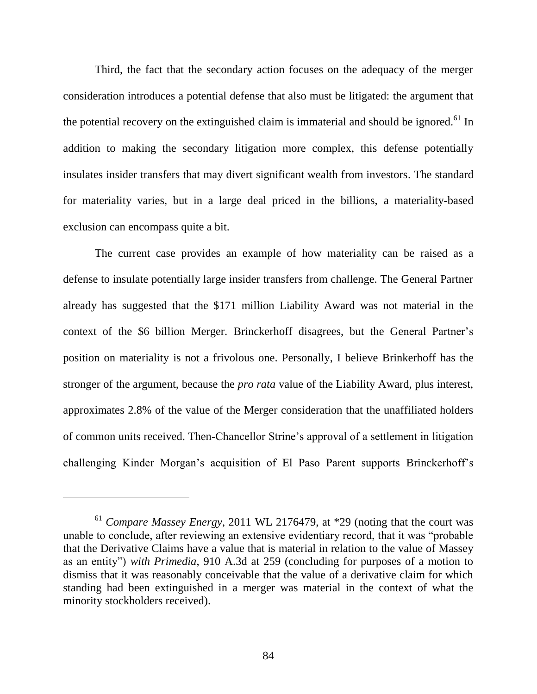Third, the fact that the secondary action focuses on the adequacy of the merger consideration introduces a potential defense that also must be litigated: the argument that the potential recovery on the extinguished claim is immaterial and should be ignored.<sup>61</sup> In addition to making the secondary litigation more complex, this defense potentially insulates insider transfers that may divert significant wealth from investors. The standard for materiality varies, but in a large deal priced in the billions, a materiality-based exclusion can encompass quite a bit.

The current case provides an example of how materiality can be raised as a defense to insulate potentially large insider transfers from challenge. The General Partner already has suggested that the \$171 million Liability Award was not material in the context of the \$6 billion Merger. Brinckerhoff disagrees, but the General Partner's position on materiality is not a frivolous one. Personally, I believe Brinkerhoff has the stronger of the argument, because the *pro rata* value of the Liability Award, plus interest, approximates 2.8% of the value of the Merger consideration that the unaffiliated holders of common units received. Then-Chancellor Strine's approval of a settlement in litigation challenging Kinder Morgan's acquisition of El Paso Parent supports Brinckerhoff's

<sup>61</sup> *Compare Massey Energy*, 2011 WL 2176479, at \*29 (noting that the court was unable to conclude, after reviewing an extensive evidentiary record, that it was "probable" that the Derivative Claims have a value that is material in relation to the value of Massey as an entity‖) *with Primedia*, 910 A.3d at 259 (concluding for purposes of a motion to dismiss that it was reasonably conceivable that the value of a derivative claim for which standing had been extinguished in a merger was material in the context of what the minority stockholders received).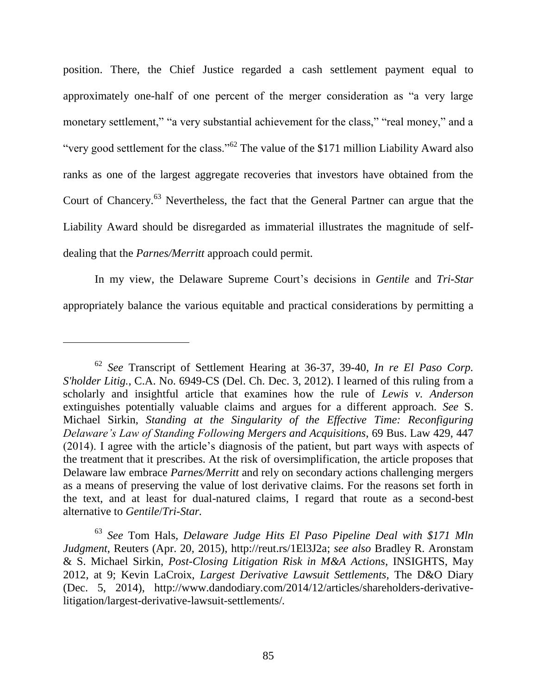position. There, the Chief Justice regarded a cash settlement payment equal to approximately one-half of one percent of the merger consideration as "a very large monetary settlement," "a very substantial achievement for the class," "real money," and a "very good settlement for the class."<sup>62</sup> The value of the \$171 million Liability Award also ranks as one of the largest aggregate recoveries that investors have obtained from the Court of Chancery.<sup>63</sup> Nevertheless, the fact that the General Partner can argue that the Liability Award should be disregarded as immaterial illustrates the magnitude of selfdealing that the *Parnes/Merritt* approach could permit.

In my view, the Delaware Supreme Court's decisions in *Gentile* and *Tri-Star*  appropriately balance the various equitable and practical considerations by permitting a

<sup>62</sup> *See* Transcript of Settlement Hearing at 36-37, 39-40, *In re El Paso Corp. S'holder Litig.*, C.A. No. 6949-CS (Del. Ch. Dec. 3, 2012). I learned of this ruling from a scholarly and insightful article that examines how the rule of *Lewis v. Anderson*  extinguishes potentially valuable claims and argues for a different approach. *See* S. Michael Sirkin, *Standing at the Singularity of the Effective Time: Reconfiguring Delaware's Law of Standing Following Mergers and Acquisitions*, 69 Bus. Law 429, 447 (2014). I agree with the article's diagnosis of the patient, but part ways with aspects of the treatment that it prescribes. At the risk of oversimplification, the article proposes that Delaware law embrace *Parnes/Merritt* and rely on secondary actions challenging mergers as a means of preserving the value of lost derivative claims. For the reasons set forth in the text, and at least for dual-natured claims, I regard that route as a second-best alternative to *Gentile*/*Tri-Star.* 

<sup>63</sup> *See* Tom Hals, *Delaware Judge Hits El Paso Pipeline Deal with \$171 Mln Judgment*, Reuters (Apr. 20, 2015), http://reut.rs/1El3J2a; *see also* Bradley R. Aronstam & S. Michael Sirkin, *Post-Closing Litigation Risk in M&A Actions*, INSIGHTS, May 2012, at 9; Kevin LaCroix, *Largest Derivative Lawsuit Settlements,* The D&O Diary (Dec. 5, 2014), http://www.dandodiary.com/2014/12/articles/shareholders-derivativelitigation/largest-derivative-lawsuit-settlements/*.*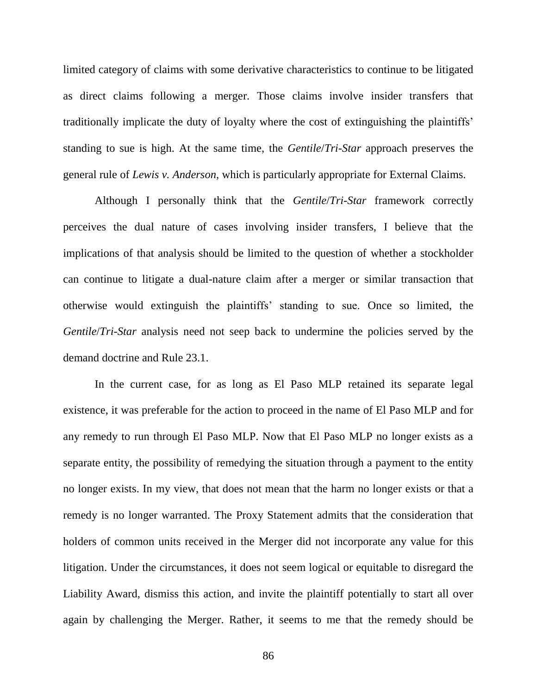limited category of claims with some derivative characteristics to continue to be litigated as direct claims following a merger. Those claims involve insider transfers that traditionally implicate the duty of loyalty where the cost of extinguishing the plaintiffs' standing to sue is high. At the same time, the *Gentile*/*Tri-Star* approach preserves the general rule of *Lewis v. Anderson*, which is particularly appropriate for External Claims.

Although I personally think that the *Gentile*/*Tri-Star* framework correctly perceives the dual nature of cases involving insider transfers, I believe that the implications of that analysis should be limited to the question of whether a stockholder can continue to litigate a dual-nature claim after a merger or similar transaction that otherwise would extinguish the plaintiffs' standing to sue. Once so limited, the *Gentile*/*Tri-Star* analysis need not seep back to undermine the policies served by the demand doctrine and Rule 23.1.

In the current case, for as long as El Paso MLP retained its separate legal existence, it was preferable for the action to proceed in the name of El Paso MLP and for any remedy to run through El Paso MLP. Now that El Paso MLP no longer exists as a separate entity, the possibility of remedying the situation through a payment to the entity no longer exists. In my view, that does not mean that the harm no longer exists or that a remedy is no longer warranted. The Proxy Statement admits that the consideration that holders of common units received in the Merger did not incorporate any value for this litigation. Under the circumstances, it does not seem logical or equitable to disregard the Liability Award, dismiss this action, and invite the plaintiff potentially to start all over again by challenging the Merger. Rather, it seems to me that the remedy should be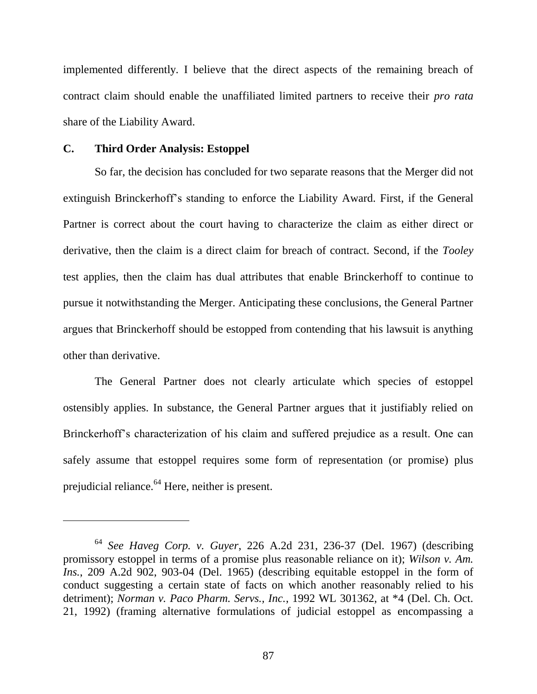implemented differently. I believe that the direct aspects of the remaining breach of contract claim should enable the unaffiliated limited partners to receive their *pro rata* share of the Liability Award.

## **C. Third Order Analysis: Estoppel**

 $\overline{a}$ 

So far, the decision has concluded for two separate reasons that the Merger did not extinguish Brinckerhoff's standing to enforce the Liability Award. First, if the General Partner is correct about the court having to characterize the claim as either direct or derivative, then the claim is a direct claim for breach of contract. Second, if the *Tooley*  test applies, then the claim has dual attributes that enable Brinckerhoff to continue to pursue it notwithstanding the Merger. Anticipating these conclusions, the General Partner argues that Brinckerhoff should be estopped from contending that his lawsuit is anything other than derivative.

The General Partner does not clearly articulate which species of estoppel ostensibly applies. In substance, the General Partner argues that it justifiably relied on Brinckerhoff's characterization of his claim and suffered prejudice as a result. One can safely assume that estoppel requires some form of representation (or promise) plus prejudicial reliance.<sup>64</sup> Here, neither is present.

<sup>64</sup> *See Haveg Corp. v. Guyer*, 226 A.2d 231, 236-37 (Del. 1967) (describing promissory estoppel in terms of a promise plus reasonable reliance on it); *Wilson v. Am. Ins.*, 209 A.2d 902, 903-04 (Del. 1965) (describing equitable estoppel in the form of conduct suggesting a certain state of facts on which another reasonably relied to his detriment); *Norman v. Paco Pharm. Servs., Inc.*, 1992 WL 301362, at \*4 (Del. Ch. Oct. 21, 1992) (framing alternative formulations of judicial estoppel as encompassing a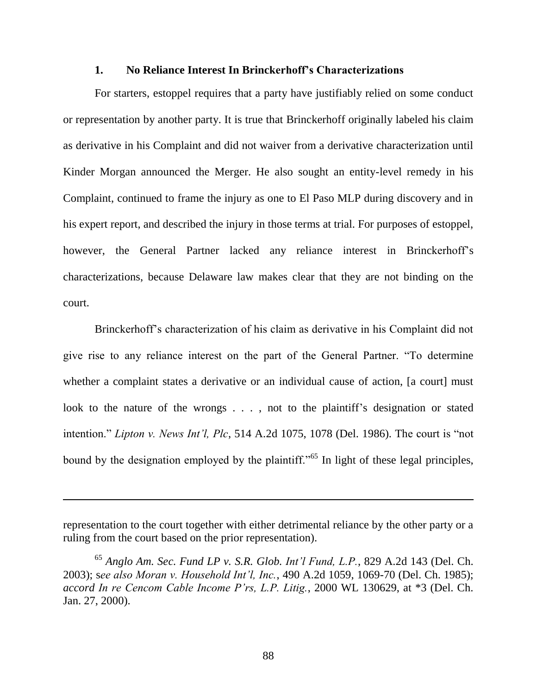#### **1. No Reliance Interest In Brinckerhoff's Characterizations**

For starters, estoppel requires that a party have justifiably relied on some conduct or representation by another party. It is true that Brinckerhoff originally labeled his claim as derivative in his Complaint and did not waiver from a derivative characterization until Kinder Morgan announced the Merger. He also sought an entity-level remedy in his Complaint, continued to frame the injury as one to El Paso MLP during discovery and in his expert report, and described the injury in those terms at trial. For purposes of estoppel, however, the General Partner lacked any reliance interest in Brinckerhoff's characterizations, because Delaware law makes clear that they are not binding on the court.

Brinckerhoff's characterization of his claim as derivative in his Complaint did not give rise to any reliance interest on the part of the General Partner. "To determine whether a complaint states a derivative or an individual cause of action, [a court] must look to the nature of the wrongs . . . , not to the plaintiff's designation or stated intention." *Lipton v. News Int'l, Plc*, 514 A.2d 1075, 1078 (Del. 1986). The court is "not bound by the designation employed by the plaintiff.<sup>565</sup> In light of these legal principles,

representation to the court together with either detrimental reliance by the other party or a ruling from the court based on the prior representation).

<sup>65</sup> *Anglo Am. Sec. Fund LP v. S.R. Glob. Int'l Fund, L.P.*, 829 A.2d 143 (Del. Ch. 2003); s*ee also Moran v. Household Int'l, Inc.*, 490 A.2d 1059, 1069-70 (Del. Ch. 1985); *accord In re Cencom Cable Income P'rs, L.P. Litig.*, 2000 WL 130629, at \*3 (Del. Ch. Jan. 27, 2000).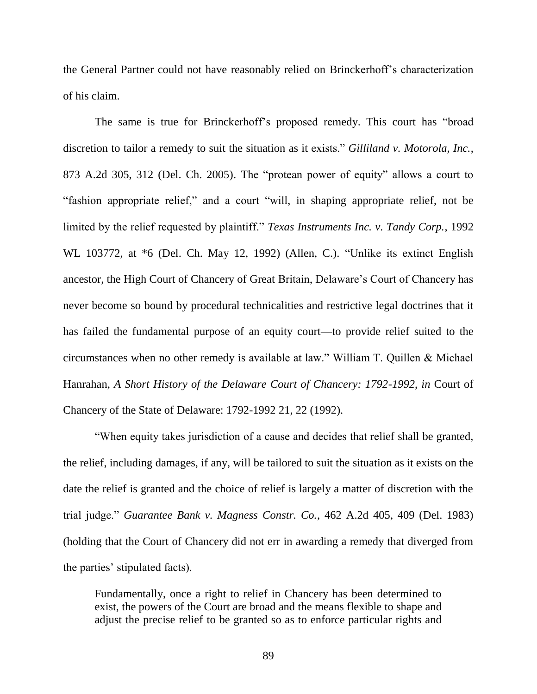the General Partner could not have reasonably relied on Brinckerhoff's characterization of his claim.

The same is true for Brinckerhoff's proposed remedy. This court has "broad discretion to tailor a remedy to suit the situation as it exists." *Gilliland v. Motorola, Inc.*, 873 A.2d 305, 312 (Del. Ch. 2005). The "protean power of equity" allows a court to "fashion appropriate relief," and a court "will, in shaping appropriate relief, not be limited by the relief requested by plaintiff." *Texas Instruments Inc. v. Tandy Corp.*, 1992 WL 103772, at \*6 (Del. Ch. May 12, 1992) (Allen, C.). "Unlike its extinct English ancestor, the High Court of Chancery of Great Britain, Delaware's Court of Chancery has never become so bound by procedural technicalities and restrictive legal doctrines that it has failed the fundamental purpose of an equity court—to provide relief suited to the circumstances when no other remedy is available at law.‖ William T. Quillen & Michael Hanrahan, *A Short History of the Delaware Court of Chancery: 1792-1992*, *in* Court of Chancery of the State of Delaware: 1792-1992 21, 22 (1992).

―When equity takes jurisdiction of a cause and decides that relief shall be granted, the relief, including damages, if any, will be tailored to suit the situation as it exists on the date the relief is granted and the choice of relief is largely a matter of discretion with the trial judge.‖ *Guarantee Bank v. Magness Constr. Co.*, 462 A.2d 405, 409 (Del. 1983) (holding that the Court of Chancery did not err in awarding a remedy that diverged from the parties' stipulated facts).

Fundamentally, once a right to relief in Chancery has been determined to exist, the powers of the Court are broad and the means flexible to shape and adjust the precise relief to be granted so as to enforce particular rights and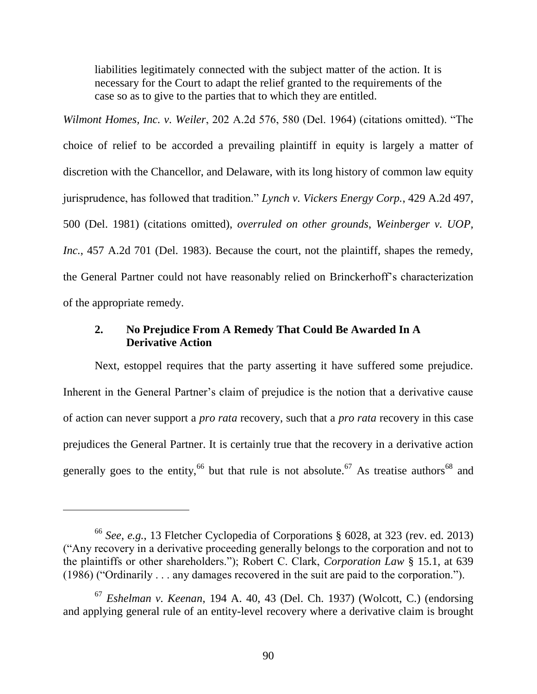liabilities legitimately connected with the subject matter of the action. It is necessary for the Court to adapt the relief granted to the requirements of the case so as to give to the parties that to which they are entitled.

*Wilmont Homes, Inc. v. Weiler, 202 A.2d 576, 580 (Del. 1964) (citations omitted).* "The choice of relief to be accorded a prevailing plaintiff in equity is largely a matter of discretion with the Chancellor, and Delaware, with its long history of common law equity jurisprudence, has followed that tradition." *Lynch v. Vickers Energy Corp.*, 429 A.2d 497, 500 (Del. 1981) (citations omitted), *overruled on other grounds*, *Weinberger v. UOP, Inc.*, 457 A.2d 701 (Del. 1983). Because the court, not the plaintiff, shapes the remedy, the General Partner could not have reasonably relied on Brinckerhoff's characterization of the appropriate remedy.

# **2. No Prejudice From A Remedy That Could Be Awarded In A Derivative Action**

Next, estoppel requires that the party asserting it have suffered some prejudice. Inherent in the General Partner's claim of prejudice is the notion that a derivative cause of action can never support a *pro rata* recovery, such that a *pro rata* recovery in this case prejudices the General Partner. It is certainly true that the recovery in a derivative action generally goes to the entity,<sup>66</sup> but that rule is not absolute.<sup>67</sup> As treatise authors<sup>68</sup> and

<sup>66</sup> *See*, *e.g.*, 13 Fletcher Cyclopedia of Corporations § 6028, at 323 (rev. ed. 2013) (―Any recovery in a derivative proceeding generally belongs to the corporation and not to the plaintiffs or other shareholders.‖); Robert C. Clark, *Corporation Law* § 15.1, at 639 (1986) ("Ordinarily  $\ldots$  any damages recovered in the suit are paid to the corporation.").

<sup>67</sup> *Eshelman v. Keenan*, 194 A. 40, 43 (Del. Ch. 1937) (Wolcott, C.) (endorsing and applying general rule of an entity-level recovery where a derivative claim is brought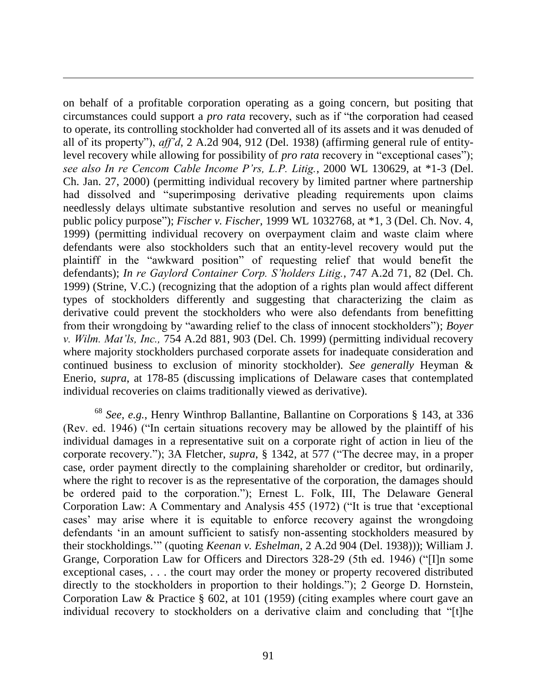on behalf of a profitable corporation operating as a going concern, but positing that circumstances could support a *pro rata* recovery, such as if "the corporation had ceased to operate, its controlling stockholder had converted all of its assets and it was denuded of all of its property"), *aff'd*, 2 A.2d 904, 912 (Del. 1938) (affirming general rule of entitylevel recovery while allowing for possibility of *pro rata* recovery in "exceptional cases"); *see also In re Cencom Cable Income P'rs, L.P. Litig.*, 2000 WL 130629, at \*1-3 (Del. Ch. Jan. 27, 2000) (permitting individual recovery by limited partner where partnership had dissolved and "superimposing derivative pleading requirements upon claims needlessly delays ultimate substantive resolution and serves no useful or meaningful public policy purpose"); *Fischer v. Fischer*, 1999 WL 1032768, at \*1, 3 (Del. Ch. Nov. 4, 1999) (permitting individual recovery on overpayment claim and waste claim where defendants were also stockholders such that an entity-level recovery would put the plaintiff in the "awkward position" of requesting relief that would benefit the defendants); *In re Gaylord Container Corp. S'holders Litig.*, 747 A.2d 71, 82 (Del. Ch. 1999) (Strine, V.C.) (recognizing that the adoption of a rights plan would affect different types of stockholders differently and suggesting that characterizing the claim as derivative could prevent the stockholders who were also defendants from benefitting from their wrongdoing by "awarding relief to the class of innocent stockholders"); *Boyer v. Wilm. Mat'ls, Inc.,* 754 A.2d 881, 903 (Del. Ch. 1999) (permitting individual recovery where majority stockholders purchased corporate assets for inadequate consideration and continued business to exclusion of minority stockholder). *See generally* Heyman & Enerio, *supra*, at 178-85 (discussing implications of Delaware cases that contemplated individual recoveries on claims traditionally viewed as derivative).

 $\overline{a}$ 

<sup>68</sup> *See*, *e.g.*, Henry Winthrop Ballantine*,* Ballantine on Corporations § 143, at 336  $(Rev. ed. 1946)$  ("In certain situations recovery may be allowed by the plaintiff of his individual damages in a representative suit on a corporate right of action in lieu of the corporate recovery."); 3A Fletcher, *supra*, § 1342, at 577 ("The decree may, in a proper case, order payment directly to the complaining shareholder or creditor, but ordinarily, where the right to recover is as the representative of the corporation, the damages should be ordered paid to the corporation."); Ernest L. Folk, III, The Delaware General Corporation Law: A Commentary and Analysis 455 (1972) ("It is true that 'exceptional cases' may arise where it is equitable to enforce recovery against the wrongdoing defendants 'in an amount sufficient to satisfy non-assenting stockholders measured by their stockholdings." (quoting *Keenan v. Eshelman*, 2 A.2d 904 (Del. 1938))); William J. Grange, Corporation Law for Officers and Directors 328-29 (5th ed. 1946) ("[I]n some exceptional cases, . . . the court may order the money or property recovered distributed directly to the stockholders in proportion to their holdings."); 2 George D. Hornstein, Corporation Law & Practice § 602, at 101 (1959) (citing examples where court gave an individual recovery to stockholders on a derivative claim and concluding that "[t]he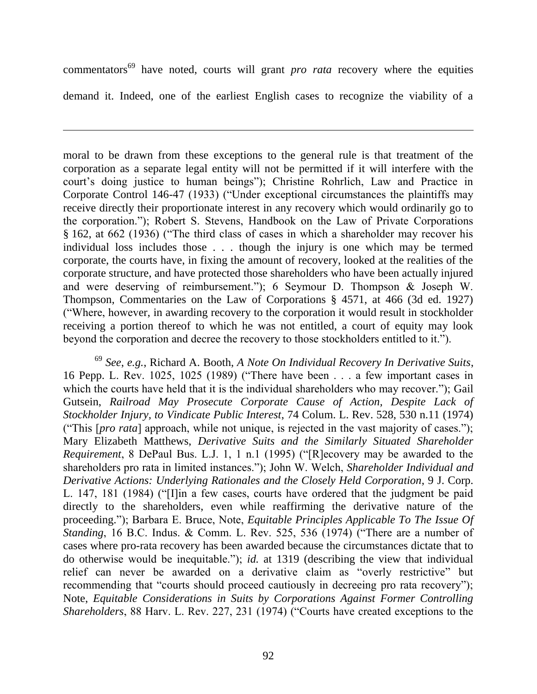commentators<sup>69</sup> have noted, courts will grant *pro rata* recovery where the equities demand it. Indeed, one of the earliest English cases to recognize the viability of a

moral to be drawn from these exceptions to the general rule is that treatment of the corporation as a separate legal entity will not be permitted if it will interfere with the court's doing justice to human beings"); Christine Rohrlich, Law and Practice in Corporate Control 146-47 (1933) ("Under exceptional circumstances the plaintiffs may receive directly their proportionate interest in any recovery which would ordinarily go to the corporation.‖); Robert S. Stevens, Handbook on the Law of Private Corporations § 162, at 662 (1936) ("The third class of cases in which a shareholder may recover his individual loss includes those . . . though the injury is one which may be termed corporate, the courts have, in fixing the amount of recovery, looked at the realities of the corporate structure, and have protected those shareholders who have been actually injured and were deserving of reimbursement."); 6 Seymour D. Thompson  $& Joseph W$ . Thompson, Commentaries on the Law of Corporations § 4571, at 466 (3d ed. 1927) (―Where, however, in awarding recovery to the corporation it would result in stockholder receiving a portion thereof to which he was not entitled, a court of equity may look beyond the corporation and decree the recovery to those stockholders entitled to it.").

<sup>69</sup> *See*, *e.g.*, Richard A. Booth, *A Note On Individual Recovery In Derivative Suits*, 16 Pepp. L. Rev. 1025, 1025 (1989) ("There have been . . . a few important cases in which the courts have held that it is the individual shareholders who may recover."); Gail Gutsein, *Railroad May Prosecute Corporate Cause of Action, Despite Lack of Stockholder Injury, to Vindicate Public Interest*, 74 Colum. L. Rev. 528, 530 n.11 (1974) ("This [*pro rata*] approach, while not unique, is rejected in the vast majority of cases."); Mary Elizabeth Matthews, *Derivative Suits and the Similarly Situated Shareholder Requirement*, 8 DePaul Bus. L.J. 1, 1 n.1 (1995) ("[R]ecovery may be awarded to the shareholders pro rata in limited instances.‖); John W. Welch, *Shareholder Individual and Derivative Actions: Underlying Rationales and the Closely Held Corporation*, 9 J. Corp. L. 147, 181 (1984) ("Ilin a few cases, courts have ordered that the judgment be paid directly to the shareholders, even while reaffirming the derivative nature of the proceeding."); Barbara E. Bruce, Note, *Equitable Principles Applicable To The Issue Of Standing*, 16 B.C. Indus. & Comm. L. Rev. 525, 536 (1974) ("There are a number of cases where pro-rata recovery has been awarded because the circumstances dictate that to do otherwise would be inequitable."); *id.* at 1319 (describing the view that individual relief can never be awarded on a derivative claim as "overly restrictive" but recommending that "courts should proceed cautiously in decreeing pro rata recovery"); Note, *Equitable Considerations in Suits by Corporations Against Former Controlling Shareholders*, 88 Harv. L. Rev. 227, 231 (1974) ("Courts have created exceptions to the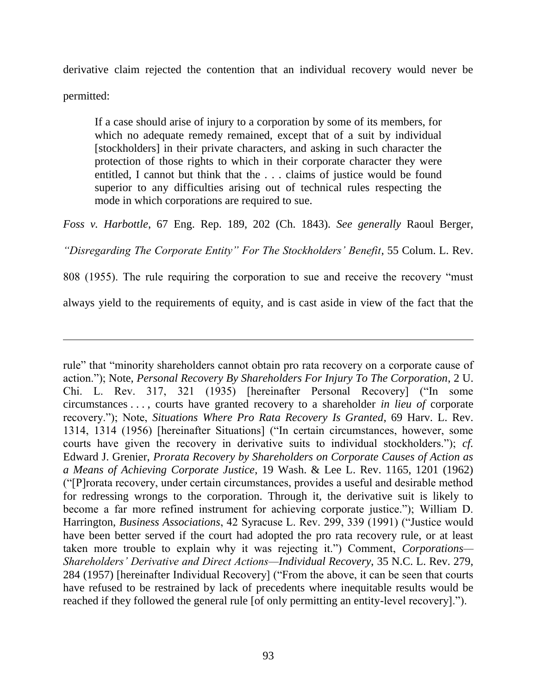derivative claim rejected the contention that an individual recovery would never be

permitted:

If a case should arise of injury to a corporation by some of its members, for which no adequate remedy remained, except that of a suit by individual [stockholders] in their private characters, and asking in such character the protection of those rights to which in their corporate character they were entitled, I cannot but think that the . . . claims of justice would be found superior to any difficulties arising out of technical rules respecting the mode in which corporations are required to sue.

*Foss v. Harbottle*, 67 Eng. Rep. 189, 202 (Ch. 1843). *See generally* Raoul Berger,

*―Disregarding The Corporate Entity‖ For The Stockholders' Benefit*, 55 Colum. L. Rev.

808 (1955). The rule requiring the corporation to sue and receive the recovery "must"

always yield to the requirements of equity, and is cast aside in view of the fact that the

rule" that "minority shareholders cannot obtain pro rata recovery on a corporate cause of action.‖); Note, *Personal Recovery By Shareholders For Injury To The Corporation*, 2 U. Chi. L. Rev. 317, 321 (1935) [hereinafter Personal Recovery] ("In some circumstances . . . , courts have granted recovery to a shareholder *in lieu of* corporate recovery.‖); Note, *Situations Where Pro Rata Recovery Is Granted*, 69 Harv. L. Rev. 1314, 1314 (1956) [hereinafter Situations] ("In certain circumstances, however, some courts have given the recovery in derivative suits to individual stockholders."); *cf.* Edward J. Grenier, *Prorata Recovery by Shareholders on Corporate Causes of Action as a Means of Achieving Corporate Justice*, 19 Wash. & Lee L. Rev. 1165, 1201 (1962) (―[P]rorata recovery, under certain circumstances, provides a useful and desirable method for redressing wrongs to the corporation. Through it, the derivative suit is likely to become a far more refined instrument for achieving corporate justice."); William D. Harrington, *Business Associations*, 42 Syracuse L. Rev. 299, 339 (1991) ("Justice would have been better served if the court had adopted the pro rata recovery rule, or at least taken more trouble to explain why it was rejecting it.") Comment, *Corporations*— *Shareholders' Derivative and Direct Actions—Individual Recovery*, 35 N.C. L. Rev. 279, 284 (1957) [hereinafter Individual Recovery] ("From the above, it can be seen that courts have refused to be restrained by lack of precedents where inequitable results would be reached if they followed the general rule [of only permitting an entity-level recovery].").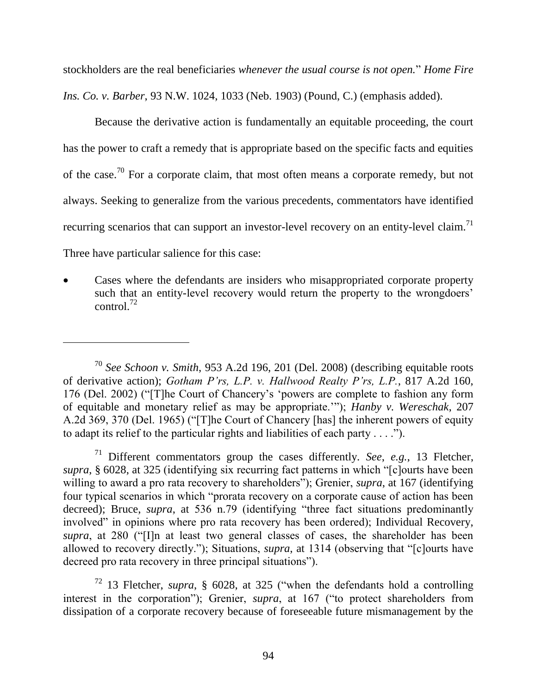stockholders are the real beneficiaries *whenever the usual course is not open.*" *Home Fire Ins. Co. v. Barber*, 93 N.W. 1024, 1033 (Neb. 1903) (Pound, C.) (emphasis added).

Because the derivative action is fundamentally an equitable proceeding, the court has the power to craft a remedy that is appropriate based on the specific facts and equities of the case.<sup>70</sup> For a corporate claim, that most often means a corporate remedy, but not always. Seeking to generalize from the various precedents, commentators have identified recurring scenarios that can support an investor-level recovery on an entity-level claim.<sup>71</sup>

Three have particular salience for this case:

 Cases where the defendants are insiders who misappropriated corporate property such that an entity-level recovery would return the property to the wrongdoers' control. $^{72}$ 

<sup>70</sup> *See Schoon v. Smith*, 953 A.2d 196, 201 (Del. 2008) (describing equitable roots of derivative action); *Gotham P'rs, L.P. v. Hallwood Realty P'rs, L.P.*, 817 A.2d 160, 176 (Del. 2002) ("[T]he Court of Chancery's 'powers are complete to fashion any form of equitable and monetary relief as may be appropriate.'"); *Hanby v. Wereschak*, 207 A.2d 369, 370 (Del. 1965) ("[T]he Court of Chancery [has] the inherent powers of equity to adapt its relief to the particular rights and liabilities of each party  $\dots$ .").

<sup>71</sup> Different commentators group the cases differently. *See*, *e.g.*, 13 Fletcher, *supra*, § 6028, at 325 (identifying six recurring fact patterns in which "[c]ourts have been willing to award a pro rata recovery to shareholders"); Grenier, *supra*, at 167 (identifying four typical scenarios in which "prorata recovery on a corporate cause of action has been decreed); Bruce, *supra*, at 536 n.79 (identifying "three fact situations predominantly involved" in opinions where pro rata recovery has been ordered); Individual Recovery, *supra*, at 280 ("II]n at least two general classes of cases, the shareholder has been allowed to recovery directly."); Situations, *supra*, at 1314 (observing that "[c]ourts have decreed pro rata recovery in three principal situations").

 $72$  13 Fletcher, *supra*, § 6028, at 325 ("when the defendants hold a controlling interest in the corporation"); Grenier, *supra*, at 167 ("to protect shareholders from dissipation of a corporate recovery because of foreseeable future mismanagement by the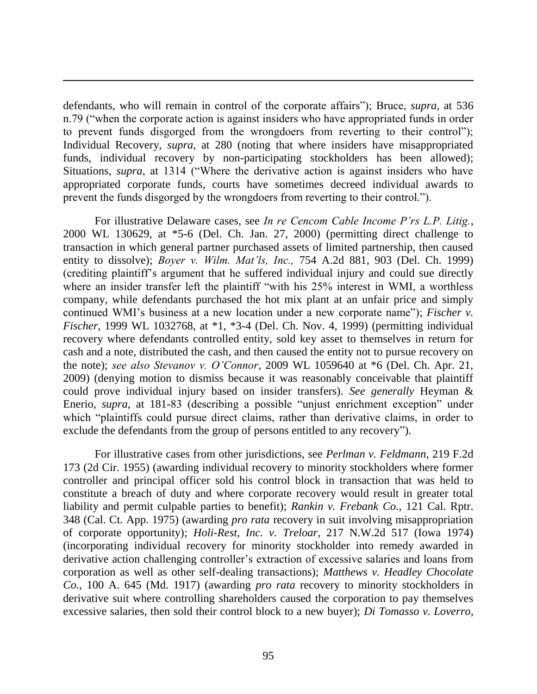defendants, who will remain in control of the corporate affairs"); Bruce, *supra*, at 536 n.79 ("when the corporate action is against insiders who have appropriated funds in order to prevent funds disgorged from the wrongdoers from reverting to their control"); Individual Recovery, *supra*, at 280 (noting that where insiders have misappropriated funds, individual recovery by non-participating stockholders has been allowed); Situations, *supra*, at 1314 ("Where the derivative action is against insiders who have appropriated corporate funds, courts have sometimes decreed individual awards to prevent the funds disgorged by the wrongdoers from reverting to their control.").

 $\overline{a}$ 

For illustrative Delaware cases, see *In re Cencom Cable Income P'rs L.P. Litig.*, 2000 WL 130629, at \*5-6 (Del. Ch. Jan. 27, 2000) (permitting direct challenge to transaction in which general partner purchased assets of limited partnership, then caused entity to dissolve); *Boyer v. Wilm. Mat'ls, Inc.,* 754 A.2d 881, 903 (Del. Ch. 1999) (crediting plaintiff's argument that he suffered individual injury and could sue directly where an insider transfer left the plaintiff "with his 25% interest in WMI, a worthless company, while defendants purchased the hot mix plant at an unfair price and simply continued WMI's business at a new location under a new corporate name"); *Fischer v. Fischer*, 1999 WL 1032768, at \*1, \*3-4 (Del. Ch. Nov. 4, 1999) (permitting individual recovery where defendants controlled entity, sold key asset to themselves in return for cash and a note, distributed the cash, and then caused the entity not to pursue recovery on the note); *see also Stevanov v. O'Connor*, 2009 WL 1059640 at \*6 (Del. Ch. Apr. 21, 2009) (denying motion to dismiss because it was reasonably conceivable that plaintiff could prove individual injury based on insider transfers). *See generally* Heyman & Enerio, *supra*, at 181-83 (describing a possible "unjust enrichment exception" under which "plaintiffs could pursue direct claims, rather than derivative claims, in order to exclude the defendants from the group of persons entitled to any recovery").

For illustrative cases from other jurisdictions, see *Perlman v. Feldmann*, 219 F.2d 173 (2d Cir. 1955) (awarding individual recovery to minority stockholders where former controller and principal officer sold his control block in transaction that was held to constitute a breach of duty and where corporate recovery would result in greater total liability and permit culpable parties to benefit); *Rankin v. Frebank Co.,* 121 Cal. Rptr. 348 (Cal. Ct. App. 1975) (awarding *pro rata* recovery in suit involving misappropriation of corporate opportunity); *Holi-Rest, Inc. v. Treloar*, 217 N.W.2d 517 (Iowa 1974) (incorporating individual recovery for minority stockholder into remedy awarded in derivative action challenging controller's extraction of excessive salaries and loans from corporation as well as other self-dealing transactions); *Matthews v. Headley Chocolate Co.*, 100 A. 645 (Md. 1917) (awarding *pro rata* recovery to minority stockholders in derivative suit where controlling shareholders caused the corporation to pay themselves excessive salaries, then sold their control block to a new buyer); *Di Tomasso v. Loverro*,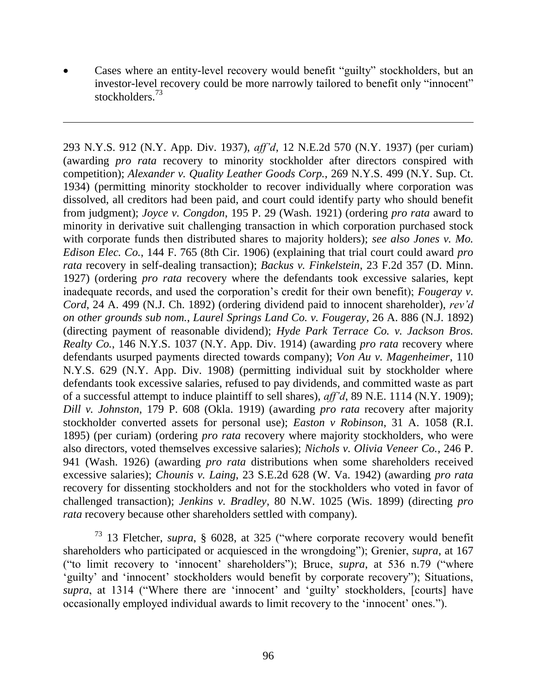Cases where an entity-level recovery would benefit "guilty" stockholders, but an investor-level recovery could be more narrowly tailored to benefit only "innocent" stockholders.<sup>73</sup>

 $\overline{a}$ 

293 N.Y.S. 912 (N.Y. App. Div. 1937), *aff'd*, 12 N.E.2d 570 (N.Y. 1937) (per curiam) (awarding *pro rata* recovery to minority stockholder after directors conspired with competition); *Alexander v. Quality Leather Goods Corp.*, 269 N.Y.S. 499 (N.Y. Sup. Ct. 1934) (permitting minority stockholder to recover individually where corporation was dissolved, all creditors had been paid, and court could identify party who should benefit from judgment); *Joyce v. Congdon*, 195 P. 29 (Wash. 1921) (ordering *pro rata* award to minority in derivative suit challenging transaction in which corporation purchased stock with corporate funds then distributed shares to majority holders); *see also Jones v. Mo. Edison Elec. Co.*, 144 F. 765 (8th Cir. 1906) (explaining that trial court could award *pro rata* recovery in self-dealing transaction); *Backus v. Finkelstein*, 23 F.2d 357 (D. Minn. 1927) (ordering *pro rata* recovery where the defendants took excessive salaries, kept inadequate records, and used the corporation's credit for their own benefit); *Fougeray v. Cord*, 24 A. 499 (N.J. Ch. 1892) (ordering dividend paid to innocent shareholder), *rev'd on other grounds sub nom.*, *Laurel Springs Land Co. v. Fougeray*, 26 A. 886 (N.J. 1892) (directing payment of reasonable dividend); *Hyde Park Terrace Co. v. Jackson Bros. Realty Co.*, 146 N.Y.S. 1037 (N.Y. App. Div. 1914) (awarding *pro rata* recovery where defendants usurped payments directed towards company); *Von Au v. Magenheimer*, 110 N.Y.S. 629 (N.Y. App. Div. 1908) (permitting individual suit by stockholder where defendants took excessive salaries, refused to pay dividends, and committed waste as part of a successful attempt to induce plaintiff to sell shares), *aff'd*, 89 N.E. 1114 (N.Y. 1909); *Dill v. Johnston*, 179 P. 608 (Okla. 1919) (awarding *pro rata* recovery after majority stockholder converted assets for personal use); *Easton v Robinson*, 31 A. 1058 (R.I. 1895) (per curiam) (ordering *pro rata* recovery where majority stockholders, who were also directors, voted themselves excessive salaries); *Nichols v. Olivia Veneer Co.*, 246 P. 941 (Wash. 1926) (awarding *pro rata* distributions when some shareholders received excessive salaries); *Chounis v. Laing*, 23 S.E.2d 628 (W. Va. 1942) (awarding *pro rata* recovery for dissenting stockholders and not for the stockholders who voted in favor of challenged transaction); *Jenkins v. Bradley*, 80 N.W. 1025 (Wis. 1899) (directing *pro rata* recovery because other shareholders settled with company).

<sup>73</sup> 13 Fletcher, *supra*, § 6028, at 325 ("where corporate recovery would benefit shareholders who participated or acquiesced in the wrongdoing"); Grenier, *supra*, at 167 ("to limit recovery to 'innocent' shareholders"); Bruce, *supra*, at 536 n.79 ("where 'guilty' and 'innocent' stockholders would benefit by corporate recovery''); Situations, *supra*, at 1314 ("Where there are 'innocent' and 'guilty' stockholders, [courts] have occasionally employed individual awards to limit recovery to the 'innocent' ones.").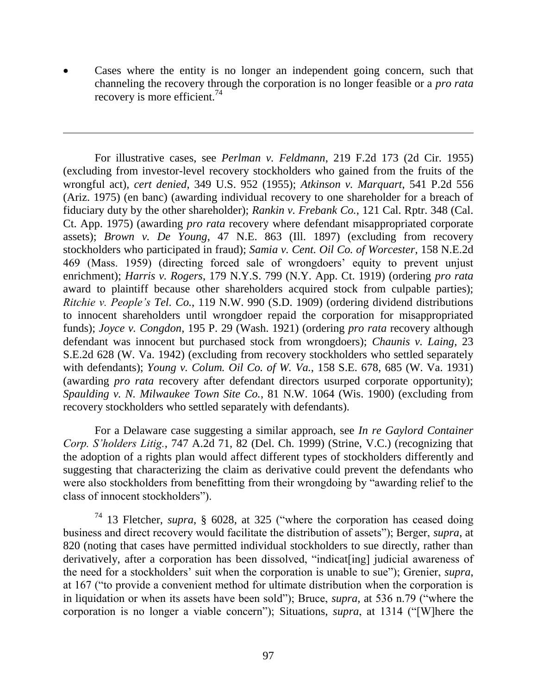Cases where the entity is no longer an independent going concern, such that channeling the recovery through the corporation is no longer feasible or a *pro rata* recovery is more efficient.<sup>74</sup>

For illustrative cases, see *Perlman v. Feldmann*, 219 F.2d 173 (2d Cir. 1955) (excluding from investor-level recovery stockholders who gained from the fruits of the wrongful act), *cert denied*, 349 U.S. 952 (1955); *Atkinson v. Marquart*, 541 P.2d 556 (Ariz. 1975) (en banc) (awarding individual recovery to one shareholder for a breach of fiduciary duty by the other shareholder); *Rankin v. Frebank Co.*, 121 Cal. Rptr. 348 (Cal. Ct. App. 1975) (awarding *pro rata* recovery where defendant misappropriated corporate assets); *Brown v. De Young*, 47 N.E. 863 (Ill. 1897) (excluding from recovery stockholders who participated in fraud); *Samia v. Cent. Oil Co. of Worcester*, 158 N.E.2d 469 (Mass. 1959) (directing forced sale of wrongdoers' equity to prevent unjust enrichment); *Harris v. Rogers*, 179 N.Y.S. 799 (N.Y. App. Ct. 1919) (ordering *pro rata* award to plaintiff because other shareholders acquired stock from culpable parties); *Ritchie v. People's Tel. Co.*, 119 N.W. 990 (S.D. 1909) (ordering dividend distributions to innocent shareholders until wrongdoer repaid the corporation for misappropriated funds); *Joyce v. Congdon*, 195 P. 29 (Wash. 1921) (ordering *pro rata* recovery although defendant was innocent but purchased stock from wrongdoers); *Chaunis v. Laing*, 23 S.E.2d 628 (W. Va. 1942) (excluding from recovery stockholders who settled separately with defendants); *Young v. Colum. Oil Co. of W. Va.*, 158 S.E. 678, 685 (W. Va. 1931) (awarding *pro rata* recovery after defendant directors usurped corporate opportunity); *Spaulding v. N. Milwaukee Town Site Co.*, 81 N.W. 1064 (Wis. 1900) (excluding from recovery stockholders who settled separately with defendants).

For a Delaware case suggesting a similar approach, see *In re Gaylord Container Corp. S'holders Litig.*, 747 A.2d 71, 82 (Del. Ch. 1999) (Strine, V.C.) (recognizing that the adoption of a rights plan would affect different types of stockholders differently and suggesting that characterizing the claim as derivative could prevent the defendants who were also stockholders from benefitting from their wrongdoing by "awarding relief to the class of innocent stockholders").

<sup>74</sup> 13 Fletcher, *supra*, § 6028, at 325 ("where the corporation has ceased doing business and direct recovery would facilitate the distribution of assets"); Berger, *supra*, at 820 (noting that cases have permitted individual stockholders to sue directly, rather than derivatively, after a corporation has been dissolved, "indicat [ing] judicial awareness of the need for a stockholders' suit when the corporation is unable to sue"); Grenier, *supra*, at 167 ("to provide a convenient method for ultimate distribution when the corporation is in liquidation or when its assets have been sold"); Bruce, *supra*, at 536 n.79 ("where the corporation is no longer a viable concern<sup>"</sup>); Situations, *supra*, at 1314 ("[W]here the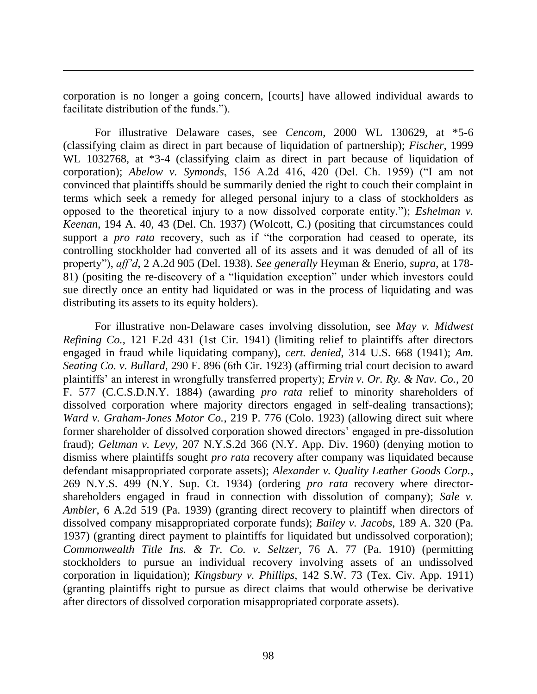corporation is no longer a going concern, [courts] have allowed individual awards to facilitate distribution of the funds.").

For illustrative Delaware cases, see *Cencom*, 2000 WL 130629, at \*5-6 (classifying claim as direct in part because of liquidation of partnership); *Fischer*, 1999 WL 1032768, at \*3-4 (classifying claim as direct in part because of liquidation of corporation); *Abelow v. Symonds*, 156 A.2d 416, 420 (Del. Ch. 1959) ("I am not convinced that plaintiffs should be summarily denied the right to couch their complaint in terms which seek a remedy for alleged personal injury to a class of stockholders as opposed to the theoretical injury to a now dissolved corporate entity."); *Eshelman v. Keenan*, 194 A. 40, 43 (Del. Ch. 1937) (Wolcott, C.) (positing that circumstances could support a *pro rata* recovery, such as if "the corporation had ceased to operate, its controlling stockholder had converted all of its assets and it was denuded of all of its property‖), *aff'd*, 2 A.2d 905 (Del. 1938). *See generally* Heyman & Enerio, *supra*, at 178- 81) (positing the re-discovery of a "liquidation exception" under which investors could sue directly once an entity had liquidated or was in the process of liquidating and was distributing its assets to its equity holders).

For illustrative non-Delaware cases involving dissolution, see *May v. Midwest Refining Co.*, 121 F.2d 431 (1st Cir. 1941) (limiting relief to plaintiffs after directors engaged in fraud while liquidating company), *cert. denied*, 314 U.S. 668 (1941); *Am. Seating Co. v. Bullard*, 290 F. 896 (6th Cir. 1923) (affirming trial court decision to award plaintiffs' an interest in wrongfully transferred property); *Ervin v. Or. Ry. & Nav. Co.*, 20 F. 577 (C.C.S.D.N.Y. 1884) (awarding *pro rata* relief to minority shareholders of dissolved corporation where majority directors engaged in self-dealing transactions); *Ward v. Graham-Jones Motor Co.*, 219 P. 776 (Colo. 1923) (allowing direct suit where former shareholder of dissolved corporation showed directors' engaged in pre-dissolution fraud); *Geltman v. Levy*, 207 N.Y.S.2d 366 (N.Y. App. Div. 1960) (denying motion to dismiss where plaintiffs sought *pro rata* recovery after company was liquidated because defendant misappropriated corporate assets); *Alexander v. Quality Leather Goods Corp.*, 269 N.Y.S. 499 (N.Y. Sup. Ct. 1934) (ordering *pro rata* recovery where directorshareholders engaged in fraud in connection with dissolution of company); *Sale v. Ambler*, 6 A.2d 519 (Pa. 1939) (granting direct recovery to plaintiff when directors of dissolved company misappropriated corporate funds); *Bailey v. Jacobs*, 189 A. 320 (Pa. 1937) (granting direct payment to plaintiffs for liquidated but undissolved corporation); *Commonwealth Title Ins. & Tr. Co. v. Seltzer*, 76 A. 77 (Pa. 1910) (permitting stockholders to pursue an individual recovery involving assets of an undissolved corporation in liquidation); *Kingsbury v. Phillips*, 142 S.W. 73 (Tex. Civ. App. 1911) (granting plaintiffs right to pursue as direct claims that would otherwise be derivative after directors of dissolved corporation misappropriated corporate assets).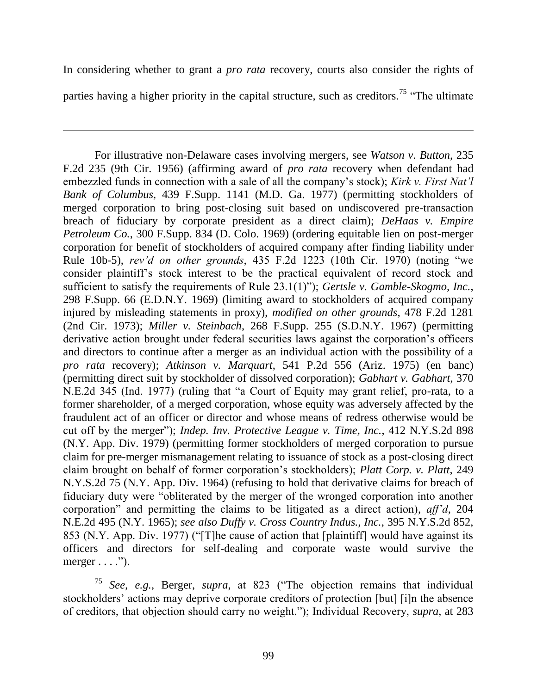In considering whether to grant a *pro rata* recovery, courts also consider the rights of parties having a higher priority in the capital structure, such as creditors.<sup>75</sup>  $\cdot$ The ultimate

For illustrative non-Delaware cases involving mergers, see *Watson v. Button*, 235 F.2d 235 (9th Cir. 1956) (affirming award of *pro rata* recovery when defendant had embezzled funds in connection with a sale of all the company's stock); *Kirk v. First Nat'l Bank of Columbus*, 439 F.Supp. 1141 (M.D. Ga. 1977) (permitting stockholders of merged corporation to bring post-closing suit based on undiscovered pre-transaction breach of fiduciary by corporate president as a direct claim); *DeHaas v. Empire Petroleum Co.*, 300 F.Supp. 834 (D. Colo. 1969) (ordering equitable lien on post-merger corporation for benefit of stockholders of acquired company after finding liability under Rule 10b-5), *rev'd on other grounds*, 435 F.2d 1223 (10th Cir. 1970) (noting "we consider plaintiff's stock interest to be the practical equivalent of record stock and sufficient to satisfy the requirements of Rule 23.1(1)"); *Gertsle v. Gamble-Skogmo, Inc.*, 298 F.Supp. 66 (E.D.N.Y. 1969) (limiting award to stockholders of acquired company injured by misleading statements in proxy), *modified on other grounds*, 478 F.2d 1281 (2nd Cir. 1973); *Miller v. Steinbach*, 268 F.Supp. 255 (S.D.N.Y. 1967) (permitting derivative action brought under federal securities laws against the corporation's officers and directors to continue after a merger as an individual action with the possibility of a *pro rata* recovery); *Atkinson v. Marquart*, 541 P.2d 556 (Ariz. 1975) (en banc) (permitting direct suit by stockholder of dissolved corporation); *Gabhart v. Gabhart*, 370 N.E.2d 345 (Ind. 1977) (ruling that "a Court of Equity may grant relief, pro-rata, to a former shareholder, of a merged corporation, whose equity was adversely affected by the fraudulent act of an officer or director and whose means of redress otherwise would be cut off by the merger"); *Indep. Inv. Protective League v. Time, Inc.*, 412 N.Y.S.2d 898 (N.Y. App. Div. 1979) (permitting former stockholders of merged corporation to pursue claim for pre-merger mismanagement relating to issuance of stock as a post-closing direct claim brought on behalf of former corporation's stockholders); *Platt Corp. v. Platt*, 249 N.Y.S.2d 75 (N.Y. App. Div. 1964) (refusing to hold that derivative claims for breach of fiduciary duty were "obliterated by the merger of the wronged corporation into another corporation" and permitting the claims to be litigated as a direct action), *aff'd*, 204 N.E.2d 495 (N.Y. 1965); *see also Duffy v. Cross Country Indus., Inc.*, 395 N.Y.S.2d 852, 853 (N.Y. App. Div. 1977) ("[T]he cause of action that [plaintiff] would have against its officers and directors for self-dealing and corporate waste would survive the merger  $\dots$  .").

<sup>75</sup> *See, e.g.*, Berger, *supra*, at 823 ("The objection remains that individual stockholders' actions may deprive corporate creditors of protection [but] [i]n the absence of creditors, that objection should carry no weight."); Individual Recovery, *supra*, at 283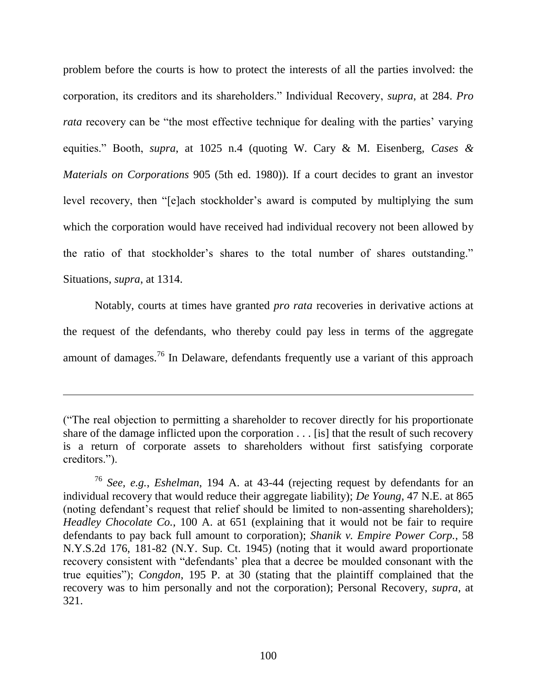problem before the courts is how to protect the interests of all the parties involved: the corporation, its creditors and its shareholders.‖ Individual Recovery, *supra*, at 284. *Pro rata* recovery can be "the most effective technique for dealing with the parties' varying equities.‖ Booth, *supra*, at 1025 n.4 (quoting W. Cary & M. Eisenberg, *Cases & Materials on Corporations* 905 (5th ed. 1980)). If a court decides to grant an investor level recovery, then "[e]ach stockholder's award is computed by multiplying the sum which the corporation would have received had individual recovery not been allowed by the ratio of that stockholder's shares to the total number of shares outstanding." Situations, *supra*, at 1314.

Notably, courts at times have granted *pro rata* recoveries in derivative actions at the request of the defendants, who thereby could pay less in terms of the aggregate amount of damages.<sup>76</sup> In Delaware, defendants frequently use a variant of this approach

<sup>(―</sup>The real objection to permitting a shareholder to recover directly for his proportionate share of the damage inflicted upon the corporation . . . [is] that the result of such recovery is a return of corporate assets to shareholders without first satisfying corporate creditors.").

<sup>76</sup> *See, e.g.*, *Eshelman*, 194 A. at 43-44 (rejecting request by defendants for an individual recovery that would reduce their aggregate liability); *De Young*, 47 N.E. at 865 (noting defendant's request that relief should be limited to non-assenting shareholders); *Headley Chocolate Co.*, 100 A. at 651 (explaining that it would not be fair to require defendants to pay back full amount to corporation); *Shanik v. Empire Power Corp.*, 58 N.Y.S.2d 176, 181-82 (N.Y. Sup. Ct. 1945) (noting that it would award proportionate recovery consistent with "defendants' plea that a decree be moulded consonant with the true equities‖); *Congdon*, 195 P. at 30 (stating that the plaintiff complained that the recovery was to him personally and not the corporation); Personal Recovery, *supra*, at 321.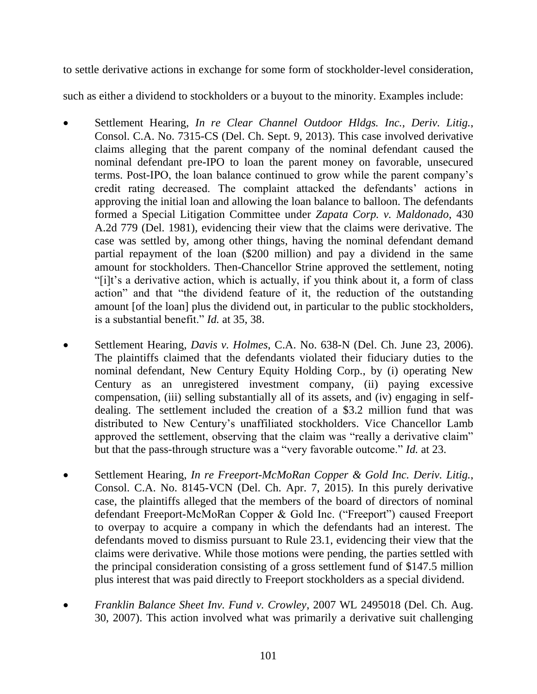to settle derivative actions in exchange for some form of stockholder-level consideration,

such as either a dividend to stockholders or a buyout to the minority. Examples include:

- Settlement Hearing, *In re Clear Channel Outdoor Hldgs. Inc., Deriv. Litig.*, Consol. C.A. No. 7315-CS (Del. Ch. Sept. 9, 2013). This case involved derivative claims alleging that the parent company of the nominal defendant caused the nominal defendant pre-IPO to loan the parent money on favorable, unsecured terms. Post-IPO, the loan balance continued to grow while the parent company's credit rating decreased. The complaint attacked the defendants' actions in approving the initial loan and allowing the loan balance to balloon. The defendants formed a Special Litigation Committee under *Zapata Corp. v. Maldonado*, 430 A.2d 779 (Del. 1981), evidencing their view that the claims were derivative. The case was settled by, among other things, having the nominal defendant demand partial repayment of the loan (\$200 million) and pay a dividend in the same amount for stockholders. Then-Chancellor Strine approved the settlement, noting ―[i]t's a derivative action, which is actually, if you think about it, a form of class action" and that "the dividend feature of it, the reduction of the outstanding amount [of the loan] plus the dividend out, in particular to the public stockholders, is a substantial benefit." *Id.* at 35, 38.
- Settlement Hearing, *Davis v. Holmes*, C.A. No. 638-N (Del. Ch. June 23, 2006). The plaintiffs claimed that the defendants violated their fiduciary duties to the nominal defendant, New Century Equity Holding Corp., by (i) operating New Century as an unregistered investment company, (ii) paying excessive compensation, (iii) selling substantially all of its assets, and (iv) engaging in selfdealing. The settlement included the creation of a \$3.2 million fund that was distributed to New Century's unaffiliated stockholders. Vice Chancellor Lamb approved the settlement, observing that the claim was "really a derivative claim" but that the pass-through structure was a "very favorable outcome." *Id.* at 23.
- Settlement Hearing, *In re Freeport-McMoRan Copper & Gold Inc. Deriv. Litig.*, Consol. C.A. No. 8145-VCN (Del. Ch. Apr. 7, 2015). In this purely derivative case, the plaintiffs alleged that the members of the board of directors of nominal defendant Freeport-McMoRan Copper & Gold Inc. ("Freeport") caused Freeport to overpay to acquire a company in which the defendants had an interest. The defendants moved to dismiss pursuant to Rule 23.1, evidencing their view that the claims were derivative. While those motions were pending, the parties settled with the principal consideration consisting of a gross settlement fund of \$147.5 million plus interest that was paid directly to Freeport stockholders as a special dividend.
- *Franklin Balance Sheet Inv. Fund v. Crowley*, 2007 WL 2495018 (Del. Ch. Aug. 30, 2007). This action involved what was primarily a derivative suit challenging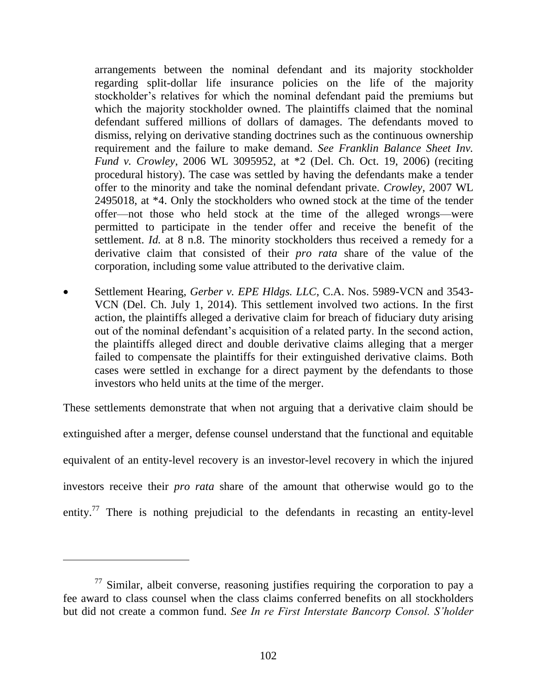arrangements between the nominal defendant and its majority stockholder regarding split-dollar life insurance policies on the life of the majority stockholder's relatives for which the nominal defendant paid the premiums but which the majority stockholder owned. The plaintiffs claimed that the nominal defendant suffered millions of dollars of damages. The defendants moved to dismiss, relying on derivative standing doctrines such as the continuous ownership requirement and the failure to make demand. *See Franklin Balance Sheet Inv. Fund v. Crowley*, 2006 WL 3095952, at \*2 (Del. Ch. Oct. 19, 2006) (reciting procedural history). The case was settled by having the defendants make a tender offer to the minority and take the nominal defendant private. *Crowley*, 2007 WL 2495018, at \*4. Only the stockholders who owned stock at the time of the tender offer—not those who held stock at the time of the alleged wrongs—were permitted to participate in the tender offer and receive the benefit of the settlement. *Id.* at 8 n.8. The minority stockholders thus received a remedy for a derivative claim that consisted of their *pro rata* share of the value of the corporation, including some value attributed to the derivative claim.

 Settlement Hearing, *Gerber v. EPE Hldgs. LLC*, C.A. Nos. 5989-VCN and 3543- VCN (Del. Ch. July 1, 2014). This settlement involved two actions. In the first action, the plaintiffs alleged a derivative claim for breach of fiduciary duty arising out of the nominal defendant's acquisition of a related party. In the second action, the plaintiffs alleged direct and double derivative claims alleging that a merger failed to compensate the plaintiffs for their extinguished derivative claims. Both cases were settled in exchange for a direct payment by the defendants to those investors who held units at the time of the merger.

These settlements demonstrate that when not arguing that a derivative claim should be extinguished after a merger, defense counsel understand that the functional and equitable equivalent of an entity-level recovery is an investor-level recovery in which the injured investors receive their *pro rata* share of the amount that otherwise would go to the entity.<sup>77</sup> There is nothing prejudicial to the defendants in recasting an entity-level

 $77$  Similar, albeit converse, reasoning justifies requiring the corporation to pay a fee award to class counsel when the class claims conferred benefits on all stockholders but did not create a common fund. *See In re First Interstate Bancorp Consol. S'holder*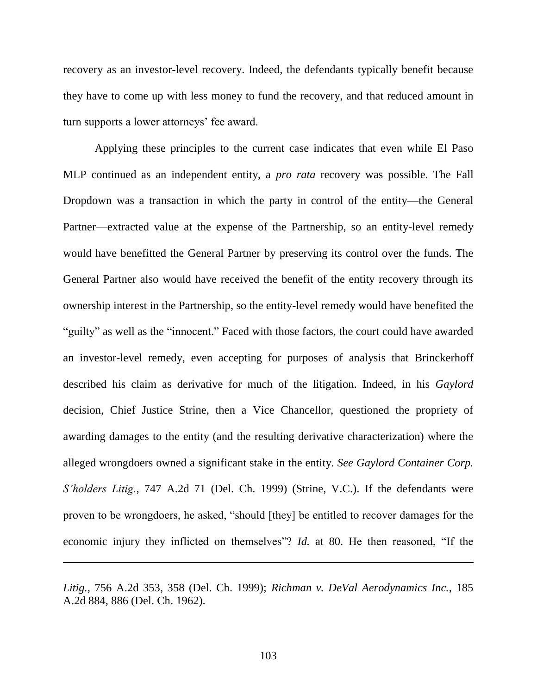recovery as an investor-level recovery. Indeed, the defendants typically benefit because they have to come up with less money to fund the recovery, and that reduced amount in turn supports a lower attorneys' fee award.

Applying these principles to the current case indicates that even while El Paso MLP continued as an independent entity, a *pro rata* recovery was possible. The Fall Dropdown was a transaction in which the party in control of the entity—the General Partner—extracted value at the expense of the Partnership, so an entity-level remedy would have benefitted the General Partner by preserving its control over the funds. The General Partner also would have received the benefit of the entity recovery through its ownership interest in the Partnership, so the entity-level remedy would have benefited the "guilty" as well as the "innocent." Faced with those factors, the court could have awarded an investor-level remedy, even accepting for purposes of analysis that Brinckerhoff described his claim as derivative for much of the litigation. Indeed, in his *Gaylord*  decision, Chief Justice Strine, then a Vice Chancellor, questioned the propriety of awarding damages to the entity (and the resulting derivative characterization) where the alleged wrongdoers owned a significant stake in the entity. *See Gaylord Container Corp. S'holders Litig.*, 747 A.2d 71 (Del. Ch. 1999) (Strine, V.C.). If the defendants were proven to be wrongdoers, he asked, "should [they] be entitled to recover damages for the economic injury they inflicted on themselves"? *Id.* at 80. He then reasoned, "If the

*Litig.*, 756 A.2d 353, 358 (Del. Ch. 1999); *Richman v. DeVal Aerodynamics Inc.*, 185 A.2d 884, 886 (Del. Ch. 1962).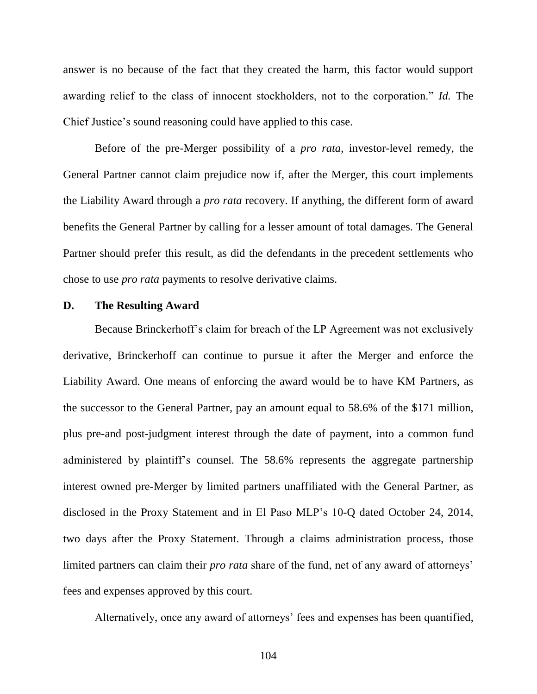answer is no because of the fact that they created the harm, this factor would support awarding relief to the class of innocent stockholders, not to the corporation." *Id.* The Chief Justice's sound reasoning could have applied to this case.

Before of the pre-Merger possibility of a *pro rata*, investor-level remedy, the General Partner cannot claim prejudice now if, after the Merger, this court implements the Liability Award through a *pro rata* recovery. If anything, the different form of award benefits the General Partner by calling for a lesser amount of total damages. The General Partner should prefer this result, as did the defendants in the precedent settlements who chose to use *pro rata* payments to resolve derivative claims.

## **D. The Resulting Award**

Because Brinckerhoff's claim for breach of the LP Agreement was not exclusively derivative, Brinckerhoff can continue to pursue it after the Merger and enforce the Liability Award. One means of enforcing the award would be to have KM Partners, as the successor to the General Partner, pay an amount equal to 58.6% of the \$171 million, plus pre-and post-judgment interest through the date of payment, into a common fund administered by plaintiff's counsel. The 58.6% represents the aggregate partnership interest owned pre-Merger by limited partners unaffiliated with the General Partner, as disclosed in the Proxy Statement and in El Paso MLP's 10-Q dated October 24, 2014, two days after the Proxy Statement. Through a claims administration process, those limited partners can claim their *pro rata* share of the fund, net of any award of attorneys' fees and expenses approved by this court.

Alternatively, once any award of attorneys' fees and expenses has been quantified,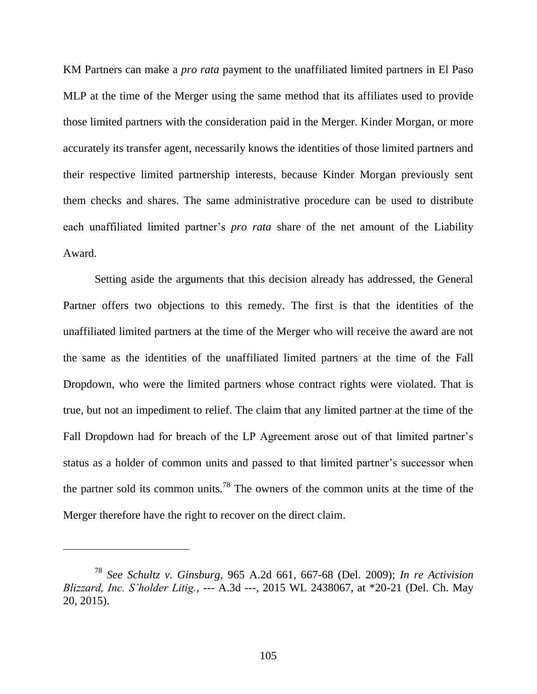KM Partners can make a *pro rata* payment to the unaffiliated limited partners in El Paso MLP at the time of the Merger using the same method that its affiliates used to provide those limited partners with the consideration paid in the Merger. Kinder Morgan, or more accurately its transfer agent, necessarily knows the identities of those limited partners and their respective limited partnership interests, because Kinder Morgan previously sent them checks and shares. The same administrative procedure can be used to distribute each unaffiliated limited partner's *pro rata* share of the net amount of the Liability Award.

Setting aside the arguments that this decision already has addressed, the General Partner offers two objections to this remedy. The first is that the identities of the unaffiliated limited partners at the time of the Merger who will receive the award are not the same as the identities of the unaffiliated limited partners at the time of the Fall Dropdown, who were the limited partners whose contract rights were violated. That is true, but not an impediment to relief. The claim that any limited partner at the time of the Fall Dropdown had for breach of the LP Agreement arose out of that limited partner's status as a holder of common units and passed to that limited partner's successor when the partner sold its common units.<sup>78</sup> The owners of the common units at the time of the Merger therefore have the right to recover on the direct claim.

<sup>78</sup> *See Schultz v. Ginsburg*, 965 A.2d 661, 667-68 (Del. 2009); *In re Activision Blizzard, Inc. S'holder Litig.*, --- A.3d ---, 2015 WL 2438067, at \*20-21 (Del. Ch. May 20, 2015).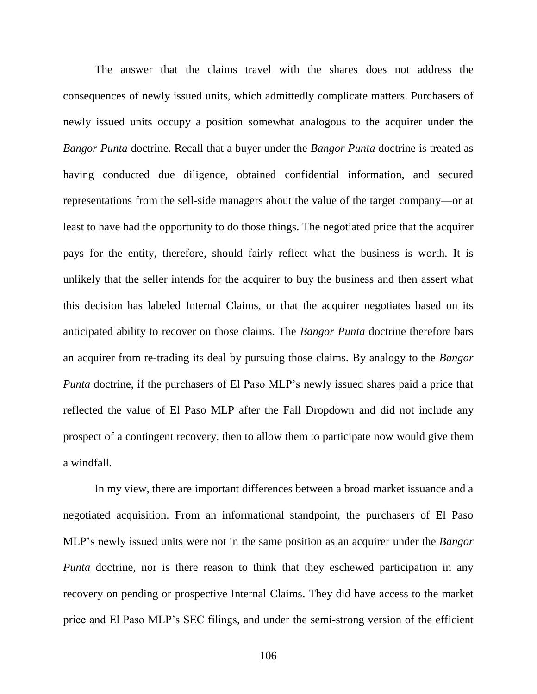The answer that the claims travel with the shares does not address the consequences of newly issued units, which admittedly complicate matters. Purchasers of newly issued units occupy a position somewhat analogous to the acquirer under the *Bangor Punta* doctrine. Recall that a buyer under the *Bangor Punta* doctrine is treated as having conducted due diligence, obtained confidential information, and secured representations from the sell-side managers about the value of the target company—or at least to have had the opportunity to do those things. The negotiated price that the acquirer pays for the entity, therefore, should fairly reflect what the business is worth. It is unlikely that the seller intends for the acquirer to buy the business and then assert what this decision has labeled Internal Claims, or that the acquirer negotiates based on its anticipated ability to recover on those claims. The *Bangor Punta* doctrine therefore bars an acquirer from re-trading its deal by pursuing those claims. By analogy to the *Bangor Punta* doctrine, if the purchasers of El Paso MLP's newly issued shares paid a price that reflected the value of El Paso MLP after the Fall Dropdown and did not include any prospect of a contingent recovery, then to allow them to participate now would give them a windfall.

In my view, there are important differences between a broad market issuance and a negotiated acquisition. From an informational standpoint, the purchasers of El Paso MLP's newly issued units were not in the same position as an acquirer under the *Bangor Punta* doctrine, nor is there reason to think that they eschewed participation in any recovery on pending or prospective Internal Claims. They did have access to the market price and El Paso MLP's SEC filings, and under the semi-strong version of the efficient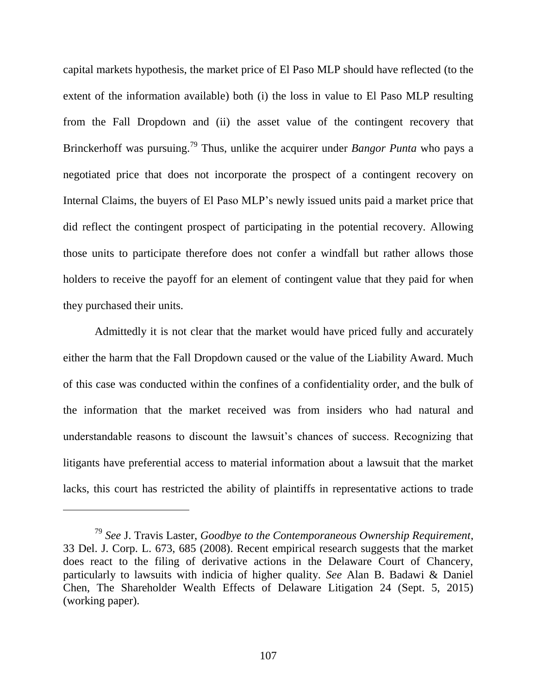capital markets hypothesis, the market price of El Paso MLP should have reflected (to the extent of the information available) both (i) the loss in value to El Paso MLP resulting from the Fall Dropdown and (ii) the asset value of the contingent recovery that Brinckerhoff was pursuing.<sup>79</sup> Thus, unlike the acquirer under *Bangor Punta* who pays a negotiated price that does not incorporate the prospect of a contingent recovery on Internal Claims, the buyers of El Paso MLP's newly issued units paid a market price that did reflect the contingent prospect of participating in the potential recovery. Allowing those units to participate therefore does not confer a windfall but rather allows those holders to receive the payoff for an element of contingent value that they paid for when they purchased their units.

Admittedly it is not clear that the market would have priced fully and accurately either the harm that the Fall Dropdown caused or the value of the Liability Award. Much of this case was conducted within the confines of a confidentiality order, and the bulk of the information that the market received was from insiders who had natural and understandable reasons to discount the lawsuit's chances of success. Recognizing that litigants have preferential access to material information about a lawsuit that the market lacks, this court has restricted the ability of plaintiffs in representative actions to trade

<sup>79</sup> *See* J. Travis Laster, *Goodbye to the Contemporaneous Ownership Requirement*, 33 Del. J. Corp. L. 673, 685 (2008). Recent empirical research suggests that the market does react to the filing of derivative actions in the Delaware Court of Chancery, particularly to lawsuits with indicia of higher quality. *See* Alan B. Badawi & Daniel Chen, The Shareholder Wealth Effects of Delaware Litigation 24 (Sept. 5, 2015) (working paper).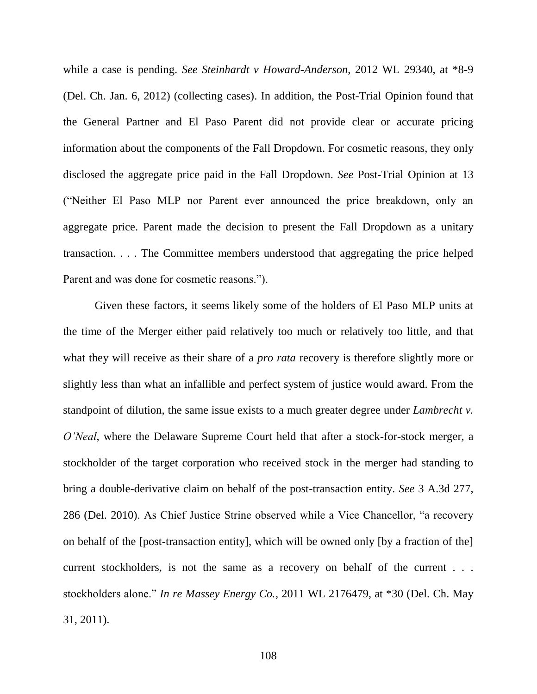while a case is pending. *See Steinhardt v Howard-Anderson*, 2012 WL 29340, at \*8-9 (Del. Ch. Jan. 6, 2012) (collecting cases). In addition, the Post-Trial Opinion found that the General Partner and El Paso Parent did not provide clear or accurate pricing information about the components of the Fall Dropdown. For cosmetic reasons, they only disclosed the aggregate price paid in the Fall Dropdown. *See* Post-Trial Opinion at 13 (―Neither El Paso MLP nor Parent ever announced the price breakdown, only an aggregate price. Parent made the decision to present the Fall Dropdown as a unitary transaction. . . . The Committee members understood that aggregating the price helped Parent and was done for cosmetic reasons.").

Given these factors, it seems likely some of the holders of El Paso MLP units at the time of the Merger either paid relatively too much or relatively too little, and that what they will receive as their share of a *pro rata* recovery is therefore slightly more or slightly less than what an infallible and perfect system of justice would award. From the standpoint of dilution, the same issue exists to a much greater degree under *Lambrecht v. O'Neal*, where the Delaware Supreme Court held that after a stock-for-stock merger, a stockholder of the target corporation who received stock in the merger had standing to bring a double-derivative claim on behalf of the post-transaction entity. *See* 3 A.3d 277, 286 (Del. 2010). As Chief Justice Strine observed while a Vice Chancellor, "a recovery on behalf of the [post-transaction entity], which will be owned only [by a fraction of the] current stockholders, is not the same as a recovery on behalf of the current . . . stockholders alone." *In re Massey Energy Co.*, 2011 WL 2176479, at \*30 (Del. Ch. May 31, 2011).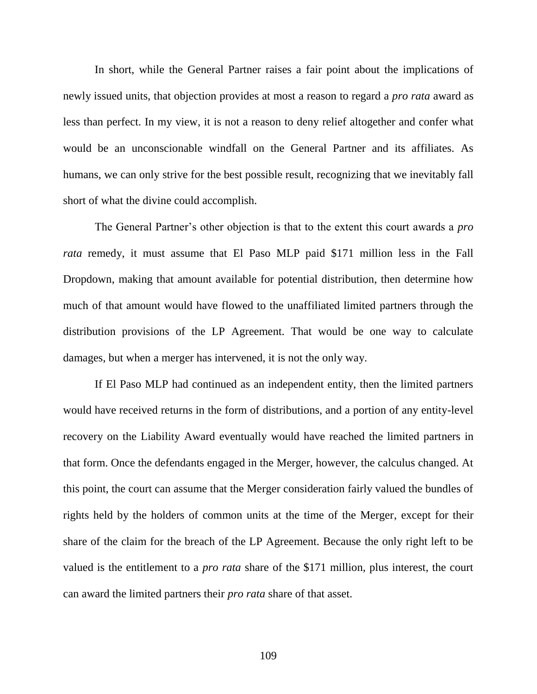In short, while the General Partner raises a fair point about the implications of newly issued units, that objection provides at most a reason to regard a *pro rata* award as less than perfect. In my view, it is not a reason to deny relief altogether and confer what would be an unconscionable windfall on the General Partner and its affiliates. As humans, we can only strive for the best possible result, recognizing that we inevitably fall short of what the divine could accomplish.

The General Partner's other objection is that to the extent this court awards a *pro rata* remedy, it must assume that El Paso MLP paid \$171 million less in the Fall Dropdown, making that amount available for potential distribution, then determine how much of that amount would have flowed to the unaffiliated limited partners through the distribution provisions of the LP Agreement. That would be one way to calculate damages, but when a merger has intervened, it is not the only way.

If El Paso MLP had continued as an independent entity, then the limited partners would have received returns in the form of distributions, and a portion of any entity-level recovery on the Liability Award eventually would have reached the limited partners in that form. Once the defendants engaged in the Merger, however, the calculus changed. At this point, the court can assume that the Merger consideration fairly valued the bundles of rights held by the holders of common units at the time of the Merger, except for their share of the claim for the breach of the LP Agreement. Because the only right left to be valued is the entitlement to a *pro rata* share of the \$171 million, plus interest, the court can award the limited partners their *pro rata* share of that asset.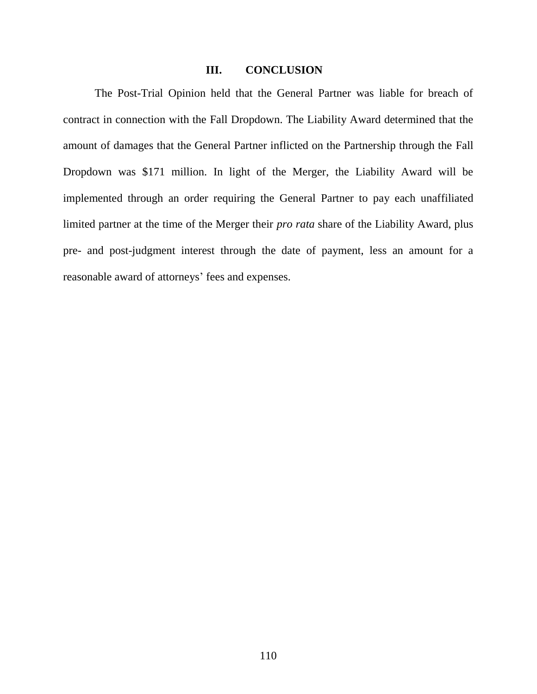## **III. CONCLUSION**

The Post-Trial Opinion held that the General Partner was liable for breach of contract in connection with the Fall Dropdown. The Liability Award determined that the amount of damages that the General Partner inflicted on the Partnership through the Fall Dropdown was \$171 million. In light of the Merger, the Liability Award will be implemented through an order requiring the General Partner to pay each unaffiliated limited partner at the time of the Merger their *pro rata* share of the Liability Award, plus pre- and post-judgment interest through the date of payment, less an amount for a reasonable award of attorneys' fees and expenses.